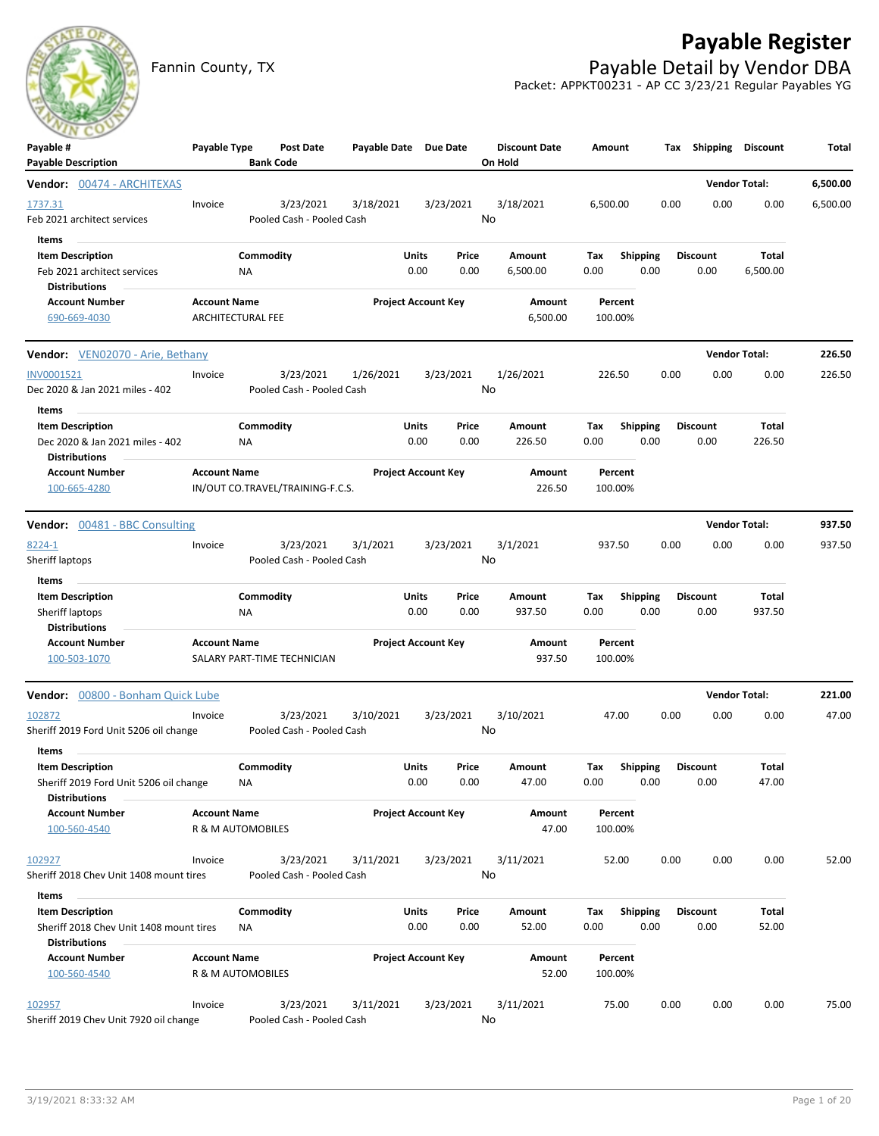## **Payable Register**



Fannin County, TX **Payable Detail by Vendor DBA** Packet: APPKT00231 - AP CC 3/23/21 Regular Payables YG

| Payable #<br><b>Payable Description</b>                                                             | Payable Type                                    |                 | <b>Post Date</b><br><b>Bank Code</b>   | Payable Date Due Date |                            |               | <b>Discount Date</b><br>On Hold | Amount             |                         |      | Tax Shipping Discount   |                        | Total    |
|-----------------------------------------------------------------------------------------------------|-------------------------------------------------|-----------------|----------------------------------------|-----------------------|----------------------------|---------------|---------------------------------|--------------------|-------------------------|------|-------------------------|------------------------|----------|
| Vendor: 00474 - ARCHITEXAS                                                                          |                                                 |                 |                                        |                       |                            |               |                                 |                    |                         |      |                         | <b>Vendor Total:</b>   | 6,500.00 |
| 1737.31<br>Feb 2021 architect services                                                              | Invoice                                         |                 | 3/23/2021<br>Pooled Cash - Pooled Cash | 3/18/2021             |                            | 3/23/2021     | 3/18/2021<br>No                 | 6,500.00           |                         | 0.00 | 0.00                    | 0.00                   | 6,500.00 |
| Items<br><b>Item Description</b><br>Feb 2021 architect services<br><b>Distributions</b>             |                                                 | Commodity<br>ΝA |                                        |                       | Units<br>0.00              | Price<br>0.00 | Amount<br>6,500.00              | Тах<br>0.00        | <b>Shipping</b><br>0.00 |      | <b>Discount</b><br>0.00 | Total<br>6,500.00      |          |
| <b>Account Number</b><br>690-669-4030                                                               | <b>Account Name</b><br><b>ARCHITECTURAL FEE</b> |                 |                                        |                       | <b>Project Account Key</b> |               | <b>Amount</b><br>6,500.00       | Percent<br>100.00% |                         |      |                         |                        |          |
| <b>Vendor:</b> VEN02070 - Arie, Bethany                                                             |                                                 |                 |                                        |                       |                            |               |                                 |                    |                         |      |                         | <b>Vendor Total:</b>   | 226.50   |
| INV0001521<br>Dec 2020 & Jan 2021 miles - 402                                                       | Invoice                                         |                 | 3/23/2021<br>Pooled Cash - Pooled Cash | 1/26/2021             |                            | 3/23/2021     | 1/26/2021<br>No                 | 226.50             |                         | 0.00 | 0.00                    | 0.00                   | 226.50   |
| Items<br><b>Item Description</b><br>Dec 2020 & Jan 2021 miles - 402                                 |                                                 | Commodity<br>ΝA |                                        |                       | Units<br>0.00              | Price<br>0.00 | Amount<br>226.50                | Tax<br>0.00        | Shipping<br>0.00        |      | <b>Discount</b><br>0.00 | Total<br>226.50        |          |
| <b>Distributions</b><br><b>Account Number</b><br>100-665-4280                                       | <b>Account Name</b>                             |                 | IN/OUT CO.TRAVEL/TRAINING-F.C.S.       |                       | <b>Project Account Key</b> |               | Amount<br>226.50                | Percent<br>100.00% |                         |      |                         |                        |          |
| <b>Vendor:</b> 00481 - BBC Consulting                                                               |                                                 |                 |                                        |                       |                            |               |                                 |                    |                         |      |                         | <b>Vendor Total:</b>   | 937.50   |
| 8224-1<br>Sheriff laptops                                                                           | Invoice                                         |                 | 3/23/2021<br>Pooled Cash - Pooled Cash | 3/1/2021              |                            | 3/23/2021     | 3/1/2021<br>No                  | 937.50             |                         | 0.00 | 0.00                    | 0.00                   | 937.50   |
| Items<br><b>Item Description</b><br>Sheriff laptops                                                 |                                                 | Commodity<br>ΝA |                                        |                       | Units<br>0.00              | Price<br>0.00 | Amount<br>937.50                | Tax<br>0.00        | <b>Shipping</b><br>0.00 |      | <b>Discount</b><br>0.00 | <b>Total</b><br>937.50 |          |
| <b>Distributions</b><br><b>Account Number</b><br>100-503-1070                                       | <b>Account Name</b>                             |                 | SALARY PART-TIME TECHNICIAN            |                       | <b>Project Account Key</b> |               | Amount<br>937.50                | Percent<br>100.00% |                         |      |                         |                        |          |
| Vendor: 00800 - Bonham Quick Lube                                                                   |                                                 |                 |                                        |                       |                            |               |                                 |                    |                         |      |                         | <b>Vendor Total:</b>   | 221.00   |
| 102872<br>Sheriff 2019 Ford Unit 5206 oil change                                                    | Invoice                                         |                 | 3/23/2021<br>Pooled Cash - Pooled Cash | 3/10/2021             |                            | 3/23/2021     | 3/10/2021<br>No                 | 47.00              |                         | 0.00 | 0.00                    | 0.00                   | 47.00    |
| Items<br><b>Item Description</b><br>Sheriff 2019 Ford Unit 5206 oil change<br><b>Distributions</b>  |                                                 | Commodity<br>ΝA |                                        |                       | Units<br>0.00              | Price<br>0.00 | Amount<br>47.00                 | Тах<br>0.00        | <b>Shipping</b><br>0.00 |      | <b>Discount</b><br>0.00 | Total<br>47.00         |          |
| <b>Account Number</b><br>100-560-4540                                                               | <b>Account Name</b><br>R & M AUTOMOBILES        |                 |                                        |                       | <b>Project Account Key</b> |               | Amount<br>47.00                 | Percent<br>100.00% |                         |      |                         |                        |          |
| 102927<br>Sheriff 2018 Chev Unit 1408 mount tires                                                   | Invoice                                         |                 | 3/23/2021<br>Pooled Cash - Pooled Cash | 3/11/2021             |                            | 3/23/2021     | 3/11/2021<br>No                 | 52.00              |                         | 0.00 | 0.00                    | 0.00                   | 52.00    |
| Items<br><b>Item Description</b><br>Sheriff 2018 Chev Unit 1408 mount tires<br><b>Distributions</b> |                                                 | Commodity<br>NA |                                        |                       | Units<br>0.00              | Price<br>0.00 | Amount<br>52.00                 | Tax<br>0.00        | <b>Shipping</b><br>0.00 |      | <b>Discount</b><br>0.00 | Total<br>52.00         |          |
| <b>Account Number</b><br>100-560-4540                                                               | <b>Account Name</b><br>R & M AUTOMOBILES        |                 |                                        |                       | <b>Project Account Key</b> |               | Amount<br>52.00                 | Percent<br>100.00% |                         |      |                         |                        |          |
| 102957<br>Sheriff 2019 Chev Unit 7920 oil change                                                    | Invoice                                         |                 | 3/23/2021<br>Pooled Cash - Pooled Cash | 3/11/2021             |                            | 3/23/2021     | 3/11/2021<br>No                 | 75.00              |                         | 0.00 | 0.00                    | 0.00                   | 75.00    |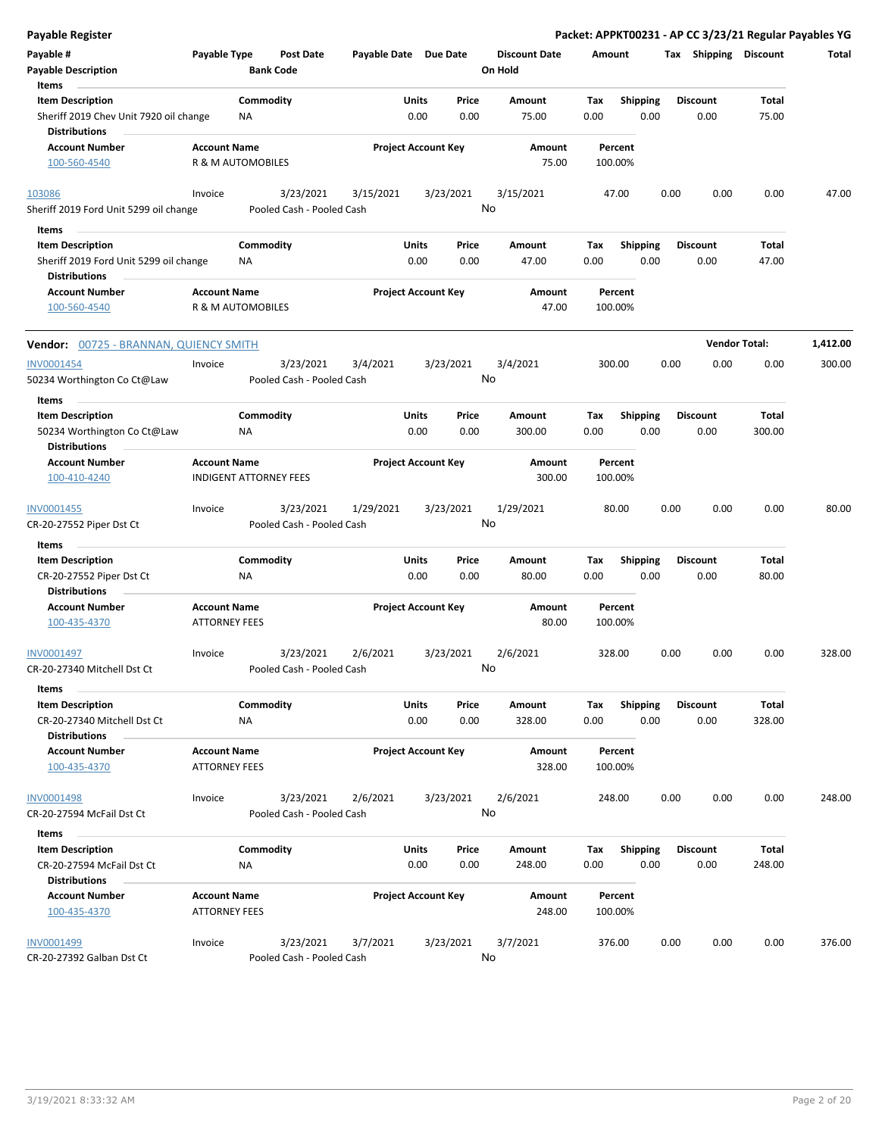| Payable Register                                                                                   |                                                      |                        |                                        |                       |               |                            |                                 |             |                         |      |                         |                      | Packet: APPKT00231 - AP CC 3/23/21 Regular Payables YG |
|----------------------------------------------------------------------------------------------------|------------------------------------------------------|------------------------|----------------------------------------|-----------------------|---------------|----------------------------|---------------------------------|-------------|-------------------------|------|-------------------------|----------------------|--------------------------------------------------------|
| Payable #<br><b>Payable Description</b>                                                            | Payable Type                                         | <b>Bank Code</b>       | <b>Post Date</b>                       | Payable Date Due Date |               |                            | <b>Discount Date</b><br>On Hold | Amount      |                         |      | Tax Shipping Discount   |                      | Total                                                  |
| Items<br><b>Item Description</b><br>Sheriff 2019 Chev Unit 7920 oil change<br><b>Distributions</b> |                                                      | Commodity<br>ΝA        |                                        |                       | Units<br>0.00 | Price<br>0.00              | Amount<br>75.00                 | Tax<br>0.00 | <b>Shipping</b><br>0.00 |      | <b>Discount</b><br>0.00 | Total<br>75.00       |                                                        |
| <b>Account Number</b><br>100-560-4540                                                              | <b>Account Name</b><br>R & M AUTOMOBILES             |                        |                                        |                       |               | <b>Project Account Key</b> | Amount<br>75.00                 |             | Percent<br>100.00%      |      |                         |                      |                                                        |
| 103086<br>Sheriff 2019 Ford Unit 5299 oil change                                                   | Invoice                                              |                        | 3/23/2021<br>Pooled Cash - Pooled Cash | 3/15/2021             |               | 3/23/2021                  | 3/15/2021<br>No                 |             | 47.00                   | 0.00 | 0.00                    | 0.00                 | 47.00                                                  |
| Items                                                                                              |                                                      |                        |                                        |                       |               |                            |                                 |             |                         |      |                         |                      |                                                        |
| <b>Item Description</b><br>Sheriff 2019 Ford Unit 5299 oil change<br><b>Distributions</b>          |                                                      | Commodity<br><b>NA</b> |                                        |                       | Units<br>0.00 | Price<br>0.00              | Amount<br>47.00                 | Tax<br>0.00 | <b>Shipping</b><br>0.00 |      | <b>Discount</b><br>0.00 | Total<br>47.00       |                                                        |
| <b>Account Number</b>                                                                              | <b>Account Name</b>                                  |                        |                                        |                       |               | <b>Project Account Key</b> | Amount                          |             | Percent                 |      |                         |                      |                                                        |
| 100-560-4540                                                                                       | <b>R &amp; M AUTOMOBILES</b>                         |                        |                                        |                       |               |                            | 47.00                           |             | 100.00%                 |      |                         |                      |                                                        |
| Vendor: 00725 - BRANNAN, QUIENCY SMITH                                                             |                                                      |                        |                                        |                       |               |                            |                                 |             |                         |      |                         | <b>Vendor Total:</b> | 1,412.00                                               |
| INV0001454                                                                                         | Invoice                                              |                        | 3/23/2021                              | 3/4/2021              |               | 3/23/2021                  | 3/4/2021                        |             | 300.00                  | 0.00 | 0.00                    | 0.00                 | 300.00                                                 |
| 50234 Worthington Co Ct@Law                                                                        |                                                      |                        | Pooled Cash - Pooled Cash              |                       |               |                            | No                              |             |                         |      |                         |                      |                                                        |
| Items                                                                                              |                                                      |                        |                                        |                       |               |                            |                                 |             |                         |      |                         |                      |                                                        |
| <b>Item Description</b><br>50234 Worthington Co Ct@Law<br><b>Distributions</b>                     |                                                      | Commodity<br>ΝA        |                                        |                       | Units<br>0.00 | Price<br>0.00              | Amount<br>300.00                | Tax<br>0.00 | <b>Shipping</b><br>0.00 |      | <b>Discount</b><br>0.00 | Total<br>300.00      |                                                        |
| <b>Account Number</b><br>100-410-4240                                                              | <b>Account Name</b><br><b>INDIGENT ATTORNEY FEES</b> |                        |                                        |                       |               | <b>Project Account Key</b> | Amount<br>300.00                |             | Percent<br>100.00%      |      |                         |                      |                                                        |
| INV0001455<br>CR-20-27552 Piper Dst Ct                                                             | Invoice                                              |                        | 3/23/2021<br>Pooled Cash - Pooled Cash | 1/29/2021             |               | 3/23/2021                  | 1/29/2021<br>No                 |             | 80.00                   | 0.00 | 0.00                    | 0.00                 | 80.00                                                  |
| Items                                                                                              |                                                      |                        |                                        |                       |               |                            |                                 |             |                         |      |                         |                      |                                                        |
| <b>Item Description</b><br>CR-20-27552 Piper Dst Ct<br><b>Distributions</b>                        |                                                      | Commodity<br>ΝA        |                                        |                       | Units<br>0.00 | Price<br>0.00              | Amount<br>80.00                 | Tax<br>0.00 | <b>Shipping</b><br>0.00 |      | <b>Discount</b><br>0.00 | Total<br>80.00       |                                                        |
| <b>Account Number</b><br>100-435-4370                                                              | <b>Account Name</b><br><b>ATTORNEY FEES</b>          |                        |                                        |                       |               | <b>Project Account Key</b> | Amount<br>80.00                 |             | Percent<br>100.00%      |      |                         |                      |                                                        |
| INV0001497<br>CR-20-27340 Mitchell Dst Ct                                                          | Invoice                                              |                        | 3/23/2021<br>Pooled Cash - Pooled Cash | 2/6/2021              |               | 3/23/2021                  | 2/6/2021<br>No                  |             | 328.00                  | 0.00 | 0.00                    | 0.00                 | 328.00                                                 |
| Items<br><b>Item Description</b>                                                                   |                                                      | Commodity              |                                        |                       | Units         | Price                      | Amount                          | Tax         | <b>Shipping</b>         |      | <b>Discount</b>         | Total                |                                                        |
| CR-20-27340 Mitchell Dst Ct<br><b>Distributions</b>                                                |                                                      | ΝA                     |                                        |                       | 0.00          | 0.00                       | 328.00                          | 0.00        | 0.00                    |      | 0.00                    | 328.00               |                                                        |
| <b>Account Number</b><br>100-435-4370                                                              | <b>Account Name</b><br><b>ATTORNEY FEES</b>          |                        |                                        |                       |               | <b>Project Account Key</b> | Amount<br>328.00                |             | Percent<br>100.00%      |      |                         |                      |                                                        |
| <b>INV0001498</b><br>CR-20-27594 McFail Dst Ct                                                     | Invoice                                              |                        | 3/23/2021<br>Pooled Cash - Pooled Cash | 2/6/2021              |               | 3/23/2021                  | 2/6/2021<br>No                  |             | 248.00                  | 0.00 | 0.00                    | 0.00                 | 248.00                                                 |
| Items                                                                                              |                                                      |                        |                                        |                       |               |                            |                                 |             |                         |      |                         |                      |                                                        |
| <b>Item Description</b><br>CR-20-27594 McFail Dst Ct                                               |                                                      | Commodity<br>NA        |                                        |                       | Units<br>0.00 | Price<br>0.00              | Amount<br>248.00                | Tax<br>0.00 | Shipping<br>0.00        |      | <b>Discount</b><br>0.00 | Total<br>248.00      |                                                        |
| <b>Distributions</b><br><b>Account Number</b><br>100-435-4370                                      | <b>Account Name</b><br><b>ATTORNEY FEES</b>          |                        |                                        |                       |               | <b>Project Account Key</b> | Amount<br>248.00                |             | Percent<br>100.00%      |      |                         |                      |                                                        |
| INV0001499<br>CR-20-27392 Galban Dst Ct                                                            | Invoice                                              |                        | 3/23/2021<br>Pooled Cash - Pooled Cash | 3/7/2021              |               | 3/23/2021                  | 3/7/2021<br>No                  |             | 376.00                  | 0.00 | 0.00                    | 0.00                 | 376.00                                                 |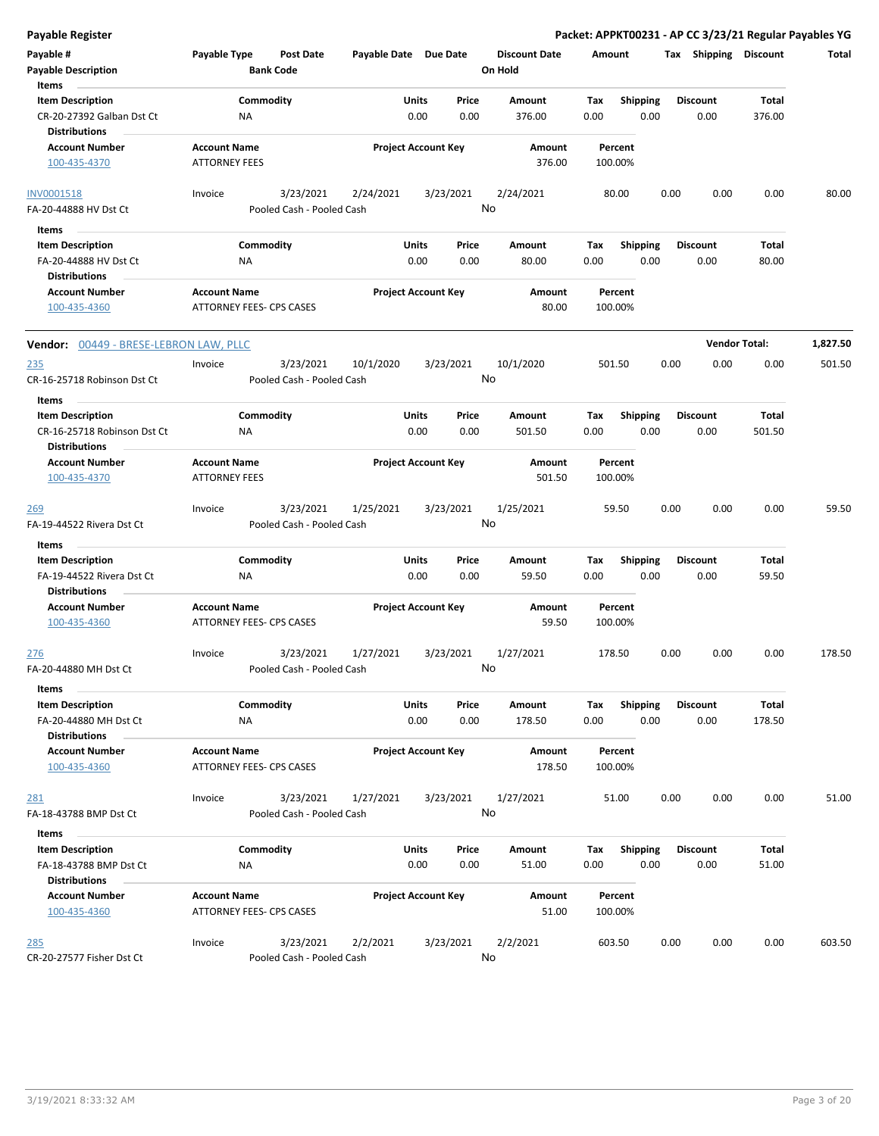| Payable #<br><b>Payable Description</b><br>Items<br>$\sim$                   | Payable Type                                    | <b>Post Date</b><br><b>Bank Code</b>   |           | Payable Date Due Date<br><b>Discount Date</b><br>On Hold |                  |                    | Amount           |      | Tax Shipping            | Discount             | Total    |
|------------------------------------------------------------------------------|-------------------------------------------------|----------------------------------------|-----------|----------------------------------------------------------|------------------|--------------------|------------------|------|-------------------------|----------------------|----------|
| <b>Item Description</b><br>CR-20-27392 Galban Dst Ct<br><b>Distributions</b> | <b>NA</b>                                       | Commodity                              |           | Units<br>Price<br>0.00<br>0.00                           | Amount<br>376.00 | Tax<br>0.00        | Shipping<br>0.00 |      | <b>Discount</b><br>0.00 | Total<br>376.00      |          |
| <b>Account Number</b><br>100-435-4370                                        | <b>Account Name</b><br><b>ATTORNEY FEES</b>     |                                        |           | <b>Project Account Key</b>                               | Amount<br>376.00 | Percent<br>100.00% |                  |      |                         |                      |          |
| <b>INV0001518</b><br>FA-20-44888 HV Dst Ct                                   | Invoice                                         | 3/23/2021<br>Pooled Cash - Pooled Cash | 2/24/2021 | 3/23/2021                                                | 2/24/2021<br>No  | 80.00              |                  | 0.00 | 0.00                    | 0.00                 | 80.00    |
| Items                                                                        |                                                 |                                        |           |                                                          |                  |                    |                  |      |                         |                      |          |
| <b>Item Description</b>                                                      |                                                 | Commodity                              |           | Units<br>Price                                           | Amount           | Тах                | <b>Shipping</b>  |      | <b>Discount</b>         | Total                |          |
| FA-20-44888 HV Dst Ct<br><b>Distributions</b>                                | ΝA                                              |                                        |           | 0.00<br>0.00                                             | 80.00            | 0.00               | 0.00             |      | 0.00                    | 80.00                |          |
| <b>Account Number</b>                                                        | <b>Account Name</b>                             |                                        |           | <b>Project Account Key</b>                               | Amount           | Percent            |                  |      |                         |                      |          |
| 100-435-4360                                                                 | ATTORNEY FEES- CPS CASES                        |                                        |           |                                                          | 80.00            | 100.00%            |                  |      |                         |                      |          |
| <b>Vendor:</b> 00449 - BRESE-LEBRON LAW, PLLC                                |                                                 |                                        |           |                                                          |                  |                    |                  |      |                         | <b>Vendor Total:</b> | 1,827.50 |
| <u>235</u><br>CR-16-25718 Robinson Dst Ct                                    | Invoice                                         | 3/23/2021<br>Pooled Cash - Pooled Cash | 10/1/2020 | 3/23/2021                                                | 10/1/2020<br>No  | 501.50             |                  | 0.00 | 0.00                    | 0.00                 | 501.50   |
| Items                                                                        |                                                 |                                        |           |                                                          |                  |                    |                  |      |                         |                      |          |
| <b>Item Description</b>                                                      |                                                 | Commodity                              |           | Units<br>Price                                           | Amount           | Tax                | <b>Shipping</b>  |      | <b>Discount</b>         | <b>Total</b>         |          |
| CR-16-25718 Robinson Dst Ct<br><b>Distributions</b>                          | ΝA                                              |                                        |           | 0.00<br>0.00                                             | 501.50           | 0.00               | 0.00             |      | 0.00                    | 501.50               |          |
| <b>Account Number</b>                                                        | <b>Account Name</b>                             |                                        |           | <b>Project Account Key</b>                               | Amount           | Percent            |                  |      |                         |                      |          |
| 100-435-4370                                                                 | <b>ATTORNEY FEES</b>                            |                                        |           |                                                          | 501.50           | 100.00%            |                  |      |                         |                      |          |
| <u> 269</u><br>FA-19-44522 Rivera Dst Ct                                     | Invoice                                         | 3/23/2021<br>Pooled Cash - Pooled Cash | 1/25/2021 | 3/23/2021                                                | 1/25/2021<br>No  | 59.50              |                  | 0.00 | 0.00                    | 0.00                 | 59.50    |
| Items                                                                        |                                                 |                                        |           |                                                          |                  |                    |                  |      |                         |                      |          |
| <b>Item Description</b>                                                      |                                                 | Commodity                              |           | Units<br>Price                                           | Amount           | Tax                | <b>Shipping</b>  |      | <b>Discount</b>         | Total                |          |
| FA-19-44522 Rivera Dst Ct<br><b>Distributions</b>                            | <b>NA</b>                                       |                                        |           | 0.00<br>0.00                                             | 59.50            | 0.00               | 0.00             |      | 0.00                    | 59.50                |          |
| <b>Account Number</b><br>100-435-4360                                        | <b>Account Name</b><br>ATTORNEY FEES- CPS CASES |                                        |           | <b>Project Account Key</b>                               | Amount<br>59.50  | Percent<br>100.00% |                  |      |                         |                      |          |
| 276<br>FA-20-44880 MH Dst Ct                                                 | Invoice                                         | 3/23/2021<br>Pooled Cash - Pooled Cash | 1/27/2021 | 3/23/2021                                                | 1/27/2021<br>No  | 178.50             |                  | 0.00 | 0.00                    | 0.00                 | 178.50   |
| Items                                                                        |                                                 |                                        |           |                                                          |                  |                    |                  |      |                         |                      |          |
| <b>Item Description</b>                                                      |                                                 | Commodity                              |           | Units<br>Price                                           | Amount           | Тах                | Shipping         |      | <b>Discount</b>         | Total                |          |
| FA-20-44880 MH Dst Ct                                                        | NA                                              |                                        |           | 0.00<br>0.00                                             | 178.50           | 0.00               | 0.00             |      | 0.00                    | 178.50               |          |
| <b>Distributions</b>                                                         |                                                 |                                        |           |                                                          |                  |                    |                  |      |                         |                      |          |
| <b>Account Number</b><br>100-435-4360                                        | <b>Account Name</b><br>ATTORNEY FEES- CPS CASES |                                        |           | <b>Project Account Key</b>                               | Amount<br>178.50 | Percent<br>100.00% |                  |      |                         |                      |          |
| <u>281</u>                                                                   | Invoice                                         | 3/23/2021                              | 1/27/2021 | 3/23/2021                                                | 1/27/2021        | 51.00              |                  | 0.00 | 0.00                    | 0.00                 | 51.00    |
| FA-18-43788 BMP Dst Ct                                                       |                                                 | Pooled Cash - Pooled Cash              |           |                                                          | No               |                    |                  |      |                         |                      |          |
| Items                                                                        |                                                 |                                        |           |                                                          |                  |                    |                  |      |                         |                      |          |
| <b>Item Description</b>                                                      |                                                 | Commodity                              |           | <b>Units</b><br>Price                                    | Amount           | Tax                | <b>Shipping</b>  |      | <b>Discount</b>         | Total                |          |
| FA-18-43788 BMP Dst Ct                                                       | NA                                              |                                        |           | 0.00<br>0.00                                             | 51.00            | 0.00               | 0.00             |      | 0.00                    | 51.00                |          |
| <b>Distributions</b>                                                         |                                                 |                                        |           |                                                          |                  |                    |                  |      |                         |                      |          |
| <b>Account Number</b>                                                        | <b>Account Name</b>                             |                                        |           | <b>Project Account Key</b>                               | Amount           | Percent            |                  |      |                         |                      |          |
| 100-435-4360                                                                 | ATTORNEY FEES- CPS CASES                        |                                        |           |                                                          | 51.00            | 100.00%            |                  |      |                         |                      |          |
| <u>285</u><br>CR-20-27577 Fisher Dst Ct                                      | Invoice                                         | 3/23/2021<br>Pooled Cash - Pooled Cash | 2/2/2021  | 3/23/2021                                                | 2/2/2021<br>No   | 603.50             |                  | 0.00 | 0.00                    | 0.00                 | 603.50   |
|                                                                              |                                                 |                                        |           |                                                          |                  |                    |                  |      |                         |                      |          |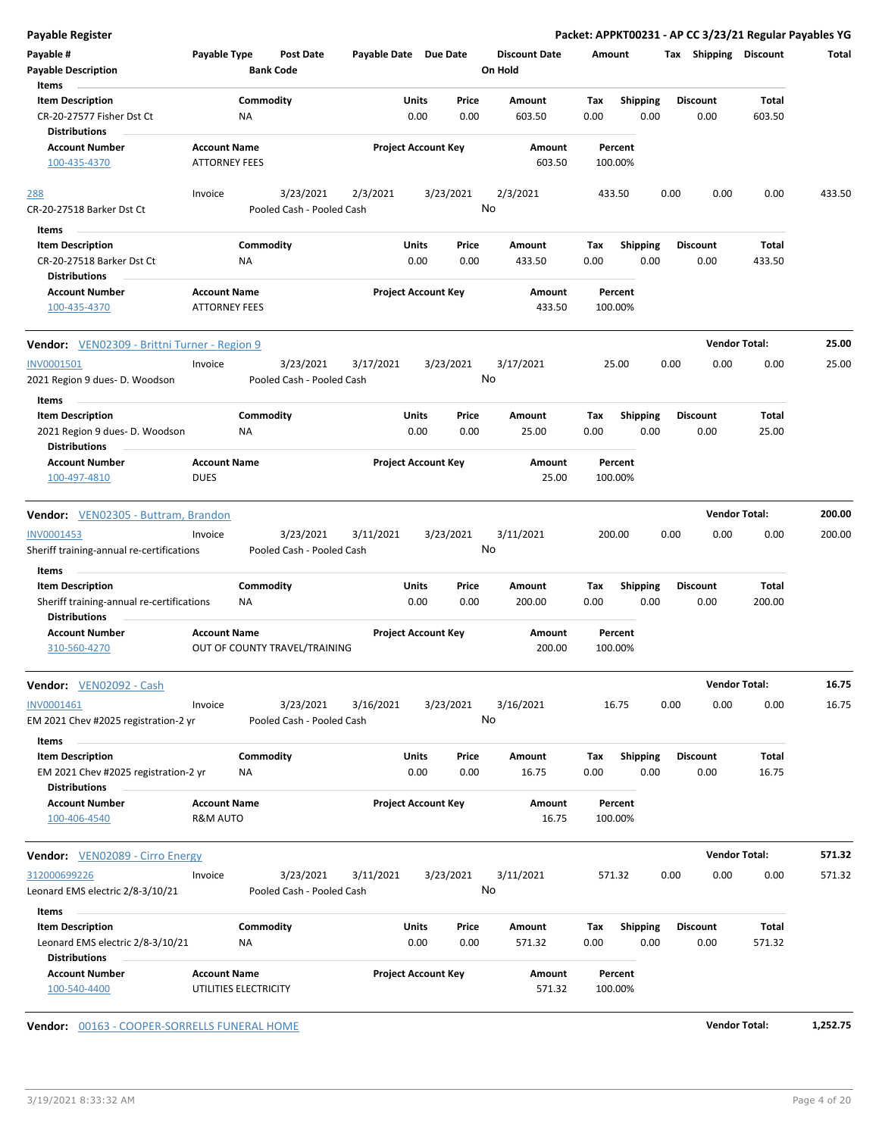| <b>Payable Register</b>                                      |                                              |                  |                                        |                       |       |                            |                      |             |                         |      |                         | Packet: APPKT00231 - AP CC 3/23/21 Regular Payables YG |        |
|--------------------------------------------------------------|----------------------------------------------|------------------|----------------------------------------|-----------------------|-------|----------------------------|----------------------|-------------|-------------------------|------|-------------------------|--------------------------------------------------------|--------|
| Payable #                                                    | Payable Type                                 |                  | <b>Post Date</b>                       | Payable Date Due Date |       |                            | <b>Discount Date</b> | Amount      |                         |      | Tax Shipping Discount   |                                                        | Total  |
| <b>Payable Description</b>                                   |                                              | <b>Bank Code</b> |                                        |                       |       |                            | On Hold              |             |                         |      |                         |                                                        |        |
| Items                                                        |                                              |                  |                                        |                       |       |                            |                      |             |                         |      |                         |                                                        |        |
| <b>Item Description</b>                                      |                                              | Commodity        |                                        |                       | Units | Price                      | Amount               | Tax         | <b>Shipping</b>         |      | <b>Discount</b>         | <b>Total</b>                                           |        |
| CR-20-27577 Fisher Dst Ct<br><b>Distributions</b>            |                                              | ΝA               |                                        |                       | 0.00  | 0.00                       | 603.50               | 0.00        | 0.00                    |      | 0.00                    | 603.50                                                 |        |
| <b>Account Number</b><br>100-435-4370                        | <b>Account Name</b><br><b>ATTORNEY FEES</b>  |                  |                                        |                       |       | <b>Project Account Key</b> | Amount<br>603.50     |             | Percent<br>100.00%      |      |                         |                                                        |        |
|                                                              |                                              |                  |                                        |                       |       |                            |                      |             |                         |      |                         |                                                        |        |
| 288                                                          | Invoice                                      |                  | 3/23/2021                              | 2/3/2021              |       | 3/23/2021                  | 2/3/2021             |             | 433.50                  | 0.00 | 0.00                    | 0.00                                                   | 433.50 |
| CR-20-27518 Barker Dst Ct                                    |                                              |                  | Pooled Cash - Pooled Cash              |                       |       | No                         |                      |             |                         |      |                         |                                                        |        |
| Items                                                        |                                              |                  |                                        |                       |       |                            |                      |             |                         |      |                         |                                                        |        |
| <b>Item Description</b>                                      |                                              | Commodity        |                                        |                       | Units | Price                      | Amount               | Tax         | <b>Shipping</b>         |      | <b>Discount</b>         | <b>Total</b>                                           |        |
| CR-20-27518 Barker Dst Ct<br><b>Distributions</b>            |                                              | ΝA               |                                        |                       | 0.00  | 0.00                       | 433.50               | 0.00        | 0.00                    |      | 0.00                    | 433.50                                                 |        |
| <b>Account Number</b><br>100-435-4370                        | <b>Account Name</b><br><b>ATTORNEY FEES</b>  |                  |                                        |                       |       | <b>Project Account Key</b> | Amount<br>433.50     |             | Percent<br>100.00%      |      |                         |                                                        |        |
| <b>Vendor:</b> VEN02309 - Brittni Turner - Region 9          |                                              |                  |                                        |                       |       |                            |                      |             |                         |      | <b>Vendor Total:</b>    |                                                        | 25.00  |
| INV0001501                                                   | Invoice                                      |                  | 3/23/2021                              | 3/17/2021             |       | 3/23/2021                  | 3/17/2021            |             | 25.00                   | 0.00 | 0.00                    | 0.00                                                   | 25.00  |
| 2021 Region 9 dues- D. Woodson                               |                                              |                  | Pooled Cash - Pooled Cash              |                       |       | No                         |                      |             |                         |      |                         |                                                        |        |
| Items                                                        |                                              |                  |                                        |                       |       |                            |                      |             |                         |      |                         |                                                        |        |
| <b>Item Description</b>                                      |                                              | Commodity        |                                        |                       | Units | Price                      | Amount               | Tax         | <b>Shipping</b>         |      | <b>Discount</b>         | Total                                                  |        |
| 2021 Region 9 dues- D. Woodson<br><b>Distributions</b>       |                                              | NA               |                                        |                       | 0.00  | 0.00                       | 25.00                | 0.00        | 0.00                    |      | 0.00                    | 25.00                                                  |        |
| <b>Account Number</b>                                        | <b>Account Name</b>                          |                  |                                        |                       |       | <b>Project Account Key</b> | Amount               |             | Percent                 |      |                         |                                                        |        |
| 100-497-4810                                                 | <b>DUES</b>                                  |                  |                                        |                       |       |                            | 25.00                |             | 100.00%                 |      |                         |                                                        |        |
| Vendor: VEN02305 - Buttram, Brandon                          |                                              |                  |                                        |                       |       |                            |                      |             |                         |      | <b>Vendor Total:</b>    |                                                        | 200.00 |
|                                                              |                                              |                  |                                        |                       |       |                            |                      |             |                         |      |                         |                                                        |        |
| INV0001453<br>Sheriff training-annual re-certifications      | Invoice                                      |                  | 3/23/2021<br>Pooled Cash - Pooled Cash | 3/11/2021             |       | 3/23/2021<br>No            | 3/11/2021            |             | 200.00                  | 0.00 | 0.00                    | 0.00                                                   | 200.00 |
|                                                              |                                              |                  |                                        |                       |       |                            |                      |             |                         |      |                         |                                                        |        |
| Items<br><b>Item Description</b>                             |                                              |                  |                                        |                       | Units |                            | Amount               |             |                         |      |                         |                                                        |        |
| Sheriff training-annual re-certifications                    |                                              | Commodity<br>ΝA  |                                        |                       | 0.00  | Price<br>0.00              | 200.00               | Tax<br>0.00 | <b>Shipping</b><br>0.00 |      | <b>Discount</b><br>0.00 | Total<br>200.00                                        |        |
| <b>Distributions</b>                                         |                                              |                  |                                        |                       |       |                            |                      |             |                         |      |                         |                                                        |        |
| <b>Account Number</b>                                        | <b>Account Name</b>                          |                  |                                        |                       |       | <b>Project Account Key</b> | <b>Amount</b>        |             | Percent                 |      |                         |                                                        |        |
| 310-560-4270                                                 |                                              |                  | OUT OF COUNTY TRAVEL/TRAINING          |                       |       |                            | 200.00               |             | 100.00%                 |      |                         |                                                        |        |
| Vendor: VEN02092 - Cash                                      |                                              |                  |                                        |                       |       |                            |                      |             |                         |      | <b>Vendor Total:</b>    |                                                        | 16.75  |
| INV0001461                                                   | Invoice                                      |                  | 3/23/2021                              | 3/16/2021             |       | 3/23/2021                  | 3/16/2021            |             | 16.75                   | 0.00 | 0.00                    | 0.00                                                   | 16.75  |
| EM 2021 Chev #2025 registration-2 yr                         |                                              |                  | Pooled Cash - Pooled Cash              |                       |       | No                         |                      |             |                         |      |                         |                                                        |        |
| Items                                                        |                                              |                  |                                        |                       |       |                            |                      |             |                         |      |                         |                                                        |        |
| <b>Item Description</b>                                      |                                              | Commodity        |                                        |                       | Units | Price                      | Amount               | Тах         | <b>Shipping</b>         |      | <b>Discount</b>         | <b>Total</b>                                           |        |
| EM 2021 Chev #2025 registration-2 yr<br><b>Distributions</b> |                                              | ΝA               |                                        |                       | 0.00  | 0.00                       | 16.75                | 0.00        | 0.00                    |      | 0.00                    | 16.75                                                  |        |
| <b>Account Number</b>                                        | <b>Account Name</b>                          |                  |                                        |                       |       | <b>Project Account Key</b> | Amount               |             | Percent                 |      |                         |                                                        |        |
| 100-406-4540                                                 | <b>R&amp;M AUTO</b>                          |                  |                                        |                       |       |                            | 16.75                |             | 100.00%                 |      |                         |                                                        |        |
| <b>Vendor:</b> VEN02089 - Cirro Energy                       |                                              |                  |                                        |                       |       |                            |                      |             |                         |      | <b>Vendor Total:</b>    |                                                        | 571.32 |
| 312000699226                                                 | Invoice                                      |                  | 3/23/2021                              | 3/11/2021             |       | 3/23/2021                  | 3/11/2021            |             | 571.32                  | 0.00 | 0.00                    | 0.00                                                   | 571.32 |
| Leonard EMS electric 2/8-3/10/21                             |                                              |                  | Pooled Cash - Pooled Cash              |                       |       | No                         |                      |             |                         |      |                         |                                                        |        |
| Items                                                        |                                              |                  |                                        |                       |       |                            |                      |             |                         |      |                         |                                                        |        |
| <b>Item Description</b>                                      |                                              | Commodity        |                                        |                       | Units | Price                      | Amount               | Тах         | Shipping                |      | <b>Discount</b>         | Total                                                  |        |
| Leonard EMS electric 2/8-3/10/21                             |                                              | ΝA               |                                        |                       | 0.00  | 0.00                       | 571.32               | 0.00        | 0.00                    |      | 0.00                    | 571.32                                                 |        |
| <b>Distributions</b>                                         |                                              |                  |                                        |                       |       |                            |                      |             |                         |      |                         |                                                        |        |
| <b>Account Number</b><br>100-540-4400                        | <b>Account Name</b><br>UTILITIES ELECTRICITY |                  |                                        |                       |       | <b>Project Account Key</b> | Amount<br>571.32     |             | Percent<br>100.00%      |      |                         |                                                        |        |
|                                                              |                                              |                  |                                        |                       |       |                            |                      |             |                         |      |                         |                                                        |        |

**Vendor:** 00163 - COOPER-SORRELLS FUNERAL HOME **Vendor Total: 1,252.75**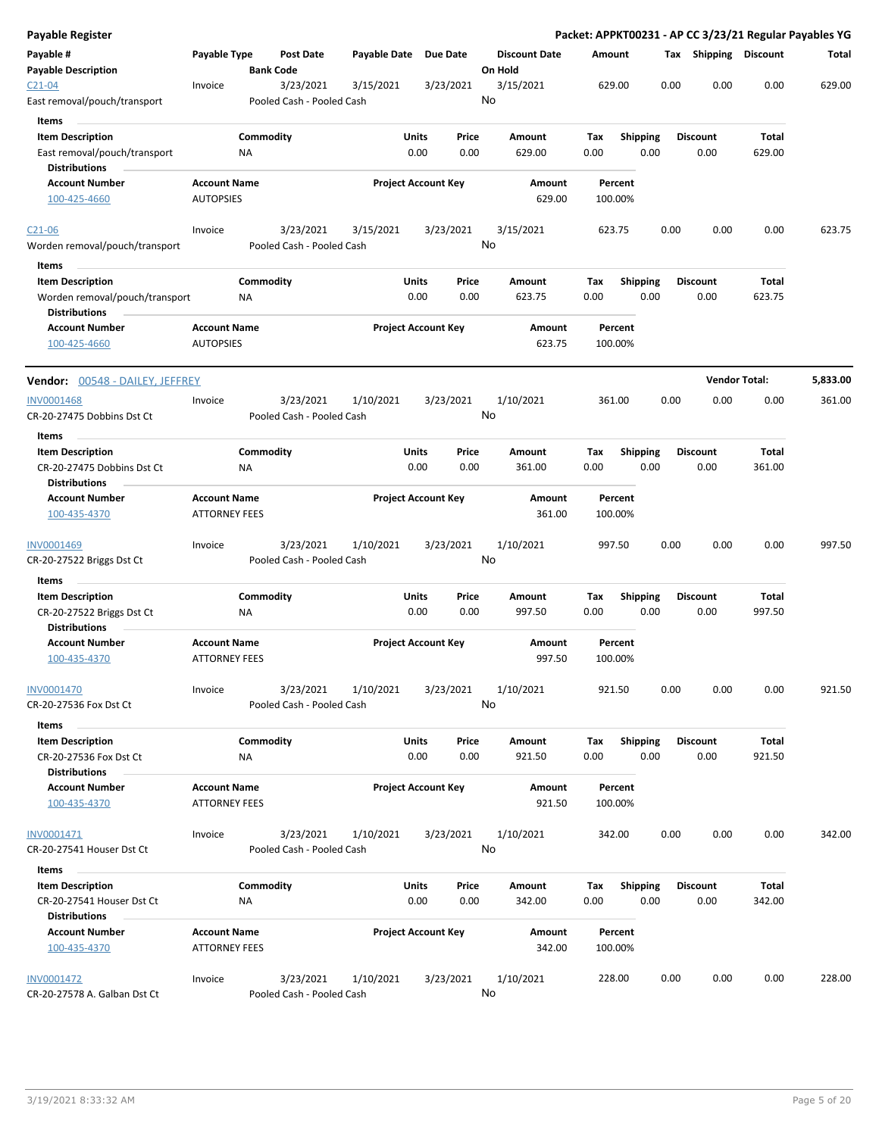| Payable Register                                                                  |                                             |                  |                                        |                       |                            |               |                                 |             |                    |      |                         | Packet: APPKT00231 - AP CC 3/23/21 Regular Payables YG |          |
|-----------------------------------------------------------------------------------|---------------------------------------------|------------------|----------------------------------------|-----------------------|----------------------------|---------------|---------------------------------|-------------|--------------------|------|-------------------------|--------------------------------------------------------|----------|
| Payable #<br><b>Payable Description</b>                                           | Payable Type                                | <b>Bank Code</b> | Post Date                              | Payable Date Due Date |                            |               | <b>Discount Date</b><br>On Hold |             | Amount             |      | Tax Shipping Discount   |                                                        | Total    |
| $C21 - 04$<br>East removal/pouch/transport                                        | Invoice                                     |                  | 3/23/2021<br>Pooled Cash - Pooled Cash | 3/15/2021             |                            | 3/23/2021     | 3/15/2021<br>No                 |             | 629.00             | 0.00 | 0.00                    | 0.00                                                   | 629.00   |
| <b>Items</b><br><b>Item Description</b>                                           |                                             | Commodity        |                                        |                       | <b>Units</b>               | Price         | Amount                          | Tax         | <b>Shipping</b>    |      | <b>Discount</b>         | Total                                                  |          |
| East removal/pouch/transport<br><b>Distributions</b>                              |                                             | ΝA               |                                        |                       | 0.00                       | 0.00          | 629.00                          | 0.00        |                    | 0.00 | 0.00                    | 629.00                                                 |          |
| <b>Account Number</b><br>100-425-4660                                             | <b>Account Name</b><br><b>AUTOPSIES</b>     |                  |                                        |                       | <b>Project Account Key</b> |               | Amount<br>629.00                |             | Percent<br>100.00% |      |                         |                                                        |          |
| $C21 - 06$<br>Worden removal/pouch/transport                                      | Invoice                                     |                  | 3/23/2021<br>Pooled Cash - Pooled Cash | 3/15/2021             |                            | 3/23/2021     | 3/15/2021<br>No                 |             | 623.75             | 0.00 | 0.00                    | 0.00                                                   | 623.75   |
| Items                                                                             |                                             |                  |                                        |                       |                            |               |                                 |             |                    |      |                         |                                                        |          |
| <b>Item Description</b><br>Worden removal/pouch/transport<br><b>Distributions</b> |                                             | Commodity<br>NA  |                                        |                       | Units<br>0.00              | Price<br>0.00 | Amount<br>623.75                | Tax<br>0.00 | <b>Shipping</b>    | 0.00 | <b>Discount</b><br>0.00 | Total<br>623.75                                        |          |
| <b>Account Number</b><br>100-425-4660                                             | <b>Account Name</b><br><b>AUTOPSIES</b>     |                  |                                        |                       | <b>Project Account Key</b> |               | Amount<br>623.75                |             | Percent<br>100.00% |      |                         |                                                        |          |
| Vendor: 00548 - DAILEY, JEFFREY                                                   |                                             |                  |                                        |                       |                            |               |                                 |             |                    |      |                         | <b>Vendor Total:</b>                                   | 5,833.00 |
| <b>INV0001468</b><br>CR-20-27475 Dobbins Dst Ct                                   | Invoice                                     |                  | 3/23/2021<br>Pooled Cash - Pooled Cash | 1/10/2021             |                            | 3/23/2021     | 1/10/2021<br>No                 |             | 361.00             | 0.00 | 0.00                    | 0.00                                                   | 361.00   |
| Items                                                                             |                                             |                  |                                        |                       |                            |               |                                 |             |                    |      |                         |                                                        |          |
| <b>Item Description</b><br>CR-20-27475 Dobbins Dst Ct<br><b>Distributions</b>     |                                             | Commodity<br>ΝA  |                                        |                       | Units<br>0.00              | Price<br>0.00 | Amount<br>361.00                | Tax<br>0.00 | <b>Shipping</b>    | 0.00 | <b>Discount</b><br>0.00 | Total<br>361.00                                        |          |
| <b>Account Number</b><br>100-435-4370                                             | <b>Account Name</b><br><b>ATTORNEY FEES</b> |                  |                                        |                       | <b>Project Account Key</b> |               | Amount<br>361.00                |             | Percent<br>100.00% |      |                         |                                                        |          |
| INV0001469<br>CR-20-27522 Briggs Dst Ct                                           | Invoice                                     |                  | 3/23/2021<br>Pooled Cash - Pooled Cash | 1/10/2021             |                            | 3/23/2021     | 1/10/2021<br>No                 |             | 997.50             | 0.00 | 0.00                    | 0.00                                                   | 997.50   |
| Items                                                                             |                                             |                  |                                        |                       |                            |               |                                 |             |                    |      |                         |                                                        |          |
| <b>Item Description</b>                                                           |                                             | Commodity        |                                        |                       | Units                      | Price         | Amount                          | Tax         | <b>Shipping</b>    |      | <b>Discount</b>         | Total                                                  |          |
| CR-20-27522 Briggs Dst Ct<br><b>Distributions</b>                                 |                                             | ΝA               |                                        |                       | 0.00                       | 0.00          | 997.50                          | 0.00        |                    | 0.00 | 0.00                    | 997.50                                                 |          |
| <b>Account Number</b><br>100-435-4370                                             | <b>Account Name</b><br><b>ATTORNEY FEES</b> |                  |                                        |                       | <b>Project Account Key</b> |               | Amount<br>997.50                |             | Percent<br>100.00% |      |                         |                                                        |          |
| <b>INV0001470</b><br>CR-20-27536 Fox Dst Ct                                       | Invoice                                     |                  | 3/23/2021<br>Pooled Cash - Pooled Cash | 1/10/2021             |                            | 3/23/2021     | 1/10/2021<br>No                 |             | 921.50             | 0.00 | 0.00                    | 0.00                                                   | 921.50   |
| Items                                                                             |                                             |                  |                                        |                       |                            |               |                                 |             |                    |      |                         |                                                        |          |
| <b>Item Description</b><br>CR-20-27536 Fox Dst Ct                                 |                                             | Commodity<br>NA  |                                        |                       | Units<br>0.00              | Price<br>0.00 | Amount<br>921.50                | Тах<br>0.00 | Shipping           | 0.00 | <b>Discount</b><br>0.00 | Total<br>921.50                                        |          |
| <b>Distributions</b><br><b>Account Number</b><br>100-435-4370                     | <b>Account Name</b><br><b>ATTORNEY FEES</b> |                  |                                        |                       | <b>Project Account Key</b> |               | Amount<br>921.50                |             | Percent<br>100.00% |      |                         |                                                        |          |
| INV0001471                                                                        | Invoice                                     |                  | 3/23/2021                              | 1/10/2021             |                            | 3/23/2021     | 1/10/2021<br>No                 |             | 342.00             | 0.00 | 0.00                    | 0.00                                                   | 342.00   |
| CR-20-27541 Houser Dst Ct                                                         |                                             |                  | Pooled Cash - Pooled Cash              |                       |                            |               |                                 |             |                    |      |                         |                                                        |          |
| Items                                                                             |                                             |                  |                                        |                       |                            |               |                                 |             |                    |      |                         |                                                        |          |
| <b>Item Description</b><br>CR-20-27541 Houser Dst Ct<br><b>Distributions</b>      |                                             | Commodity<br>ΝA  |                                        |                       | Units<br>0.00              | Price<br>0.00 | Amount<br>342.00                | Tax<br>0.00 | <b>Shipping</b>    | 0.00 | <b>Discount</b><br>0.00 | Total<br>342.00                                        |          |
| <b>Account Number</b><br>100-435-4370                                             | <b>Account Name</b><br><b>ATTORNEY FEES</b> |                  |                                        |                       | <b>Project Account Key</b> |               | Amount<br>342.00                |             | Percent<br>100.00% |      |                         |                                                        |          |
| INV0001472<br>CR-20-27578 A. Galban Dst Ct                                        | Invoice                                     |                  | 3/23/2021<br>Pooled Cash - Pooled Cash | 1/10/2021             |                            | 3/23/2021     | 1/10/2021<br>No                 |             | 228.00             | 0.00 | 0.00                    | 0.00                                                   | 228.00   |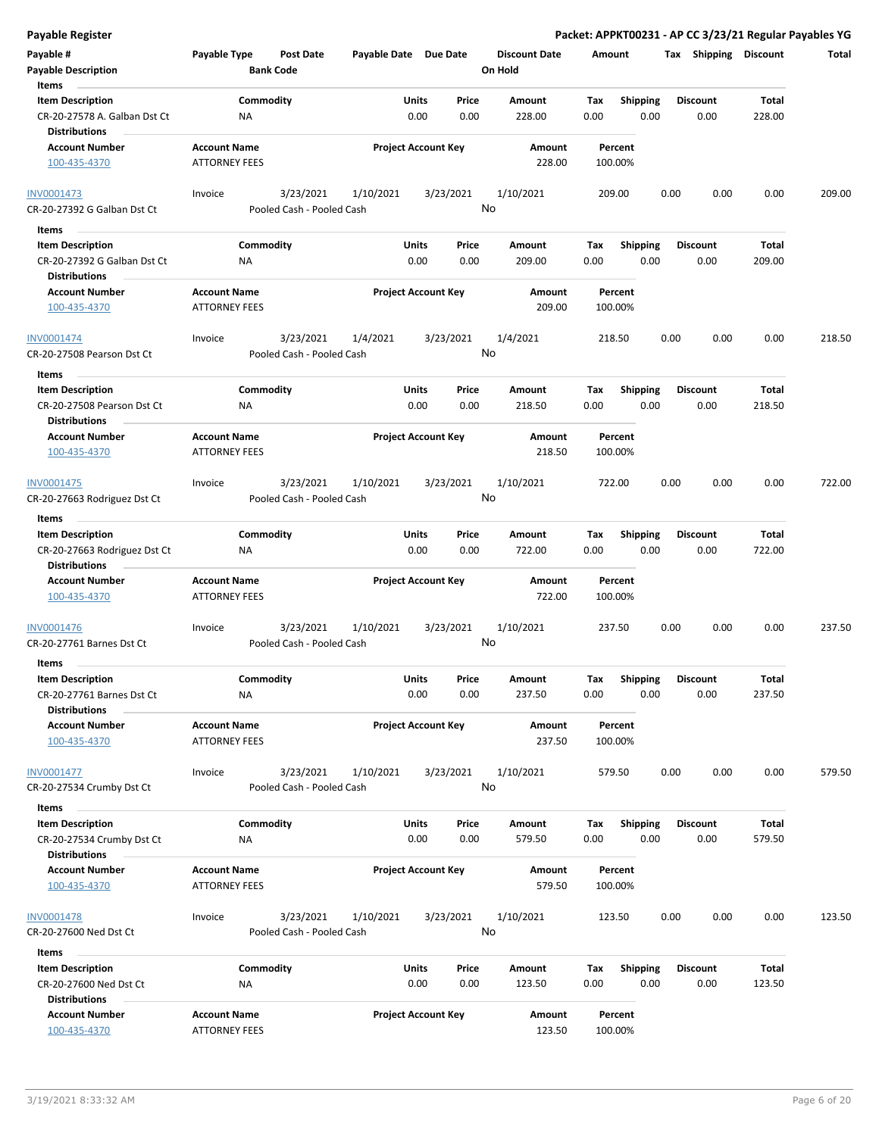|  | Payable Register |
|--|------------------|

| Payable Register                                                                         |                                             |                                        |                       |                                            |    |                                 |             |                         |      |                         |                 | Packet: APPKT00231 - AP CC 3/23/21 Regular Payables YG |
|------------------------------------------------------------------------------------------|---------------------------------------------|----------------------------------------|-----------------------|--------------------------------------------|----|---------------------------------|-------------|-------------------------|------|-------------------------|-----------------|--------------------------------------------------------|
| Payable #<br><b>Payable Description</b>                                                  | Payable Type                                | <b>Post Date</b><br><b>Bank Code</b>   | Payable Date Due Date |                                            |    | <b>Discount Date</b><br>On Hold | Amount      |                         |      | Tax Shipping Discount   |                 | Total                                                  |
| Items<br><b>Item Description</b><br>CR-20-27578 A. Galban Dst Ct<br><b>Distributions</b> | Commodity<br>ΝA                             |                                        |                       | Price<br>Units<br>0.00<br>0.00             |    | Amount<br>228.00                | Tax<br>0.00 | Shipping<br>0.00        |      | <b>Discount</b><br>0.00 | Total<br>228.00 |                                                        |
| <b>Account Number</b><br>100-435-4370                                                    | <b>Account Name</b><br><b>ATTORNEY FEES</b> |                                        |                       | <b>Project Account Key</b>                 |    | Amount<br>228.00                |             | Percent<br>100.00%      |      |                         |                 |                                                        |
| <b>INV0001473</b><br>CR-20-27392 G Galban Dst Ct                                         | Invoice                                     | 3/23/2021<br>Pooled Cash - Pooled Cash | 1/10/2021             | 3/23/2021                                  | No | 1/10/2021                       | 209.00      |                         | 0.00 | 0.00                    | 0.00            | 209.00                                                 |
| Items<br><b>Item Description</b><br>CR-20-27392 G Galban Dst Ct                          | Commodity<br>NA                             |                                        |                       | Units<br>Price<br>0.00<br>0.00             |    | Amount<br>209.00                | Tax<br>0.00 | <b>Shipping</b><br>0.00 |      | <b>Discount</b><br>0.00 | Total<br>209.00 |                                                        |
| <b>Distributions</b><br><b>Account Number</b><br>100-435-4370                            | <b>Account Name</b><br><b>ATTORNEY FEES</b> |                                        |                       | <b>Project Account Key</b>                 |    | Amount<br>209.00                |             | Percent<br>100.00%      |      |                         |                 |                                                        |
| INV0001474<br>CR-20-27508 Pearson Dst Ct                                                 | Invoice                                     | 3/23/2021<br>Pooled Cash - Pooled Cash | 1/4/2021              | 3/23/2021                                  | No | 1/4/2021                        | 218.50      |                         | 0.00 | 0.00                    | 0.00            | 218.50                                                 |
| Items<br><b>Item Description</b><br>CR-20-27508 Pearson Dst Ct<br><b>Distributions</b>   | Commodity<br>NA                             |                                        |                       | Units<br>Price<br>0.00<br>0.00             |    | Amount<br>218.50                | Tax<br>0.00 | <b>Shipping</b><br>0.00 |      | Discount<br>0.00        | Total<br>218.50 |                                                        |
| <b>Account Number</b><br>100-435-4370                                                    | <b>Account Name</b><br><b>ATTORNEY FEES</b> |                                        |                       | <b>Project Account Key</b>                 |    | Amount<br>218.50                |             | Percent<br>100.00%      |      |                         |                 |                                                        |
| INV0001475<br>CR-20-27663 Rodriguez Dst Ct                                               | Invoice                                     | 3/23/2021<br>Pooled Cash - Pooled Cash | 1/10/2021             | 3/23/2021                                  | No | 1/10/2021                       | 722.00      |                         | 0.00 | 0.00                    | 0.00            | 722.00                                                 |
| Items                                                                                    |                                             |                                        |                       |                                            |    |                                 |             |                         |      |                         |                 |                                                        |
| <b>Item Description</b><br>CR-20-27663 Rodriguez Dst Ct<br><b>Distributions</b>          | Commodity<br>ΝA                             |                                        |                       | Units<br>Price<br>0.00<br>0.00             |    | Amount<br>722.00                | Tax<br>0.00 | <b>Shipping</b><br>0.00 |      | <b>Discount</b><br>0.00 | Total<br>722.00 |                                                        |
| <b>Account Number</b><br>100-435-4370                                                    | <b>Account Name</b><br>ATTORNEY FEES        |                                        |                       | <b>Project Account Key</b>                 |    | Amount<br>722.00                |             | Percent<br>100.00%      |      |                         |                 |                                                        |
| INV0001476<br>CR-20-27761 Barnes Dst Ct                                                  | Invoice                                     | 3/23/2021<br>Pooled Cash - Pooled Cash | 1/10/2021             | 3/23/2021                                  | No | 1/10/2021                       | 237.50      |                         | 0.00 | 0.00                    | 0.00            | 237.50                                                 |
| Items                                                                                    |                                             |                                        |                       |                                            |    |                                 |             |                         |      |                         |                 |                                                        |
| <b>Item Description</b><br>CR-20-27761 Barnes Dst Ct<br><b>Distributions</b>             | Commodity<br>NA                             |                                        |                       | Units<br>Price<br>0.00<br>0.00             |    | Amount<br>237.50                | Tax<br>0.00 | Shipping<br>0.00        |      | <b>Discount</b><br>0.00 | Total<br>237.50 |                                                        |
| <b>Account Number</b><br>100-435-4370                                                    | <b>Account Name</b><br><b>ATTORNEY FEES</b> |                                        |                       | <b>Project Account Key</b>                 |    | Amount<br>237.50                |             | Percent<br>100.00%      |      |                         |                 |                                                        |
| INV0001477<br>CR-20-27534 Crumby Dst Ct                                                  | Invoice                                     | 3/23/2021<br>Pooled Cash - Pooled Cash | 1/10/2021             | 3/23/2021                                  | No | 1/10/2021                       | 579.50      |                         | 0.00 | 0.00                    | 0.00            | 579.50                                                 |
| Items                                                                                    |                                             |                                        |                       |                                            |    |                                 |             |                         |      |                         |                 |                                                        |
| <b>Item Description</b>                                                                  | Commodity                                   |                                        |                       | Units<br>Price                             |    | Amount                          | Tax         | Shipping                |      | <b>Discount</b>         | Total           |                                                        |
| CR-20-27534 Crumby Dst Ct<br><b>Distributions</b><br><b>Account Number</b>               | ΝA<br><b>Account Name</b>                   |                                        |                       | 0.00<br>0.00<br><b>Project Account Key</b> |    | 579.50<br>Amount                | 0.00        | 0.00<br>Percent         |      | 0.00                    | 579.50          |                                                        |
| 100-435-4370                                                                             | <b>ATTORNEY FEES</b>                        |                                        |                       |                                            |    | 579.50                          |             | 100.00%                 |      |                         |                 |                                                        |
| <b>INV0001478</b><br>CR-20-27600 Ned Dst Ct                                              | Invoice                                     | 3/23/2021<br>Pooled Cash - Pooled Cash | 1/10/2021             | 3/23/2021                                  | No | 1/10/2021                       | 123.50      |                         | 0.00 | 0.00                    | 0.00            | 123.50                                                 |
| Items                                                                                    |                                             |                                        |                       |                                            |    |                                 |             |                         |      |                         |                 |                                                        |
| <b>Item Description</b><br>CR-20-27600 Ned Dst Ct<br><b>Distributions</b>                | Commodity<br>ΝA                             |                                        |                       | Units<br>Price<br>0.00<br>0.00             |    | Amount<br>123.50                | Tax<br>0.00 | <b>Shipping</b><br>0.00 |      | Discount<br>0.00        | Total<br>123.50 |                                                        |
| <b>Account Number</b>                                                                    | <b>Account Name</b>                         |                                        |                       | <b>Project Account Key</b>                 |    | Amount                          |             | Percent                 |      |                         |                 |                                                        |
| 100-435-4370                                                                             | <b>ATTORNEY FEES</b>                        |                                        |                       |                                            |    | 123.50                          |             | 100.00%                 |      |                         |                 |                                                        |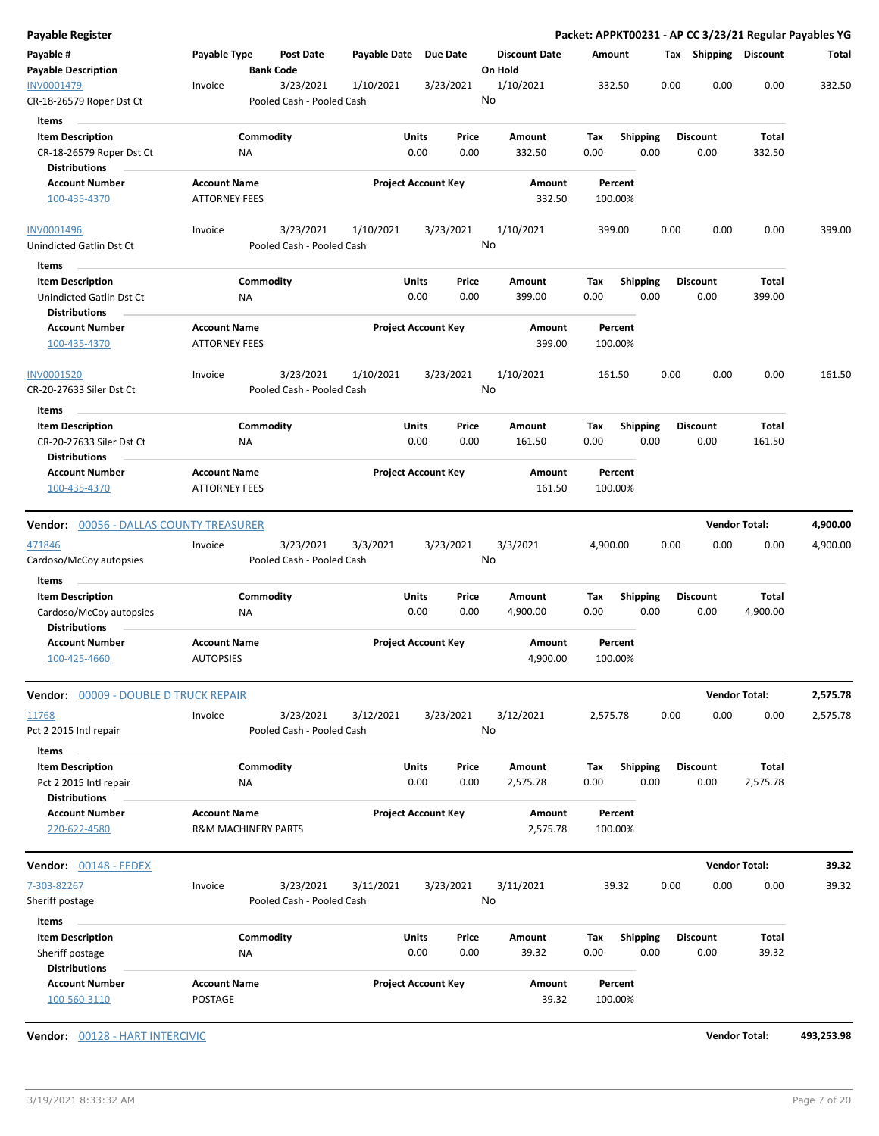| Payable #<br>Payable Type<br>Payable Date Due Date<br><b>Discount Date</b><br>Tax Shipping Discount<br>Post Date<br>Amount<br><b>Payable Description</b><br><b>Bank Code</b><br>On Hold<br>3/23/2021<br>1/10/2021<br>332.50<br>0.00<br>0.00<br>0.00<br>3/23/2021<br>1/10/2021<br>Invoice<br>No<br>CR-18-26579 Roper Dst Ct<br>Pooled Cash - Pooled Cash<br>Items<br><b>Item Description</b><br>Commodity<br>Units<br>Price<br><b>Shipping</b><br>Amount<br>Tax<br><b>Discount</b><br>Total<br>CR-18-26579 Roper Dst Ct<br>0.00<br>0.00<br>332.50<br>0.00<br>0.00<br>0.00<br>332.50<br>ΝA<br><b>Distributions</b><br><b>Account Number</b><br><b>Project Account Key</b><br><b>Account Name</b><br>Amount<br>Percent<br>332.50<br>100-435-4370<br><b>ATTORNEY FEES</b><br>100.00%<br>3/23/2021<br>1/10/2021<br>3/23/2021<br>1/10/2021<br>0.00<br>0.00<br>0.00<br>Invoice<br>399.00 | Total<br>332.50 |
|-----------------------------------------------------------------------------------------------------------------------------------------------------------------------------------------------------------------------------------------------------------------------------------------------------------------------------------------------------------------------------------------------------------------------------------------------------------------------------------------------------------------------------------------------------------------------------------------------------------------------------------------------------------------------------------------------------------------------------------------------------------------------------------------------------------------------------------------------------------------------------------|-----------------|
| INV0001479<br>INV0001496                                                                                                                                                                                                                                                                                                                                                                                                                                                                                                                                                                                                                                                                                                                                                                                                                                                          |                 |
|                                                                                                                                                                                                                                                                                                                                                                                                                                                                                                                                                                                                                                                                                                                                                                                                                                                                                   |                 |
|                                                                                                                                                                                                                                                                                                                                                                                                                                                                                                                                                                                                                                                                                                                                                                                                                                                                                   |                 |
|                                                                                                                                                                                                                                                                                                                                                                                                                                                                                                                                                                                                                                                                                                                                                                                                                                                                                   |                 |
|                                                                                                                                                                                                                                                                                                                                                                                                                                                                                                                                                                                                                                                                                                                                                                                                                                                                                   |                 |
|                                                                                                                                                                                                                                                                                                                                                                                                                                                                                                                                                                                                                                                                                                                                                                                                                                                                                   |                 |
|                                                                                                                                                                                                                                                                                                                                                                                                                                                                                                                                                                                                                                                                                                                                                                                                                                                                                   | 399.00          |
| No<br>Unindicted Gatlin Dst Ct<br>Pooled Cash - Pooled Cash                                                                                                                                                                                                                                                                                                                                                                                                                                                                                                                                                                                                                                                                                                                                                                                                                       |                 |
| Items                                                                                                                                                                                                                                                                                                                                                                                                                                                                                                                                                                                                                                                                                                                                                                                                                                                                             |                 |
| <b>Item Description</b><br>Commodity<br>Units<br>Price<br>Tax<br><b>Shipping</b><br><b>Discount</b><br><b>Total</b><br>Amount<br>0.00<br>0.00<br>Unindicted Gatlin Dst Ct<br>NA<br>0.00<br>399.00<br>0.00<br>0.00<br>399.00<br><b>Distributions</b>                                                                                                                                                                                                                                                                                                                                                                                                                                                                                                                                                                                                                               |                 |
| <b>Account Name</b><br><b>Project Account Key</b><br><b>Account Number</b><br>Amount<br>Percent                                                                                                                                                                                                                                                                                                                                                                                                                                                                                                                                                                                                                                                                                                                                                                                   |                 |
| <b>ATTORNEY FEES</b><br>399.00<br>100-435-4370<br>100.00%                                                                                                                                                                                                                                                                                                                                                                                                                                                                                                                                                                                                                                                                                                                                                                                                                         |                 |
| 3/23/2021<br>1/10/2021<br>3/23/2021<br>1/10/2021<br>161.50<br>0.00<br>0.00<br>0.00<br>INV0001520<br>Invoice<br>No<br>Pooled Cash - Pooled Cash<br>CR-20-27633 Siler Dst Ct                                                                                                                                                                                                                                                                                                                                                                                                                                                                                                                                                                                                                                                                                                        | 161.50          |
| Items                                                                                                                                                                                                                                                                                                                                                                                                                                                                                                                                                                                                                                                                                                                                                                                                                                                                             |                 |
| Commodity<br>Units<br><b>Shipping</b><br><b>Item Description</b><br>Price<br>Amount<br>Tax<br><b>Discount</b><br>Total<br>0.00<br>0.00<br>0.00<br>CR-20-27633 Siler Dst Ct<br>0.00<br>161.50<br>0.00<br>161.50<br>ΝA                                                                                                                                                                                                                                                                                                                                                                                                                                                                                                                                                                                                                                                              |                 |
| <b>Distributions</b><br><b>Project Account Key</b><br><b>Account Number</b><br><b>Account Name</b><br>Amount<br>Percent                                                                                                                                                                                                                                                                                                                                                                                                                                                                                                                                                                                                                                                                                                                                                           |                 |
| <b>ATTORNEY FEES</b><br>161.50<br>100.00%<br>100-435-4370                                                                                                                                                                                                                                                                                                                                                                                                                                                                                                                                                                                                                                                                                                                                                                                                                         |                 |
| <b>Vendor Total:</b><br><b>Vendor:</b> 00056 - DALLAS COUNTY TREASURER                                                                                                                                                                                                                                                                                                                                                                                                                                                                                                                                                                                                                                                                                                                                                                                                            | 4,900.00        |
| 3/23/2021<br>3/23/2021<br>3/3/2021<br>3/3/2021<br>0.00<br>0.00<br>0.00<br>471846<br>Invoice<br>4,900.00<br>No<br>Cardoso/McCoy autopsies<br>Pooled Cash - Pooled Cash                                                                                                                                                                                                                                                                                                                                                                                                                                                                                                                                                                                                                                                                                                             | 4,900.00        |
| Items                                                                                                                                                                                                                                                                                                                                                                                                                                                                                                                                                                                                                                                                                                                                                                                                                                                                             |                 |
| Commodity<br>Units<br><b>Shipping</b><br>Total<br><b>Item Description</b><br>Price<br>Amount<br>Tax<br><b>Discount</b><br>Cardoso/McCoy autopsies<br>0.00<br>0.00<br>0.00<br>0.00<br>0.00<br>4,900.00<br>ΝA<br>4,900.00<br><b>Distributions</b>                                                                                                                                                                                                                                                                                                                                                                                                                                                                                                                                                                                                                                   |                 |
| <b>Account Name</b><br><b>Project Account Key</b><br><b>Account Number</b><br>Amount<br>Percent<br>100-425-4660<br><b>AUTOPSIES</b><br>4,900.00<br>100.00%                                                                                                                                                                                                                                                                                                                                                                                                                                                                                                                                                                                                                                                                                                                        |                 |
| <b>Vendor Total:</b><br>Vendor: 00009 - DOUBLE D TRUCK REPAIR                                                                                                                                                                                                                                                                                                                                                                                                                                                                                                                                                                                                                                                                                                                                                                                                                     | 2,575.78        |
| 3/23/2021<br>3/12/2021<br>3/23/2021<br>3/12/2021<br>2,575.78<br>0.00<br>0.00<br>0.00<br>11768<br>Invoice<br>No<br>Pct 2 2015 Intl repair<br>Pooled Cash - Pooled Cash                                                                                                                                                                                                                                                                                                                                                                                                                                                                                                                                                                                                                                                                                                             | 2,575.78        |
| Items<br><b>Item Description</b><br>Commodity<br><b>Units</b><br><b>Total</b><br>Price<br>Amount<br>Tax<br><b>Shipping</b><br><b>Discount</b>                                                                                                                                                                                                                                                                                                                                                                                                                                                                                                                                                                                                                                                                                                                                     |                 |
| 0.00<br>0.00<br>2,575.78<br>0.00<br>0.00<br>0.00<br>2,575.78<br>Pct 2 2015 Intl repair<br>ΝA<br><b>Distributions</b>                                                                                                                                                                                                                                                                                                                                                                                                                                                                                                                                                                                                                                                                                                                                                              |                 |
| <b>Account Name</b><br><b>Project Account Key</b><br><b>Account Number</b><br>Amount<br>Percent                                                                                                                                                                                                                                                                                                                                                                                                                                                                                                                                                                                                                                                                                                                                                                                   |                 |
| <b>R&amp;M MACHINERY PARTS</b><br>2,575.78<br>100.00%<br>220-622-4580                                                                                                                                                                                                                                                                                                                                                                                                                                                                                                                                                                                                                                                                                                                                                                                                             |                 |
| <b>Vendor Total:</b><br><b>Vendor:</b> 00148 - FEDEX                                                                                                                                                                                                                                                                                                                                                                                                                                                                                                                                                                                                                                                                                                                                                                                                                              | 39.32           |
| 0.00<br>0.00<br>0.00<br>3/23/2021<br>3/11/2021<br>3/23/2021<br>3/11/2021<br>39.32<br>7-303-82267<br>Invoice                                                                                                                                                                                                                                                                                                                                                                                                                                                                                                                                                                                                                                                                                                                                                                       | 39.32           |
| No<br>Pooled Cash - Pooled Cash<br>Sheriff postage                                                                                                                                                                                                                                                                                                                                                                                                                                                                                                                                                                                                                                                                                                                                                                                                                                |                 |
| Items                                                                                                                                                                                                                                                                                                                                                                                                                                                                                                                                                                                                                                                                                                                                                                                                                                                                             |                 |
| <b>Item Description</b><br>Commodity<br>Units<br>Total<br>Price<br>Amount<br>Tax<br><b>Shipping</b><br><b>Discount</b>                                                                                                                                                                                                                                                                                                                                                                                                                                                                                                                                                                                                                                                                                                                                                            |                 |
| Sheriff postage<br>0.00<br>0.00<br>39.32<br>0.00<br>0.00<br>0.00<br>39.32<br>ΝA<br><b>Distributions</b>                                                                                                                                                                                                                                                                                                                                                                                                                                                                                                                                                                                                                                                                                                                                                                           |                 |
| <b>Project Account Key</b><br><b>Account Number</b><br><b>Account Name</b><br>Amount<br>Percent<br>POSTAGE<br>100-560-3110<br>39.32<br>100.00%                                                                                                                                                                                                                                                                                                                                                                                                                                                                                                                                                                                                                                                                                                                                    |                 |

**Vendor:** 00128 - HART INTERCIVIC **Vendor Total: 493,253.98**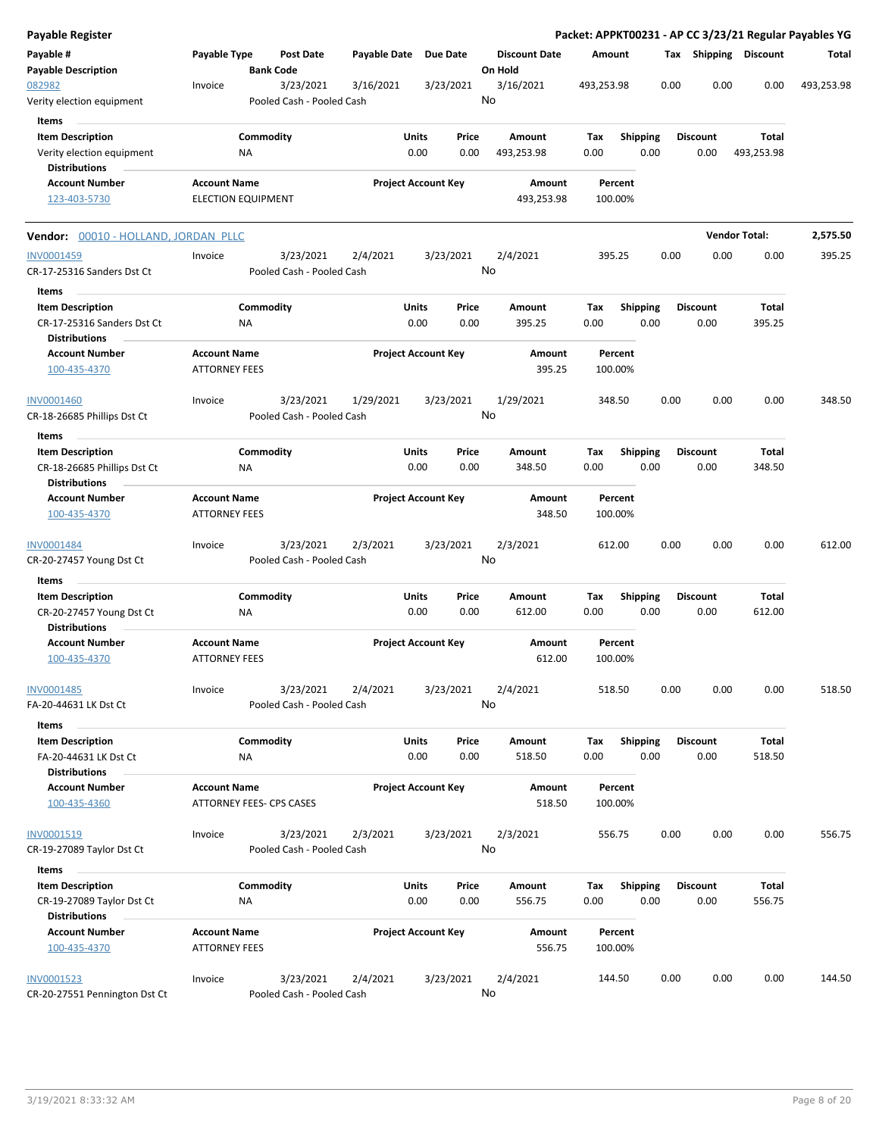| Payable Register                                    |                                             |                           |                                        |                       |               |                            |    |                                 |             |                    |                  |      |                         |                        | Packet: APPKT00231 - AP CC 3/23/21 Regular Payables YG |
|-----------------------------------------------------|---------------------------------------------|---------------------------|----------------------------------------|-----------------------|---------------|----------------------------|----|---------------------------------|-------------|--------------------|------------------|------|-------------------------|------------------------|--------------------------------------------------------|
| Payable #<br><b>Payable Description</b>             | Payable Type                                | <b>Bank Code</b>          | Post Date                              | Payable Date Due Date |               |                            |    | <b>Discount Date</b><br>On Hold | Amount      |                    |                  |      | Tax Shipping Discount   |                        | Total                                                  |
| 082982<br>Verity election equipment                 | Invoice                                     |                           | 3/23/2021<br>Pooled Cash - Pooled Cash | 3/16/2021             |               | 3/23/2021                  | No | 3/16/2021                       | 493,253.98  |                    |                  | 0.00 | 0.00                    | 0.00                   | 493,253.98                                             |
| Items                                               |                                             |                           |                                        |                       |               |                            |    |                                 |             |                    |                  |      |                         |                        |                                                        |
| <b>Item Description</b>                             |                                             | Commodity                 |                                        |                       | Units         | Price                      |    | Amount                          | Tax         |                    | <b>Shipping</b>  |      | <b>Discount</b>         | Total                  |                                                        |
| Verity election equipment                           |                                             | ΝA                        |                                        |                       | 0.00          | 0.00                       |    | 493,253.98                      | 0.00        |                    | 0.00             |      | 0.00                    | 493,253.98             |                                                        |
| <b>Distributions</b>                                |                                             |                           |                                        |                       |               |                            |    |                                 |             |                    |                  |      |                         |                        |                                                        |
| <b>Account Number</b>                               | <b>Account Name</b>                         |                           |                                        |                       |               | <b>Project Account Key</b> |    | Amount                          |             | Percent            |                  |      |                         |                        |                                                        |
| 123-403-5730                                        |                                             | <b>ELECTION EQUIPMENT</b> |                                        |                       |               |                            |    | 493,253.98                      |             | 100.00%            |                  |      |                         |                        |                                                        |
| Vendor: 00010 - HOLLAND, JORDAN PLLC                |                                             |                           |                                        |                       |               |                            |    |                                 |             |                    |                  |      |                         | <b>Vendor Total:</b>   | 2,575.50                                               |
| INV0001459                                          | Invoice                                     |                           | 3/23/2021                              | 2/4/2021              |               | 3/23/2021                  |    | 2/4/2021                        |             | 395.25             |                  | 0.00 | 0.00                    | 0.00                   | 395.25                                                 |
| CR-17-25316 Sanders Dst Ct                          |                                             |                           | Pooled Cash - Pooled Cash              |                       |               |                            | No |                                 |             |                    |                  |      |                         |                        |                                                        |
| Items                                               |                                             |                           |                                        |                       |               |                            |    |                                 |             |                    |                  |      |                         |                        |                                                        |
| <b>Item Description</b>                             |                                             | Commodity                 |                                        |                       | Units         | Price                      |    | Amount                          | Tax         |                    | <b>Shipping</b>  |      | <b>Discount</b>         | <b>Total</b>           |                                                        |
| CR-17-25316 Sanders Dst Ct<br><b>Distributions</b>  |                                             | ΝA                        |                                        |                       | 0.00          | 0.00                       |    | 395.25                          | 0.00        |                    | 0.00             |      | 0.00                    | 395.25                 |                                                        |
| <b>Account Number</b><br>100-435-4370               | <b>Account Name</b><br><b>ATTORNEY FEES</b> |                           |                                        |                       |               | <b>Project Account Key</b> |    | Amount<br>395.25                |             | Percent<br>100.00% |                  |      |                         |                        |                                                        |
| <b>INV0001460</b>                                   | Invoice                                     |                           | 3/23/2021                              | 1/29/2021             |               | 3/23/2021                  |    | 1/29/2021                       |             | 348.50             |                  | 0.00 | 0.00                    | 0.00                   | 348.50                                                 |
| CR-18-26685 Phillips Dst Ct                         |                                             |                           | Pooled Cash - Pooled Cash              |                       |               |                            | No |                                 |             |                    |                  |      |                         |                        |                                                        |
| Items                                               |                                             |                           |                                        |                       |               |                            |    |                                 |             |                    |                  |      |                         |                        |                                                        |
| <b>Item Description</b>                             |                                             | Commodity                 |                                        |                       | Units         | Price                      |    | Amount                          | Tax         |                    | <b>Shipping</b>  |      | <b>Discount</b>         | Total                  |                                                        |
| CR-18-26685 Phillips Dst Ct<br><b>Distributions</b> |                                             | ΝA                        |                                        |                       | 0.00          | 0.00                       |    | 348.50                          | 0.00        |                    | 0.00             |      | 0.00                    | 348.50                 |                                                        |
| <b>Account Number</b>                               | <b>Account Name</b>                         |                           |                                        |                       |               | <b>Project Account Key</b> |    | Amount                          |             | Percent            |                  |      |                         |                        |                                                        |
| 100-435-4370                                        | <b>ATTORNEY FEES</b>                        |                           |                                        |                       |               |                            |    | 348.50                          |             | 100.00%            |                  |      |                         |                        |                                                        |
| INV0001484                                          | Invoice                                     |                           | 3/23/2021                              | 2/3/2021              |               | 3/23/2021                  |    | 2/3/2021                        | 612.00      |                    |                  | 0.00 | 0.00                    | 0.00                   | 612.00                                                 |
| CR-20-27457 Young Dst Ct                            |                                             |                           | Pooled Cash - Pooled Cash              |                       |               |                            | No |                                 |             |                    |                  |      |                         |                        |                                                        |
| Items                                               |                                             |                           |                                        |                       |               |                            |    |                                 |             |                    |                  |      |                         |                        |                                                        |
| <b>Item Description</b>                             |                                             | Commodity                 |                                        |                       | Units         | Price                      |    | Amount                          | Tax         |                    | <b>Shipping</b>  |      | <b>Discount</b>         | Total                  |                                                        |
| CR-20-27457 Young Dst Ct<br><b>Distributions</b>    |                                             | ΝA                        |                                        |                       | 0.00          | 0.00                       |    | 612.00                          | 0.00        |                    | 0.00             |      | 0.00                    | 612.00                 |                                                        |
| <b>Account Number</b>                               | <b>Account Name</b>                         |                           |                                        |                       |               | <b>Project Account Key</b> |    | Amount                          |             | Percent            |                  |      |                         |                        |                                                        |
| 100-435-4370                                        | <b>ATTORNEY FEES</b>                        |                           |                                        |                       |               |                            |    | 612.00                          |             | 100.00%            |                  |      |                         |                        |                                                        |
| INV0001485                                          | Invoice                                     |                           | 3/23/2021                              | 2/4/2021              |               | 3/23/2021                  |    | 2/4/2021                        |             | 518.50             |                  | 0.00 | 0.00                    | 0.00                   | 518.50                                                 |
| FA-20-44631 LK Dst Ct                               |                                             |                           | Pooled Cash - Pooled Cash              |                       |               |                            | No |                                 |             |                    |                  |      |                         |                        |                                                        |
| Items                                               |                                             |                           |                                        |                       |               |                            |    |                                 |             |                    |                  |      |                         |                        |                                                        |
| <b>Item Description</b><br>FA-20-44631 LK Dst Ct    |                                             | Commodity<br>ΝA           |                                        |                       | Units<br>0.00 | Price<br>0.00              |    | Amount<br>518.50                | Тах<br>0.00 |                    | Shipping<br>0.00 |      | <b>Discount</b><br>0.00 | <b>Total</b><br>518.50 |                                                        |
| <b>Distributions</b>                                |                                             |                           |                                        |                       |               |                            |    |                                 |             |                    |                  |      |                         |                        |                                                        |
| <b>Account Number</b>                               | <b>Account Name</b>                         |                           |                                        |                       |               | <b>Project Account Key</b> |    | Amount                          |             | Percent            |                  |      |                         |                        |                                                        |
| 100-435-4360                                        |                                             | ATTORNEY FEES- CPS CASES  |                                        |                       |               |                            |    | 518.50                          |             | 100.00%            |                  |      |                         |                        |                                                        |
| INV0001519                                          | Invoice                                     |                           | 3/23/2021                              | 2/3/2021              |               | 3/23/2021                  |    | 2/3/2021                        |             | 556.75             |                  | 0.00 | 0.00                    | 0.00                   | 556.75                                                 |
| CR-19-27089 Taylor Dst Ct                           |                                             |                           | Pooled Cash - Pooled Cash              |                       |               |                            | No |                                 |             |                    |                  |      |                         |                        |                                                        |
| Items                                               |                                             |                           |                                        |                       |               |                            |    |                                 |             |                    |                  |      |                         |                        |                                                        |
| <b>Item Description</b>                             |                                             | Commodity                 |                                        |                       | Units         | Price                      |    | Amount                          | Tax         |                    | <b>Shipping</b>  |      | <b>Discount</b>         | Total                  |                                                        |
| CR-19-27089 Taylor Dst Ct<br><b>Distributions</b>   |                                             | NA                        |                                        |                       | 0.00          | 0.00                       |    | 556.75                          | 0.00        |                    | 0.00             |      | 0.00                    | 556.75                 |                                                        |
| <b>Account Number</b>                               | <b>Account Name</b>                         |                           |                                        |                       |               | <b>Project Account Key</b> |    | Amount                          |             | Percent            |                  |      |                         |                        |                                                        |
| 100-435-4370                                        | <b>ATTORNEY FEES</b>                        |                           |                                        |                       |               |                            |    | 556.75                          |             | 100.00%            |                  |      |                         |                        |                                                        |
| <b>INV0001523</b>                                   | Invoice                                     |                           | 3/23/2021                              | 2/4/2021              |               | 3/23/2021                  |    | 2/4/2021                        | 144.50      |                    |                  | 0.00 | 0.00                    | 0.00                   | 144.50                                                 |
| CR-20-27551 Pennington Dst Ct                       |                                             |                           | Pooled Cash - Pooled Cash              |                       |               |                            | No |                                 |             |                    |                  |      |                         |                        |                                                        |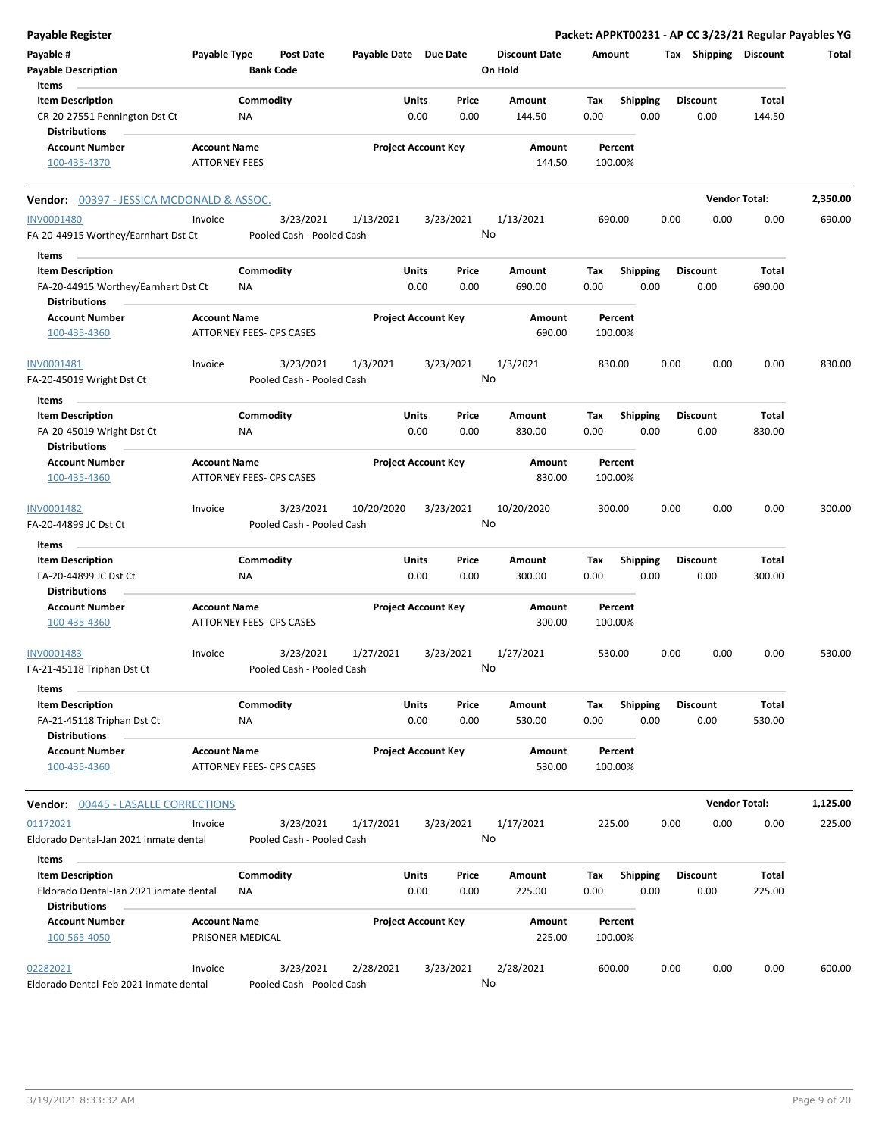| <b>Payable Register</b>                                                                            |                                             |                                 |                  |                       |                            |                 |                                 |                    |                         |      |                         | Packet: APPKT00231 - AP CC 3/23/21 Regular Payables YG |          |
|----------------------------------------------------------------------------------------------------|---------------------------------------------|---------------------------------|------------------|-----------------------|----------------------------|-----------------|---------------------------------|--------------------|-------------------------|------|-------------------------|--------------------------------------------------------|----------|
| Payable #<br><b>Payable Description</b>                                                            | Payable Type                                | <b>Bank Code</b>                | <b>Post Date</b> | Payable Date Due Date |                            |                 | <b>Discount Date</b><br>On Hold | Amount             |                         |      | Tax Shipping Discount   |                                                        | Total    |
| Items<br><b>Item Description</b><br>CR-20-27551 Pennington Dst Ct                                  |                                             | Commodity<br>ΝA                 |                  |                       | Units<br>0.00              | Price<br>0.00   | Amount<br>144.50                | Tax<br>0.00        | <b>Shipping</b><br>0.00 |      | <b>Discount</b><br>0.00 | <b>Total</b><br>144.50                                 |          |
| <b>Distributions</b><br><b>Account Number</b><br>100-435-4370                                      | <b>Account Name</b><br><b>ATTORNEY FEES</b> |                                 |                  |                       | <b>Project Account Key</b> |                 | Amount<br>144.50                | Percent<br>100.00% |                         |      |                         |                                                        |          |
| Vendor: 00397 - JESSICA MCDONALD & ASSOC.                                                          |                                             |                                 |                  |                       |                            |                 |                                 |                    |                         |      |                         | <b>Vendor Total:</b>                                   | 2,350.00 |
| <b>INV0001480</b><br>FA-20-44915 Worthey/Earnhart Dst Ct                                           | Invoice                                     | Pooled Cash - Pooled Cash       | 3/23/2021        | 1/13/2021             |                            | 3/23/2021<br>No | 1/13/2021                       | 690.00             |                         | 0.00 | 0.00                    | 0.00                                                   | 690.00   |
| Items<br><b>Item Description</b><br>FA-20-44915 Worthey/Earnhart Dst Ct<br><b>Distributions</b>    |                                             | Commodity<br>ΝA                 |                  |                       | Units<br>0.00              | Price<br>0.00   | Amount<br>690.00                | Tax<br>0.00        | <b>Shipping</b><br>0.00 |      | <b>Discount</b><br>0.00 | <b>Total</b><br>690.00                                 |          |
| <b>Account Number</b><br>100-435-4360                                                              | <b>Account Name</b>                         | ATTORNEY FEES- CPS CASES        |                  |                       | <b>Project Account Key</b> |                 | Amount<br>690.00                | Percent<br>100.00% |                         |      |                         |                                                        |          |
| INV0001481<br>FA-20-45019 Wright Dst Ct                                                            | Invoice                                     | Pooled Cash - Pooled Cash       | 3/23/2021        | 1/3/2021              |                            | 3/23/2021<br>No | 1/3/2021                        | 830.00             |                         | 0.00 | 0.00                    | 0.00                                                   | 830.00   |
| Items<br><b>Item Description</b><br>FA-20-45019 Wright Dst Ct<br><b>Distributions</b>              |                                             | Commodity<br>ΝA                 |                  |                       | Units<br>0.00              | Price<br>0.00   | Amount<br>830.00                | Tax<br>0.00        | <b>Shipping</b><br>0.00 |      | <b>Discount</b><br>0.00 | Total<br>830.00                                        |          |
| <b>Account Number</b><br>100-435-4360                                                              | <b>Account Name</b>                         | <b>ATTORNEY FEES- CPS CASES</b> |                  |                       | <b>Project Account Key</b> |                 | Amount<br>830.00                | Percent<br>100.00% |                         |      |                         |                                                        |          |
| INV0001482<br>FA-20-44899 JC Dst Ct                                                                | Invoice                                     | Pooled Cash - Pooled Cash       | 3/23/2021        | 10/20/2020            |                            | 3/23/2021<br>No | 10/20/2020                      | 300.00             |                         | 0.00 | 0.00                    | 0.00                                                   | 300.00   |
| Items<br><b>Item Description</b><br>FA-20-44899 JC Dst Ct<br><b>Distributions</b>                  |                                             | Commodity<br>ΝA                 |                  |                       | Units<br>0.00              | Price<br>0.00   | Amount<br>300.00                | Tax<br>0.00        | <b>Shipping</b><br>0.00 |      | <b>Discount</b><br>0.00 | <b>Total</b><br>300.00                                 |          |
| <b>Account Number</b><br>100-435-4360                                                              | <b>Account Name</b>                         | ATTORNEY FEES- CPS CASES        |                  |                       | <b>Project Account Key</b> |                 | Amount<br>300.00                | Percent<br>100.00% |                         |      |                         |                                                        |          |
| INV0001483<br>FA-21-45118 Triphan Dst Ct                                                           | Invoice                                     | Pooled Cash - Pooled Cash       | 3/23/2021        | 1/27/2021             |                            | 3/23/2021<br>No | 1/27/2021                       | 530.00             |                         | 0.00 | 0.00                    | 0.00                                                   | 530.00   |
| Items<br><b>Item Description</b><br>FA-21-45118 Triphan Dst Ct<br><b>Distributions</b>             |                                             | Commodity<br>NA                 |                  |                       | Units<br>0.00              | Price<br>0.00   | Amount<br>530.00                | Tax<br>0.00        | Shipping<br>0.00        |      | <b>Discount</b><br>0.00 | <b>Total</b><br>530.00                                 |          |
| <b>Account Number</b><br>100-435-4360                                                              | <b>Account Name</b>                         | ATTORNEY FEES- CPS CASES        |                  |                       | <b>Project Account Key</b> |                 | Amount<br>530.00                | Percent<br>100.00% |                         |      |                         |                                                        |          |
| <b>Vendor: 00445 - LASALLE CORRECTIONS</b>                                                         |                                             |                                 |                  |                       |                            |                 |                                 |                    |                         |      |                         | <b>Vendor Total:</b>                                   | 1,125.00 |
| 01172021<br>Eldorado Dental-Jan 2021 inmate dental                                                 | Invoice                                     | Pooled Cash - Pooled Cash       | 3/23/2021        | 1/17/2021             |                            | 3/23/2021<br>No | 1/17/2021                       | 225.00             |                         | 0.00 | 0.00                    | 0.00                                                   | 225.00   |
| Items<br><b>Item Description</b><br>Eldorado Dental-Jan 2021 inmate dental<br><b>Distributions</b> |                                             | Commodity<br>ΝA                 |                  |                       | Units<br>0.00              | Price<br>0.00   | Amount<br>225.00                | Tax<br>0.00        | <b>Shipping</b><br>0.00 |      | <b>Discount</b><br>0.00 | <b>Total</b><br>225.00                                 |          |
| <b>Account Number</b><br>100-565-4050                                                              | <b>Account Name</b><br>PRISONER MEDICAL     |                                 |                  |                       | <b>Project Account Key</b> |                 | Amount<br>225.00                | Percent<br>100.00% |                         |      |                         |                                                        |          |
| 02282021<br>Eldorado Dental-Feb 2021 inmate dental                                                 | Invoice                                     | Pooled Cash - Pooled Cash       | 3/23/2021        | 2/28/2021             |                            | 3/23/2021<br>No | 2/28/2021                       | 600.00             |                         | 0.00 | 0.00                    | 0.00                                                   | 600.00   |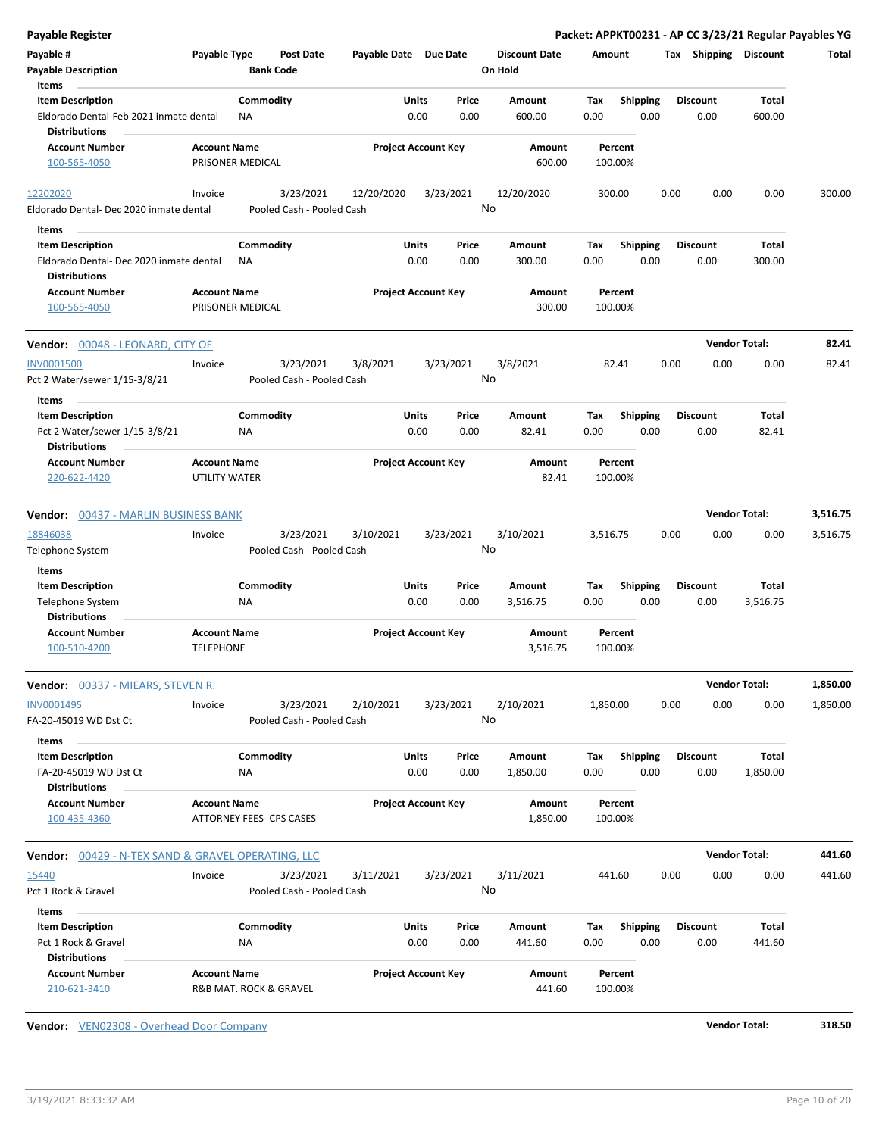| Payable Register                                                    |                                         |                           |                  |                            |       |           |                                 |             |                         |      |                       | Packet: APPKT00231 - AP CC 3/23/21 Regular Payables YG |          |
|---------------------------------------------------------------------|-----------------------------------------|---------------------------|------------------|----------------------------|-------|-----------|---------------------------------|-------------|-------------------------|------|-----------------------|--------------------------------------------------------|----------|
| Payable #<br><b>Payable Description</b><br>Items                    | Payable Type                            | <b>Bank Code</b>          | <b>Post Date</b> | Payable Date Due Date      |       |           | <b>Discount Date</b><br>On Hold | Amount      |                         |      | Tax Shipping Discount |                                                        | Total    |
| <b>Item Description</b>                                             |                                         | Commodity                 |                  |                            | Units | Price     | Amount                          | Tax         | <b>Shipping</b>         |      | <b>Discount</b>       | Total                                                  |          |
| Eldorado Dental-Feb 2021 inmate dental<br><b>Distributions</b>      |                                         | <b>NA</b>                 |                  |                            | 0.00  | 0.00      | 600.00                          | 0.00        | 0.00                    |      | 0.00                  | 600.00                                                 |          |
| <b>Account Number</b>                                               | <b>Account Name</b>                     |                           |                  | <b>Project Account Key</b> |       |           | Amount                          |             | Percent                 |      |                       |                                                        |          |
| 100-565-4050                                                        | PRISONER MEDICAL                        |                           |                  |                            |       |           | 600.00                          | 100.00%     |                         |      |                       |                                                        |          |
| 12202020                                                            | Invoice                                 |                           | 3/23/2021        | 12/20/2020                 |       | 3/23/2021 | 12/20/2020                      | 300.00      |                         | 0.00 | 0.00                  | 0.00                                                   | 300.00   |
| Eldorado Dental- Dec 2020 inmate dental                             |                                         | Pooled Cash - Pooled Cash |                  |                            |       |           | No                              |             |                         |      |                       |                                                        |          |
| Items                                                               |                                         |                           |                  |                            |       |           |                                 |             |                         |      |                       |                                                        |          |
| <b>Item Description</b>                                             |                                         | Commodity                 |                  |                            | Units | Price     | Amount                          | Tax         | <b>Shipping</b>         |      | <b>Discount</b>       | <b>Total</b>                                           |          |
| Eldorado Dental- Dec 2020 inmate dental<br><b>Distributions</b>     |                                         | ΝA                        |                  |                            | 0.00  | 0.00      | 300.00                          | 0.00        | 0.00                    |      | 0.00                  | 300.00                                                 |          |
| <b>Account Number</b>                                               | <b>Account Name</b>                     |                           |                  | <b>Project Account Key</b> |       |           | Amount                          |             | Percent                 |      |                       |                                                        |          |
| 100-565-4050                                                        | PRISONER MEDICAL                        |                           |                  |                            |       |           | 300.00                          | 100.00%     |                         |      |                       |                                                        |          |
| Vendor: 00048 - LEONARD, CITY OF                                    |                                         |                           |                  |                            |       |           |                                 |             |                         |      |                       | <b>Vendor Total:</b>                                   | 82.41    |
| <b>INV0001500</b>                                                   | Invoice                                 |                           | 3/23/2021        | 3/8/2021                   |       | 3/23/2021 | 3/8/2021                        |             | 82.41                   | 0.00 | 0.00                  | 0.00                                                   | 82.41    |
| Pct 2 Water/sewer 1/15-3/8/21                                       |                                         | Pooled Cash - Pooled Cash |                  |                            |       |           | No                              |             |                         |      |                       |                                                        |          |
| Items                                                               |                                         |                           |                  |                            |       |           |                                 |             |                         |      |                       |                                                        |          |
| <b>Item Description</b>                                             |                                         | Commodity                 |                  |                            | Units | Price     | <b>Amount</b>                   | Tax         | Shipping                |      | <b>Discount</b>       | <b>Total</b>                                           |          |
| Pct 2 Water/sewer 1/15-3/8/21                                       |                                         | <b>NA</b>                 |                  |                            | 0.00  | 0.00      | 82.41                           | 0.00        | 0.00                    |      | 0.00                  | 82.41                                                  |          |
| <b>Distributions</b>                                                |                                         |                           |                  |                            |       |           |                                 |             |                         |      |                       |                                                        |          |
| <b>Account Number</b><br>220-622-4420                               | <b>Account Name</b><br>UTILITY WATER    |                           |                  | <b>Project Account Key</b> |       |           | Amount<br>82.41                 | 100.00%     | Percent                 |      |                       |                                                        |          |
| Vendor: 00437 - MARLIN BUSINESS BANK                                |                                         |                           |                  |                            |       |           |                                 |             |                         |      |                       | <b>Vendor Total:</b>                                   | 3,516.75 |
| 18846038                                                            | Invoice                                 |                           | 3/23/2021        | 3/10/2021                  |       | 3/23/2021 | 3/10/2021                       | 3,516.75    |                         | 0.00 | 0.00                  | 0.00                                                   | 3,516.75 |
| Telephone System                                                    |                                         | Pooled Cash - Pooled Cash |                  |                            |       |           | No                              |             |                         |      |                       |                                                        |          |
| Items                                                               |                                         | Commodity                 |                  |                            | Units | Price     |                                 |             |                         |      | <b>Discount</b>       | <b>Total</b>                                           |          |
| <b>Item Description</b><br>Telephone System<br><b>Distributions</b> |                                         | <b>NA</b>                 |                  |                            | 0.00  | 0.00      | Amount<br>3,516.75              | Tax<br>0.00 | <b>Shipping</b><br>0.00 |      | 0.00                  | 3,516.75                                               |          |
| <b>Account Number</b><br>100-510-4200                               | <b>Account Name</b><br><b>TELEPHONE</b> |                           |                  | <b>Project Account Key</b> |       |           | Amount<br>3,516.75              | 100.00%     | Percent                 |      |                       |                                                        |          |
| Vendor: 00337 - MIEARS, STEVEN R.                                   |                                         |                           |                  |                            |       |           |                                 |             |                         |      |                       | <b>Vendor Total:</b>                                   | 1,850.00 |
| INV0001495                                                          | Invoice                                 |                           | 3/23/2021        | 2/10/2021                  |       | 3/23/2021 | 2/10/2021                       | 1,850.00    |                         | 0.00 | 0.00                  | 0.00                                                   | 1,850.00 |
| FA-20-45019 WD Dst Ct                                               |                                         | Pooled Cash - Pooled Cash |                  |                            |       |           | No                              |             |                         |      |                       |                                                        |          |
| Items<br><b>Item Description</b>                                    |                                         | Commodity                 |                  |                            | Units | Price     | Amount                          | Tax         | <b>Shipping</b>         |      | <b>Discount</b>       | Total                                                  |          |
| FA-20-45019 WD Dst Ct<br><b>Distributions</b>                       |                                         | ΝA                        |                  |                            | 0.00  | 0.00      | 1,850.00                        | 0.00        | 0.00                    |      | 0.00                  | 1,850.00                                               |          |
| <b>Account Number</b>                                               | <b>Account Name</b>                     |                           |                  | <b>Project Account Key</b> |       |           | Amount                          |             | Percent                 |      |                       |                                                        |          |
| 100-435-4360                                                        |                                         | ATTORNEY FEES- CPS CASES  |                  |                            |       |           | 1,850.00                        | 100.00%     |                         |      |                       |                                                        |          |
| Vendor: 00429 - N-TEX SAND & GRAVEL OPERATING, LLC                  |                                         |                           |                  |                            |       |           |                                 |             |                         |      |                       | <b>Vendor Total:</b>                                   | 441.60   |
| 15440                                                               | Invoice                                 |                           | 3/23/2021        | 3/11/2021                  |       | 3/23/2021 | 3/11/2021                       | 441.60      |                         | 0.00 | 0.00                  | 0.00                                                   | 441.60   |
| Pct 1 Rock & Gravel                                                 |                                         | Pooled Cash - Pooled Cash |                  |                            |       |           | No                              |             |                         |      |                       |                                                        |          |
| Items                                                               |                                         |                           |                  |                            |       |           |                                 |             |                         |      |                       |                                                        |          |
| <b>Item Description</b>                                             |                                         | Commodity                 |                  |                            | Units | Price     | Amount                          | Tax         | Shipping                |      | <b>Discount</b>       | Total                                                  |          |
| Pct 1 Rock & Gravel<br><b>Distributions</b>                         |                                         | <b>NA</b>                 |                  |                            | 0.00  | 0.00      | 441.60                          | 0.00        | 0.00                    |      | 0.00                  | 441.60                                                 |          |
| <b>Account Number</b><br>210-621-3410                               | <b>Account Name</b>                     | R&B MAT. ROCK & GRAVEL    |                  | <b>Project Account Key</b> |       |           | Amount<br>441.60                | 100.00%     | Percent                 |      |                       |                                                        |          |

**Vendor:** VEN02308 - Overhead Door Company **Vendor Total: 318.50**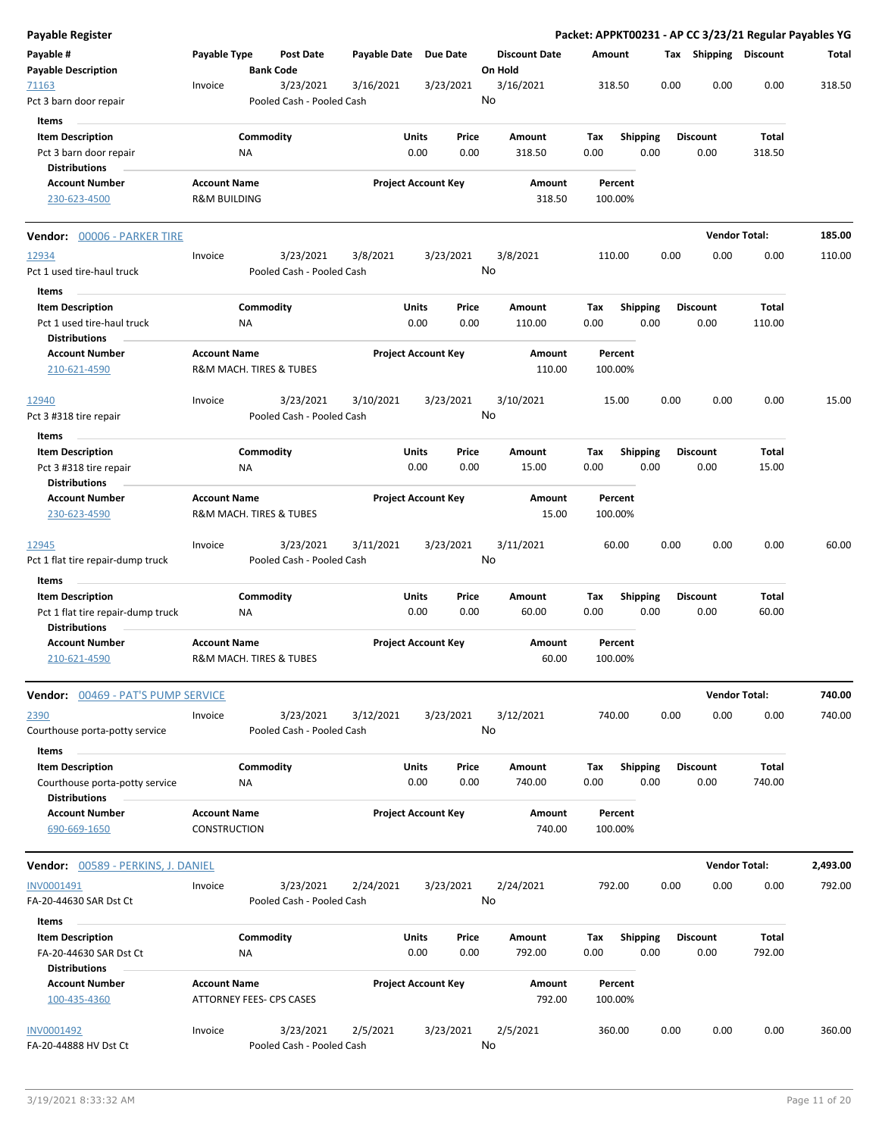| <b>Payable Register</b>                                                                    |                                                 |                  |                                        |                       |                            |               |                                 |             |                         |      |                         | Packet: APPKT00231 - AP CC 3/23/21 Regular Payables YG |          |
|--------------------------------------------------------------------------------------------|-------------------------------------------------|------------------|----------------------------------------|-----------------------|----------------------------|---------------|---------------------------------|-------------|-------------------------|------|-------------------------|--------------------------------------------------------|----------|
| Payable #<br><b>Payable Description</b>                                                    | Payable Type                                    | <b>Bank Code</b> | <b>Post Date</b>                       | Payable Date Due Date |                            |               | <b>Discount Date</b><br>On Hold |             | Amount                  |      | Tax Shipping Discount   |                                                        | Total    |
| 71163<br>Pct 3 barn door repair                                                            | Invoice                                         |                  | 3/23/2021<br>Pooled Cash - Pooled Cash | 3/16/2021             |                            | 3/23/2021     | 3/16/2021<br>No                 |             | 318.50                  | 0.00 | 0.00                    | 0.00                                                   | 318.50   |
| Items                                                                                      |                                                 |                  |                                        |                       |                            |               |                                 |             |                         |      |                         |                                                        |          |
| <b>Item Description</b><br>Pct 3 barn door repair<br><b>Distributions</b>                  |                                                 | Commodity<br>ΝA  |                                        |                       | Units<br>0.00              | Price<br>0.00 | Amount<br>318.50                | Tax<br>0.00 | <b>Shipping</b><br>0.00 |      | <b>Discount</b><br>0.00 | Total<br>318.50                                        |          |
| <b>Account Number</b><br>230-623-4500                                                      | <b>Account Name</b><br><b>R&amp;M BUILDING</b>  |                  |                                        |                       | <b>Project Account Key</b> |               | Amount<br>318.50                |             | Percent<br>100.00%      |      |                         |                                                        |          |
| <b>Vendor: 00006 - PARKER TIRE</b>                                                         |                                                 |                  |                                        |                       |                            |               |                                 |             |                         |      |                         | <b>Vendor Total:</b>                                   | 185.00   |
| 12934<br>Pct 1 used tire-haul truck                                                        | Invoice                                         |                  | 3/23/2021<br>Pooled Cash - Pooled Cash | 3/8/2021              |                            | 3/23/2021     | 3/8/2021<br>No                  |             | 110.00                  | 0.00 | 0.00                    | 0.00                                                   | 110.00   |
| Items                                                                                      |                                                 |                  |                                        |                       |                            |               |                                 |             |                         |      |                         |                                                        |          |
| <b>Item Description</b>                                                                    |                                                 | Commodity        |                                        |                       | <b>Units</b>               | Price         | Amount                          | Tax         | <b>Shipping</b>         |      | <b>Discount</b>         | Total                                                  |          |
| Pct 1 used tire-haul truck<br><b>Distributions</b>                                         |                                                 | NA               |                                        |                       | 0.00                       | 0.00          | 110.00                          | 0.00        | 0.00                    |      | 0.00                    | 110.00                                                 |          |
| <b>Account Number</b><br>210-621-4590                                                      | <b>Account Name</b><br>R&M MACH. TIRES & TUBES  |                  |                                        |                       | <b>Project Account Key</b> |               | Amount<br>110.00                |             | Percent<br>100.00%      |      |                         |                                                        |          |
| 12940<br>Pct 3 #318 tire repair                                                            | Invoice                                         |                  | 3/23/2021<br>Pooled Cash - Pooled Cash | 3/10/2021             |                            | 3/23/2021     | 3/10/2021<br>No                 |             | 15.00                   | 0.00 | 0.00                    | 0.00                                                   | 15.00    |
| Items                                                                                      |                                                 |                  |                                        |                       |                            |               |                                 |             |                         |      |                         |                                                        |          |
| <b>Item Description</b><br>Pct 3 #318 tire repair<br><b>Distributions</b>                  |                                                 | Commodity<br>NA  |                                        |                       | Units<br>0.00              | Price<br>0.00 | Amount<br>15.00                 | Tax<br>0.00 | <b>Shipping</b><br>0.00 |      | <b>Discount</b><br>0.00 | Total<br>15.00                                         |          |
| <b>Account Number</b>                                                                      | <b>Account Name</b>                             |                  |                                        |                       | <b>Project Account Key</b> |               | Amount                          |             | Percent                 |      |                         |                                                        |          |
| 230-623-4590                                                                               | R&M MACH. TIRES & TUBES                         |                  |                                        |                       |                            |               | 15.00                           |             | 100.00%                 |      |                         |                                                        |          |
| 12945<br>Pct 1 flat tire repair-dump truck                                                 | Invoice                                         |                  | 3/23/2021<br>Pooled Cash - Pooled Cash | 3/11/2021             |                            | 3/23/2021     | 3/11/2021<br>No                 |             | 60.00                   | 0.00 | 0.00                    | 0.00                                                   | 60.00    |
| Items                                                                                      |                                                 |                  |                                        |                       |                            |               |                                 |             |                         |      |                         |                                                        |          |
| <b>Item Description</b>                                                                    |                                                 | Commodity        |                                        |                       | Units                      | Price         | Amount                          | Tax         | Shipping                |      | <b>Discount</b>         | Total                                                  |          |
| Pct 1 flat tire repair-dump truck<br><b>Distributions</b>                                  |                                                 | ΝA               |                                        |                       | 0.00                       | 0.00          | 60.00                           | 0.00        | 0.00                    |      | 0.00                    | 60.00                                                  |          |
| <b>Account Number</b><br>210-621-4590                                                      | <b>Account Name</b><br>R&M MACH. TIRES & TUBES  |                  |                                        |                       | <b>Project Account Key</b> |               | Amount<br>60.00                 |             | Percent<br>100.00%      |      |                         |                                                        |          |
| Vendor: 00469 - PAT'S PUMP SERVICE                                                         |                                                 |                  |                                        |                       |                            |               |                                 |             |                         |      |                         | <b>Vendor Total:</b>                                   | 740.00   |
| 2390<br>Courthouse porta-potty service                                                     | Invoice                                         |                  | 3/23/2021<br>Pooled Cash - Pooled Cash | 3/12/2021             |                            | 3/23/2021     | 3/12/2021<br>No                 |             | 740.00                  | 0.00 | 0.00                    | 0.00                                                   | 740.00   |
| Items<br><b>Item Description</b><br>Courthouse porta-potty service<br><b>Distributions</b> |                                                 | Commodity<br>NA  |                                        |                       | Units<br>0.00              | Price<br>0.00 | Amount<br>740.00                | Tax<br>0.00 | Shipping<br>0.00        |      | <b>Discount</b><br>0.00 | Total<br>740.00                                        |          |
| <b>Account Number</b><br>690-669-1650                                                      | <b>Account Name</b><br><b>CONSTRUCTION</b>      |                  |                                        |                       | <b>Project Account Key</b> |               | Amount<br>740.00                |             | Percent<br>100.00%      |      |                         |                                                        |          |
| Vendor: 00589 - PERKINS, J. DANIEL                                                         |                                                 |                  |                                        |                       |                            |               |                                 |             |                         |      |                         | <b>Vendor Total:</b>                                   | 2,493.00 |
| INV0001491<br>FA-20-44630 SAR Dst Ct                                                       | Invoice                                         |                  | 3/23/2021<br>Pooled Cash - Pooled Cash | 2/24/2021             |                            | 3/23/2021     | 2/24/2021<br>No                 |             | 792.00                  | 0.00 | 0.00                    | 0.00                                                   | 792.00   |
| Items                                                                                      |                                                 |                  |                                        |                       |                            |               |                                 |             |                         |      |                         |                                                        |          |
| <b>Item Description</b><br>FA-20-44630 SAR Dst Ct                                          |                                                 | Commodity<br>ΝA  |                                        |                       | Units<br>0.00              | Price<br>0.00 | Amount<br>792.00                | Tax<br>0.00 | <b>Shipping</b><br>0.00 |      | <b>Discount</b><br>0.00 | <b>Total</b><br>792.00                                 |          |
| <b>Distributions</b>                                                                       |                                                 |                  |                                        |                       |                            |               |                                 |             |                         |      |                         |                                                        |          |
| <b>Account Number</b><br>100-435-4360                                                      | <b>Account Name</b><br>ATTORNEY FEES- CPS CASES |                  |                                        |                       | <b>Project Account Key</b> |               | Amount<br>792.00                |             | Percent<br>100.00%      |      |                         |                                                        |          |
| INV0001492<br>FA-20-44888 HV Dst Ct                                                        | Invoice                                         |                  | 3/23/2021<br>Pooled Cash - Pooled Cash | 2/5/2021              |                            | 3/23/2021     | 2/5/2021<br>No                  |             | 360.00                  | 0.00 | 0.00                    | 0.00                                                   | 360.00   |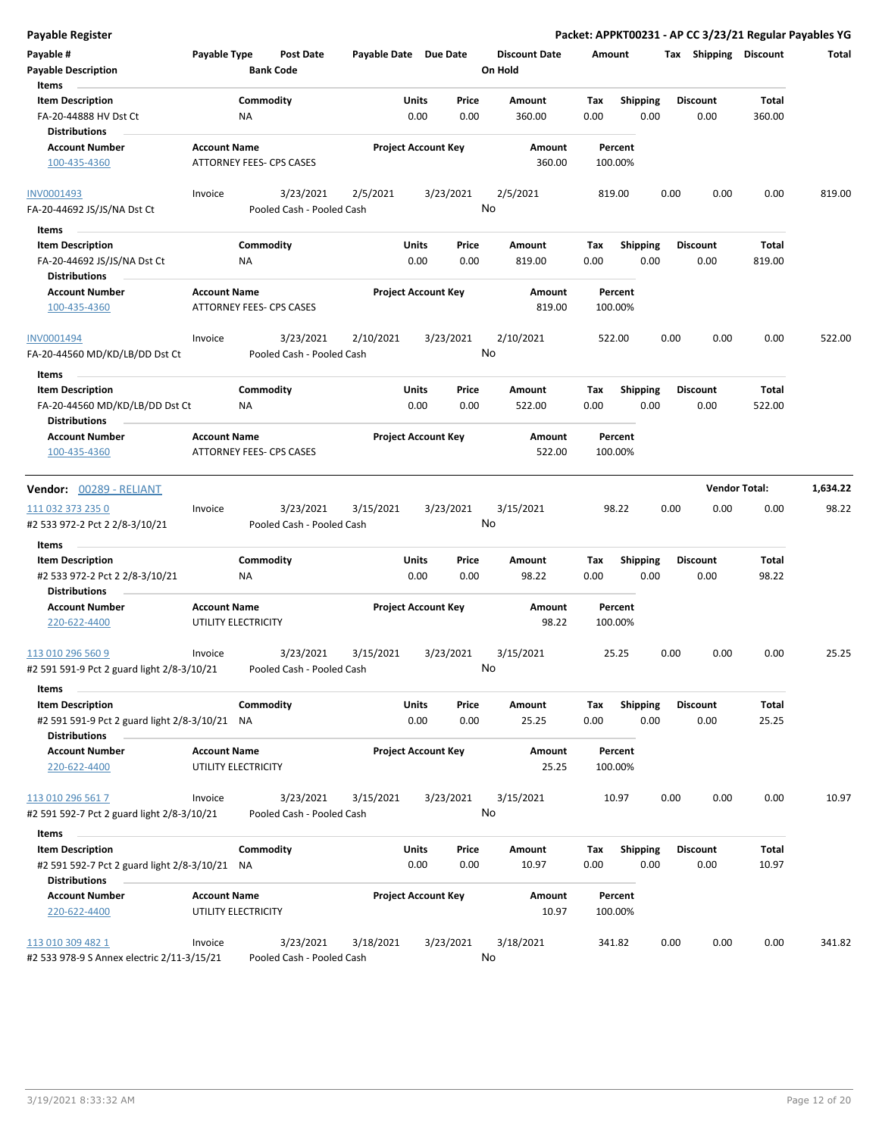| <b>Payable Register</b>                                |                     |                                 |                       |                            |                      | Packet: APPKT00231 - AP CC 3/23/21 Regular Payables YG |      |                       |                      |          |
|--------------------------------------------------------|---------------------|---------------------------------|-----------------------|----------------------------|----------------------|--------------------------------------------------------|------|-----------------------|----------------------|----------|
| Payable #                                              | Payable Type        | Post Date                       | Payable Date Due Date |                            | <b>Discount Date</b> | Amount                                                 |      | Tax Shipping Discount |                      | Total    |
| <b>Payable Description</b>                             |                     | <b>Bank Code</b>                |                       |                            | On Hold              |                                                        |      |                       |                      |          |
| Items                                                  |                     |                                 |                       |                            |                      |                                                        |      |                       |                      |          |
| <b>Item Description</b>                                |                     | Commodity                       |                       | Units<br>Price             | Amount               | Tax<br><b>Shipping</b>                                 |      | <b>Discount</b>       | Total                |          |
| FA-20-44888 HV Dst Ct                                  |                     | ΝA                              |                       | 0.00<br>0.00               | 360.00               | 0.00                                                   | 0.00 | 0.00                  | 360.00               |          |
| <b>Distributions</b>                                   |                     |                                 |                       |                            |                      |                                                        |      |                       |                      |          |
| <b>Account Number</b>                                  | <b>Account Name</b> |                                 |                       | <b>Project Account Key</b> | Amount               | Percent                                                |      |                       |                      |          |
| 100-435-4360                                           |                     | ATTORNEY FEES- CPS CASES        |                       |                            | 360.00               | 100.00%                                                |      |                       |                      |          |
| INV0001493                                             | Invoice             | 3/23/2021                       | 2/5/2021              | 3/23/2021                  | 2/5/2021             | 819.00                                                 |      | 0.00<br>0.00          | 0.00                 | 819.00   |
| FA-20-44692 JS/JS/NA Dst Ct                            |                     | Pooled Cash - Pooled Cash       |                       |                            | No                   |                                                        |      |                       |                      |          |
| Items                                                  |                     |                                 |                       |                            |                      |                                                        |      |                       |                      |          |
| <b>Item Description</b>                                |                     | Commodity                       |                       | Units<br>Price             | Amount               | Tax<br><b>Shipping</b>                                 |      | <b>Discount</b>       | Total                |          |
| FA-20-44692 JS/JS/NA Dst Ct                            |                     | ΝA                              |                       | 0.00<br>0.00               | 819.00               | 0.00                                                   | 0.00 | 0.00                  | 819.00               |          |
| <b>Distributions</b>                                   |                     |                                 |                       |                            |                      |                                                        |      |                       |                      |          |
| <b>Account Number</b>                                  | <b>Account Name</b> |                                 |                       | <b>Project Account Key</b> | Amount               | Percent                                                |      |                       |                      |          |
| 100-435-4360                                           |                     | <b>ATTORNEY FEES- CPS CASES</b> |                       |                            | 819.00               | 100.00%                                                |      |                       |                      |          |
| INV0001494                                             | Invoice             | 3/23/2021                       | 2/10/2021             | 3/23/2021                  | 2/10/2021            | 522.00                                                 |      | 0.00<br>0.00          | 0.00                 | 522.00   |
| FA-20-44560 MD/KD/LB/DD Dst Ct                         |                     | Pooled Cash - Pooled Cash       |                       |                            | No                   |                                                        |      |                       |                      |          |
| Items                                                  |                     |                                 |                       |                            |                      |                                                        |      |                       |                      |          |
| <b>Item Description</b>                                |                     | Commodity                       |                       | Units<br>Price             | Amount               | Tax<br><b>Shipping</b>                                 |      | <b>Discount</b>       | Total                |          |
| FA-20-44560 MD/KD/LB/DD Dst Ct                         |                     | NA                              |                       | 0.00<br>0.00               | 522.00               | 0.00                                                   | 0.00 | 0.00                  | 522.00               |          |
| <b>Distributions</b>                                   |                     |                                 |                       |                            |                      |                                                        |      |                       |                      |          |
| <b>Account Number</b>                                  | <b>Account Name</b> |                                 |                       | <b>Project Account Key</b> | <b>Amount</b>        | Percent                                                |      |                       |                      |          |
| 100-435-4360                                           |                     | ATTORNEY FEES- CPS CASES        |                       |                            | 522.00               | 100.00%                                                |      |                       |                      |          |
|                                                        |                     |                                 |                       |                            |                      |                                                        |      |                       | <b>Vendor Total:</b> | 1,634.22 |
| Vendor: 00289 - RELIANT                                |                     |                                 |                       |                            |                      |                                                        |      |                       |                      |          |
| 111 032 373 235 0                                      | Invoice             | 3/23/2021                       | 3/15/2021             | 3/23/2021                  | 3/15/2021            | 98.22                                                  |      | 0.00<br>0.00          | 0.00                 | 98.22    |
| #2 533 972-2 Pct 2 2/8-3/10/21                         |                     | Pooled Cash - Pooled Cash       |                       |                            | No                   |                                                        |      |                       |                      |          |
| Items                                                  |                     |                                 |                       |                            |                      |                                                        |      |                       |                      |          |
| <b>Item Description</b>                                |                     | Commodity                       |                       | Units<br>Price             | Amount               | <b>Shipping</b><br>Tax                                 |      | <b>Discount</b>       | Total                |          |
| #2 533 972-2 Pct 2 2/8-3/10/21<br><b>Distributions</b> |                     | ΝA                              |                       | 0.00<br>0.00               | 98.22                | 0.00                                                   | 0.00 | 0.00                  | 98.22                |          |
| <b>Account Number</b>                                  | <b>Account Name</b> |                                 |                       | <b>Project Account Key</b> | Amount               | Percent                                                |      |                       |                      |          |
| 220-622-4400                                           |                     | UTILITY ELECTRICITY             |                       |                            | 98.22                | 100.00%                                                |      |                       |                      |          |
| 113 010 296 560 9                                      | Invoice             | 3/23/2021                       | 3/15/2021             | 3/23/2021                  | 3/15/2021            | 25.25                                                  |      | 0.00<br>0.00          | 0.00                 | 25.25    |
| #2 591 591-9 Pct 2 guard light 2/8-3/10/21             |                     | Pooled Cash - Pooled Cash       |                       |                            | No.                  |                                                        |      |                       |                      |          |
| Items                                                  |                     |                                 |                       |                            |                      |                                                        |      |                       |                      |          |
| <b>Item Description</b>                                |                     | Commodity                       |                       | Units<br>Price             | Amount               | <b>Shipping</b><br>Tax                                 |      | <b>Discount</b>       | Total                |          |
| #2 591 591-9 Pct 2 guard light 2/8-3/10/21 NA          |                     |                                 |                       | 0.00<br>0.00               | 25.25                | 0.00                                                   | 0.00 | 0.00                  | 25.25                |          |
| <b>Distributions</b>                                   |                     |                                 |                       |                            |                      |                                                        |      |                       |                      |          |
| <b>Account Number</b>                                  | <b>Account Name</b> |                                 |                       | <b>Project Account Key</b> | Amount               | Percent                                                |      |                       |                      |          |
| 220-622-4400                                           |                     | UTILITY ELECTRICITY             |                       |                            | 25.25                | 100.00%                                                |      |                       |                      |          |
| 113 010 296 561 7                                      | Invoice             | 3/23/2021                       | 3/15/2021             | 3/23/2021                  | 3/15/2021            | 10.97                                                  |      | 0.00<br>0.00          | 0.00                 | 10.97    |
| #2 591 592-7 Pct 2 guard light 2/8-3/10/21             |                     | Pooled Cash - Pooled Cash       |                       |                            | No                   |                                                        |      |                       |                      |          |
| Items                                                  |                     |                                 |                       |                            |                      |                                                        |      |                       |                      |          |
| <b>Item Description</b>                                |                     | Commodity                       |                       | Units<br>Price             | Amount               | Shipping<br>Tax                                        |      | Discount              | Total                |          |
| #2 591 592-7 Pct 2 guard light 2/8-3/10/21 NA          |                     |                                 |                       | 0.00<br>0.00               | 10.97                | 0.00                                                   | 0.00 | 0.00                  | 10.97                |          |
| <b>Distributions</b>                                   |                     |                                 |                       |                            |                      |                                                        |      |                       |                      |          |
| <b>Account Number</b>                                  | <b>Account Name</b> |                                 |                       | <b>Project Account Key</b> | Amount               | Percent                                                |      |                       |                      |          |
| 220-622-4400                                           |                     | UTILITY ELECTRICITY             |                       |                            | 10.97                | 100.00%                                                |      |                       |                      |          |
| 113 010 309 482 1                                      | Invoice             | 3/23/2021                       | 3/18/2021             | 3/23/2021                  | 3/18/2021            | 341.82                                                 |      | 0.00<br>0.00          | 0.00                 | 341.82   |

#2 533 978-9 S Annex electric 2/11-3/15/21 Pooled Cash - Pooled Cash

No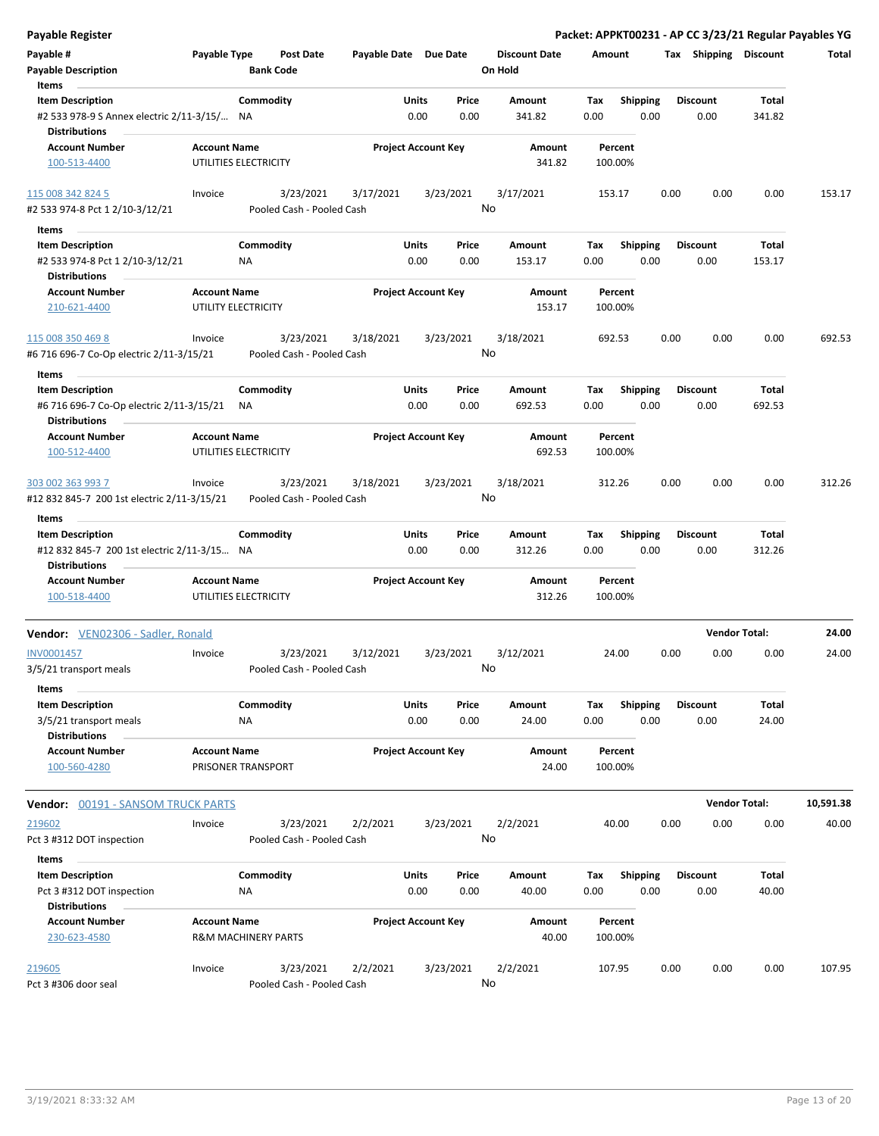| <b>Payable Register</b>                                                      |                     |                       |                                        |                       |                            |               |                                 |             |                         |      |                         |                      | Packet: APPKT00231 - AP CC 3/23/21 Regular Payables YG |
|------------------------------------------------------------------------------|---------------------|-----------------------|----------------------------------------|-----------------------|----------------------------|---------------|---------------------------------|-------------|-------------------------|------|-------------------------|----------------------|--------------------------------------------------------|
| Payable #<br><b>Payable Description</b>                                      | Payable Type        | <b>Bank Code</b>      | Post Date                              | Payable Date Due Date |                            |               | <b>Discount Date</b><br>On Hold | Amount      |                         |      | Tax Shipping Discount   |                      | Total                                                  |
| Items                                                                        |                     |                       |                                        |                       |                            |               |                                 |             |                         |      |                         |                      |                                                        |
| <b>Item Description</b>                                                      |                     | Commodity             |                                        |                       | Units                      | Price         | Amount                          | Tax         | <b>Shipping</b>         |      | <b>Discount</b>         | Total                |                                                        |
| #2 533 978-9 S Annex electric 2/11-3/15/ NA<br><b>Distributions</b>          |                     |                       |                                        |                       | 0.00                       | 0.00          | 341.82                          | 0.00        | 0.00                    |      | 0.00                    | 341.82               |                                                        |
| <b>Account Number</b>                                                        | <b>Account Name</b> |                       |                                        |                       | <b>Project Account Key</b> |               | Amount                          |             | Percent                 |      |                         |                      |                                                        |
| 100-513-4400                                                                 |                     | UTILITIES ELECTRICITY |                                        |                       |                            |               | 341.82                          |             | 100.00%                 |      |                         |                      |                                                        |
| 115 008 342 824 5                                                            | Invoice             |                       | 3/23/2021                              | 3/17/2021             |                            | 3/23/2021     | 3/17/2021<br>No                 |             | 153.17                  | 0.00 | 0.00                    | 0.00                 | 153.17                                                 |
| #2 533 974-8 Pct 1 2/10-3/12/21                                              |                     |                       | Pooled Cash - Pooled Cash              |                       |                            |               |                                 |             |                         |      |                         |                      |                                                        |
| Items                                                                        |                     |                       |                                        |                       |                            |               |                                 |             |                         |      |                         |                      |                                                        |
| <b>Item Description</b>                                                      |                     | Commodity             |                                        |                       | Units                      | Price         | Amount                          | Tax         | <b>Shipping</b>         |      | <b>Discount</b>         | Total                |                                                        |
| #2 533 974-8 Pct 1 2/10-3/12/21<br><b>Distributions</b>                      |                     | ΝA                    |                                        |                       | 0.00                       | 0.00          | 153.17                          | 0.00        | 0.00                    |      | 0.00                    | 153.17               |                                                        |
| <b>Account Number</b>                                                        | <b>Account Name</b> |                       |                                        |                       | <b>Project Account Key</b> |               | Amount                          |             | Percent                 |      |                         |                      |                                                        |
| 210-621-4400                                                                 |                     | UTILITY ELECTRICITY   |                                        |                       |                            |               | 153.17                          |             | 100.00%                 |      |                         |                      |                                                        |
| 115 008 350 469 8                                                            | Invoice             |                       | 3/23/2021                              | 3/18/2021             |                            | 3/23/2021     | 3/18/2021                       |             | 692.53                  | 0.00 | 0.00                    | 0.00                 | 692.53                                                 |
| #6 716 696-7 Co-Op electric 2/11-3/15/21                                     |                     |                       | Pooled Cash - Pooled Cash              |                       |                            |               | No                              |             |                         |      |                         |                      |                                                        |
| Items                                                                        |                     |                       |                                        |                       |                            |               |                                 |             |                         |      |                         |                      |                                                        |
| <b>Item Description</b>                                                      |                     | Commodity             |                                        |                       | Units                      | Price         | Amount                          | Tax         | <b>Shipping</b>         |      | <b>Discount</b>         | Total                |                                                        |
| #6 716 696-7 Co-Op electric 2/11-3/15/21<br><b>Distributions</b>             |                     | ΝA                    |                                        |                       | 0.00                       | 0.00          | 692.53                          | 0.00        | 0.00                    |      | 0.00                    | 692.53               |                                                        |
| <b>Account Number</b>                                                        | <b>Account Name</b> |                       |                                        |                       | <b>Project Account Key</b> |               | Amount                          |             | Percent                 |      |                         |                      |                                                        |
| 100-512-4400                                                                 |                     | UTILITIES ELECTRICITY |                                        |                       |                            |               | 692.53                          |             | 100.00%                 |      |                         |                      |                                                        |
| 303 002 363 993 7<br>#12 832 845-7 200 1st electric 2/11-3/15/21             | Invoice             |                       | 3/23/2021<br>Pooled Cash - Pooled Cash | 3/18/2021             |                            | 3/23/2021     | 3/18/2021<br>No                 |             | 312.26                  | 0.00 | 0.00                    | 0.00                 | 312.26                                                 |
| Items                                                                        |                     |                       |                                        |                       |                            |               |                                 |             |                         |      |                         |                      |                                                        |
| <b>Item Description</b>                                                      |                     | Commodity             |                                        |                       | Units                      | Price         | Amount                          | Tax         | <b>Shipping</b>         |      | <b>Discount</b>         | Total                |                                                        |
| #12 832 845-7 200 1st electric 2/11-3/15 NA<br><b>Distributions</b>          |                     |                       |                                        |                       | 0.00                       | 0.00          | 312.26                          | 0.00        | 0.00                    |      | 0.00                    | 312.26               |                                                        |
| <b>Account Number</b>                                                        | <b>Account Name</b> |                       |                                        |                       | <b>Project Account Key</b> |               | Amount                          |             | Percent                 |      |                         |                      |                                                        |
| 100-518-4400                                                                 |                     | UTILITIES ELECTRICITY |                                        |                       |                            |               | 312.26                          |             | 100.00%                 |      |                         |                      |                                                        |
| Vendor: VEN02306 - Sadler, Ronald                                            |                     |                       |                                        |                       |                            |               |                                 |             |                         |      |                         | <b>Vendor Total:</b> | 24.00                                                  |
| INV0001457<br>3/5/21 transport meals                                         | Invoice             |                       | 3/23/2021<br>Pooled Cash - Pooled Cash | 3/12/2021             |                            | 3/23/2021     | 3/12/2021<br>No.                |             | 24.00                   | 0.00 | 0.00                    | 0.00                 | 24.00                                                  |
|                                                                              |                     |                       |                                        |                       |                            |               |                                 |             |                         |      |                         |                      |                                                        |
| Items                                                                        |                     |                       |                                        |                       |                            |               |                                 |             |                         |      |                         |                      |                                                        |
| <b>Item Description</b>                                                      |                     | Commodity             |                                        |                       | Units                      | Price         | Amount                          | Tax         | <b>Shipping</b>         |      | <b>Discount</b>         | Total                |                                                        |
| 3/5/21 transport meals<br><b>Distributions</b>                               |                     | ΝA                    |                                        |                       | 0.00                       | 0.00          | 24.00                           | 0.00        | 0.00                    |      | 0.00                    | 24.00                |                                                        |
| <b>Account Number</b><br>100-560-4280                                        | <b>Account Name</b> | PRISONER TRANSPORT    |                                        |                       | <b>Project Account Key</b> |               | Amount<br>24.00                 |             | Percent<br>100.00%      |      |                         |                      |                                                        |
| <b>Vendor: 00191 - SANSOM TRUCK PARTS</b>                                    |                     |                       |                                        |                       |                            |               |                                 |             |                         |      |                         | <b>Vendor Total:</b> | 10,591.38                                              |
| 219602                                                                       | Invoice             |                       | 3/23/2021                              | 2/2/2021              |                            | 3/23/2021     | 2/2/2021                        |             | 40.00                   | 0.00 | 0.00                    | 0.00                 | 40.00                                                  |
| Pct 3 #312 DOT inspection                                                    |                     |                       | Pooled Cash - Pooled Cash              |                       |                            |               | No                              |             |                         |      |                         |                      |                                                        |
|                                                                              |                     |                       |                                        |                       |                            |               |                                 |             |                         |      |                         |                      |                                                        |
| Items                                                                        |                     |                       |                                        |                       |                            |               |                                 |             |                         |      |                         |                      |                                                        |
| <b>Item Description</b><br>Pct 3 #312 DOT inspection<br><b>Distributions</b> |                     | Commodity<br>ΝA       |                                        |                       | Units<br>0.00              | Price<br>0.00 | Amount<br>40.00                 | Tax<br>0.00 | <b>Shipping</b><br>0.00 |      | <b>Discount</b><br>0.00 | Total<br>40.00       |                                                        |
| <b>Account Number</b>                                                        | <b>Account Name</b> |                       |                                        |                       | <b>Project Account Key</b> |               | Amount                          |             | Percent                 |      |                         |                      |                                                        |
| 230-623-4580                                                                 |                     | R&M MACHINERY PARTS   |                                        |                       |                            |               | 40.00                           |             | 100.00%                 |      |                         |                      |                                                        |
| 219605                                                                       | Invoice             |                       | 3/23/2021                              | 2/2/2021              |                            | 3/23/2021     | 2/2/2021                        |             | 107.95                  | 0.00 | 0.00                    | 0.00                 | 107.95                                                 |
| Pct 3 #306 door seal                                                         |                     |                       | Pooled Cash - Pooled Cash              |                       |                            |               | No                              |             |                         |      |                         |                      |                                                        |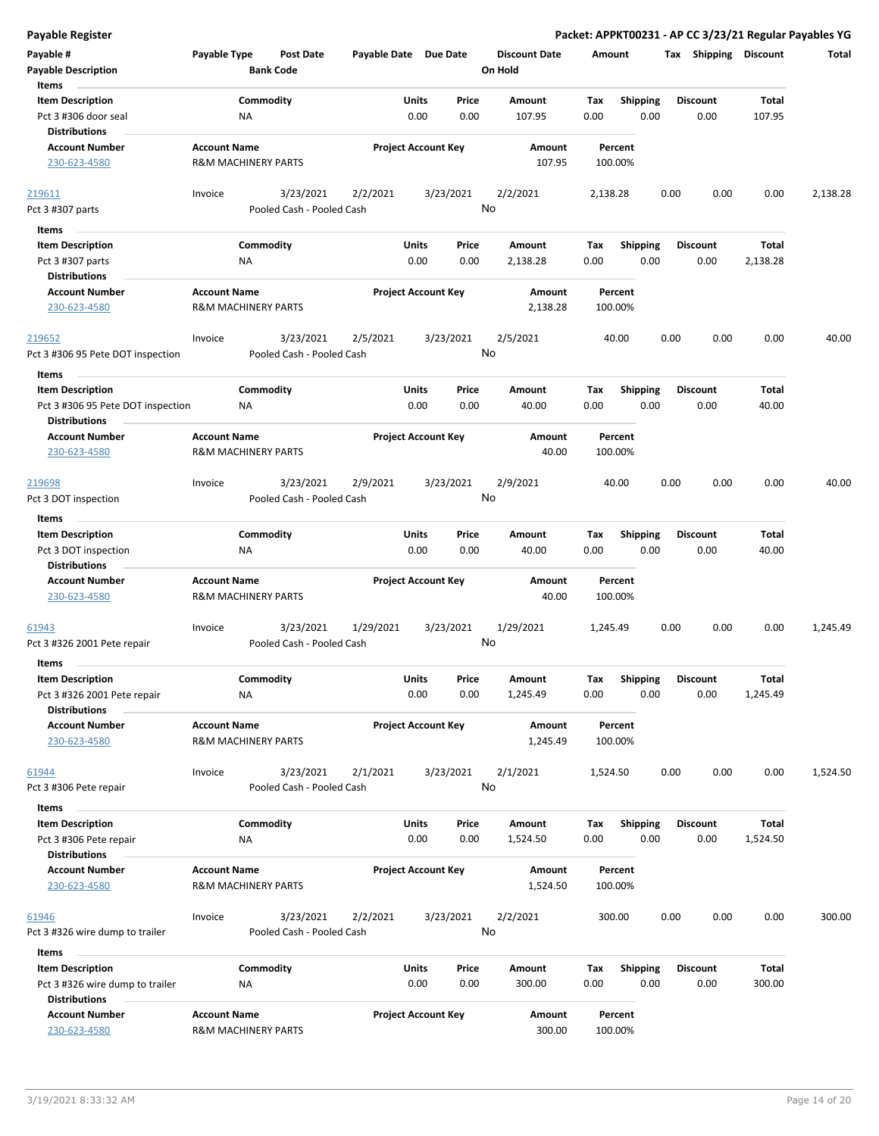| <b>Payable Register</b>                                                              |                     |                                        |                       |                            |               |                                 |             |                         |      |                         |                 | Packet: APPKT00231 - AP CC 3/23/21 Regular Payables YG |
|--------------------------------------------------------------------------------------|---------------------|----------------------------------------|-----------------------|----------------------------|---------------|---------------------------------|-------------|-------------------------|------|-------------------------|-----------------|--------------------------------------------------------|
| Payable #<br><b>Payable Description</b>                                              | Payable Type        | <b>Post Date</b><br><b>Bank Code</b>   | Payable Date Due Date |                            |               | <b>Discount Date</b><br>On Hold | Amount      |                         |      | Tax Shipping Discount   |                 | Total                                                  |
| Items                                                                                |                     |                                        |                       |                            |               |                                 |             |                         |      |                         |                 |                                                        |
| <b>Item Description</b><br>Pct 3 #306 door seal                                      |                     | Commodity<br>ΝA                        |                       | Units<br>0.00              | Price<br>0.00 | <b>Amount</b><br>107.95         | Tax<br>0.00 | <b>Shipping</b><br>0.00 |      | <b>Discount</b><br>0.00 | Total<br>107.95 |                                                        |
| <b>Distributions</b>                                                                 |                     |                                        |                       |                            |               |                                 |             |                         |      |                         |                 |                                                        |
| <b>Account Number</b><br>230-623-4580                                                | <b>Account Name</b> | <b>R&amp;M MACHINERY PARTS</b>         |                       | <b>Project Account Key</b> |               | Amount<br>107.95                |             | Percent<br>100.00%      |      |                         |                 |                                                        |
| 219611                                                                               | Invoice             | 3/23/2021                              | 2/2/2021              |                            | 3/23/2021     | 2/2/2021                        | 2,138.28    |                         | 0.00 | 0.00                    | 0.00            | 2,138.28                                               |
| Pct 3 #307 parts                                                                     |                     | Pooled Cash - Pooled Cash              |                       |                            |               | No                              |             |                         |      |                         |                 |                                                        |
|                                                                                      |                     |                                        |                       |                            |               |                                 |             |                         |      |                         |                 |                                                        |
| Items<br><b>Item Description</b>                                                     |                     | Commodity                              |                       | Units                      | Price         | Amount                          | Tax         | <b>Shipping</b>         |      | <b>Discount</b>         | Total           |                                                        |
| Pct 3 #307 parts                                                                     |                     | ΝA                                     |                       | 0.00                       | 0.00          | 2,138.28                        | 0.00        | 0.00                    |      | 0.00                    | 2,138.28        |                                                        |
| <b>Distributions</b>                                                                 |                     |                                        |                       |                            |               |                                 |             |                         |      |                         |                 |                                                        |
| <b>Account Number</b>                                                                | <b>Account Name</b> |                                        |                       | <b>Project Account Key</b> |               | Amount                          |             | Percent                 |      |                         |                 |                                                        |
| 230-623-4580                                                                         |                     | <b>R&amp;M MACHINERY PARTS</b>         |                       |                            |               | 2,138.28                        |             | 100.00%                 |      |                         |                 |                                                        |
| 219652<br>Pct 3 #306 95 Pete DOT inspection                                          | Invoice             | 3/23/2021<br>Pooled Cash - Pooled Cash | 2/5/2021              |                            | 3/23/2021     | 2/5/2021<br>No                  |             | 40.00                   | 0.00 | 0.00                    | 0.00            | 40.00                                                  |
| Items                                                                                |                     |                                        |                       |                            |               |                                 |             |                         |      |                         |                 |                                                        |
| <b>Item Description</b><br>Pct 3 #306 95 Pete DOT inspection<br><b>Distributions</b> |                     | Commodity<br>NA                        |                       | Units<br>0.00              | Price<br>0.00 | <b>Amount</b><br>40.00          | Tax<br>0.00 | <b>Shipping</b><br>0.00 |      | <b>Discount</b><br>0.00 | Total<br>40.00  |                                                        |
| <b>Account Number</b>                                                                | <b>Account Name</b> |                                        |                       | <b>Project Account Key</b> |               | <b>Amount</b>                   |             | Percent                 |      |                         |                 |                                                        |
| 230-623-4580                                                                         |                     | <b>R&amp;M MACHINERY PARTS</b>         |                       |                            |               | 40.00                           |             | 100.00%                 |      |                         |                 |                                                        |
| 219698                                                                               | Invoice             | 3/23/2021                              | 2/9/2021              |                            | 3/23/2021     | 2/9/2021                        |             | 40.00                   | 0.00 | 0.00                    | 0.00            | 40.00                                                  |
| Pct 3 DOT inspection                                                                 |                     | Pooled Cash - Pooled Cash              |                       |                            |               | No                              |             |                         |      |                         |                 |                                                        |
| Items                                                                                |                     |                                        |                       |                            |               |                                 |             |                         |      |                         |                 |                                                        |
| <b>Item Description</b>                                                              |                     | Commodity                              |                       | Units                      | Price         | Amount                          | Tax         | <b>Shipping</b>         |      | <b>Discount</b>         | <b>Total</b>    |                                                        |
| Pct 3 DOT inspection                                                                 |                     | ΝA                                     |                       | 0.00                       | 0.00          | 40.00                           | 0.00        | 0.00                    |      | 0.00                    | 40.00           |                                                        |
| <b>Distributions</b>                                                                 |                     |                                        |                       |                            |               |                                 |             |                         |      |                         |                 |                                                        |
| <b>Account Number</b>                                                                | <b>Account Name</b> |                                        |                       | <b>Project Account Key</b> |               | Amount                          |             | Percent                 |      |                         |                 |                                                        |
| 230-623-4580                                                                         |                     | <b>R&amp;M MACHINERY PARTS</b>         |                       |                            |               | 40.00                           |             | 100.00%                 |      |                         |                 |                                                        |
| 61943                                                                                | Invoice             | 3/23/2021                              | 1/29/2021             |                            | 3/23/2021     | 1/29/2021                       | 1,245.49    |                         | 0.00 | 0.00                    | 0.00            | 1,245.49                                               |
| Pct 3 #326 2001 Pete repair                                                          |                     | Pooled Cash - Pooled Cash              |                       |                            |               | No                              |             |                         |      |                         |                 |                                                        |
| Items                                                                                |                     |                                        |                       |                            |               |                                 |             |                         |      |                         |                 |                                                        |
| <b>Item Description</b>                                                              |                     | Commodity                              |                       | Units                      | Price         | Amount                          | Tax         | Shipping                |      | <b>Discount</b>         | <b>Total</b>    |                                                        |
| Pct 3 #326 2001 Pete repair                                                          |                     | ΝA                                     |                       | 0.00                       | 0.00          | 1,245.49                        | 0.00        | 0.00                    |      | 0.00                    | 1,245.49        |                                                        |
| <b>Distributions</b>                                                                 |                     |                                        |                       |                            |               |                                 |             |                         |      |                         |                 |                                                        |
| <b>Account Number</b>                                                                | <b>Account Name</b> |                                        |                       | <b>Project Account Key</b> |               | Amount                          |             | Percent                 |      |                         |                 |                                                        |
| 230-623-4580                                                                         |                     | <b>R&amp;M MACHINERY PARTS</b>         |                       |                            |               | 1,245.49                        |             | 100.00%                 |      |                         |                 |                                                        |
|                                                                                      |                     |                                        |                       |                            |               |                                 |             |                         |      |                         |                 |                                                        |
| 61944                                                                                | Invoice             | 3/23/2021                              | 2/1/2021              |                            | 3/23/2021     | 2/1/2021                        | 1,524.50    |                         | 0.00 | 0.00                    | 0.00            | 1,524.50                                               |
| Pct 3 #306 Pete repair                                                               |                     | Pooled Cash - Pooled Cash              |                       |                            |               | No                              |             |                         |      |                         |                 |                                                        |
| Items                                                                                |                     |                                        |                       |                            |               |                                 |             |                         |      |                         |                 |                                                        |
| <b>Item Description</b>                                                              |                     | Commodity                              |                       | Units                      | Price         | Amount                          | Тах         | <b>Shipping</b>         |      | <b>Discount</b>         | Total           |                                                        |
| Pct 3 #306 Pete repair                                                               |                     | ΝA                                     |                       | 0.00                       | 0.00          | 1,524.50                        | 0.00        | 0.00                    |      | 0.00                    | 1,524.50        |                                                        |
| <b>Distributions</b>                                                                 |                     |                                        |                       |                            |               |                                 |             |                         |      |                         |                 |                                                        |
| <b>Account Number</b>                                                                | <b>Account Name</b> |                                        |                       | <b>Project Account Key</b> |               | Amount                          |             | Percent                 |      |                         |                 |                                                        |
| 230-623-4580                                                                         |                     | R&M MACHINERY PARTS                    |                       |                            |               | 1,524.50                        |             | 100.00%                 |      |                         |                 |                                                        |
| 61946                                                                                | Invoice             | 3/23/2021<br>Pooled Cash - Pooled Cash | 2/2/2021              |                            | 3/23/2021     | 2/2/2021<br>No                  |             | 300.00                  | 0.00 | 0.00                    | 0.00            | 300.00                                                 |
| Pct 3 #326 wire dump to trailer                                                      |                     |                                        |                       |                            |               |                                 |             |                         |      |                         |                 |                                                        |
| Items                                                                                |                     |                                        |                       |                            |               |                                 |             |                         |      |                         |                 |                                                        |
| <b>Item Description</b><br>Pct 3 #326 wire dump to trailer                           |                     | Commodity<br>ΝA                        |                       | Units<br>0.00              | Price<br>0.00 | Amount<br>300.00                | Tax<br>0.00 | <b>Shipping</b><br>0.00 |      | <b>Discount</b><br>0.00 | Total<br>300.00 |                                                        |
| <b>Distributions</b><br><b>Account Number</b>                                        | <b>Account Name</b> |                                        |                       |                            |               |                                 |             |                         |      |                         |                 |                                                        |
| 230-623-4580                                                                         |                     | <b>R&amp;M MACHINERY PARTS</b>         |                       | <b>Project Account Key</b> |               | Amount<br>300.00                |             | Percent<br>100.00%      |      |                         |                 |                                                        |
|                                                                                      |                     |                                        |                       |                            |               |                                 |             |                         |      |                         |                 |                                                        |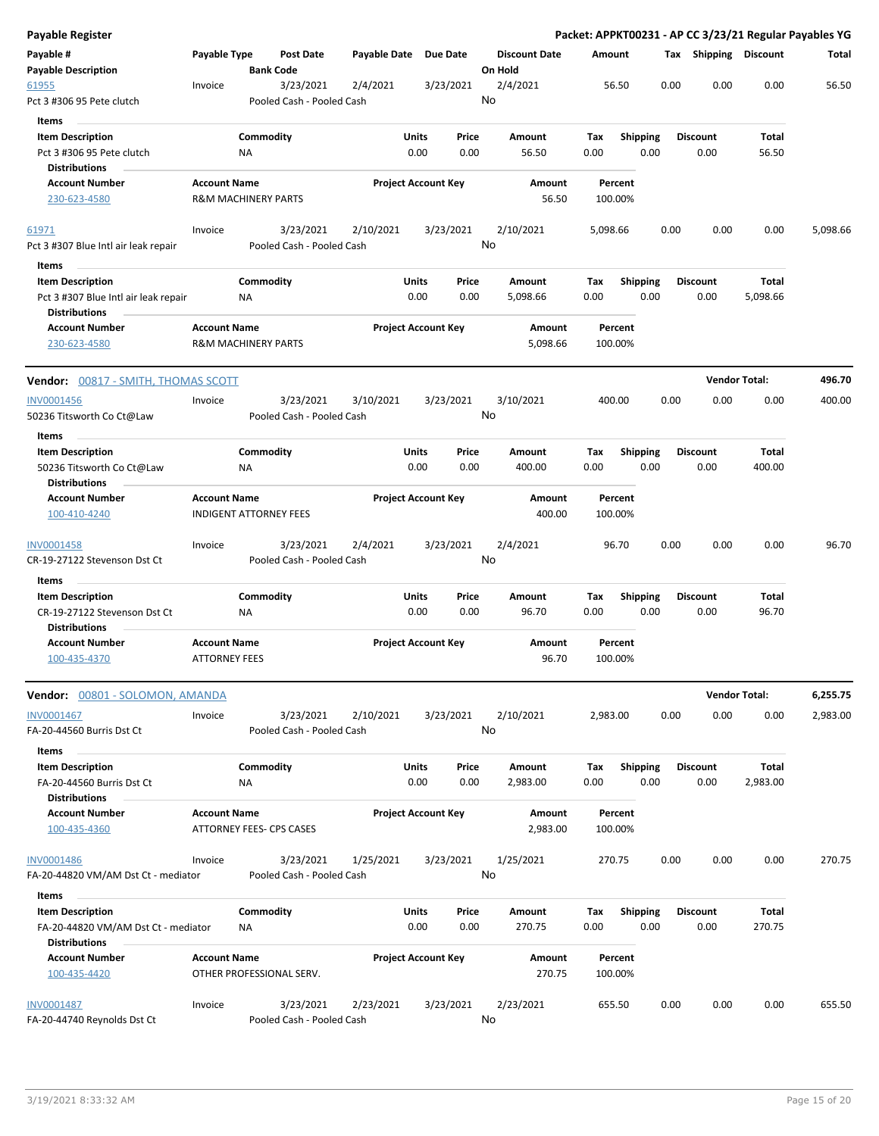| Payable Register                                                                        |                                                       |                        |                                        |                       |                            |               |                                 |             |                         |      |                         |                      | Packet: APPKT00231 - AP CC 3/23/21 Regular Payables YG |
|-----------------------------------------------------------------------------------------|-------------------------------------------------------|------------------------|----------------------------------------|-----------------------|----------------------------|---------------|---------------------------------|-------------|-------------------------|------|-------------------------|----------------------|--------------------------------------------------------|
| Payable #<br><b>Payable Description</b>                                                 | Payable Type                                          |                        | Post Date<br><b>Bank Code</b>          | Payable Date Due Date |                            |               | <b>Discount Date</b><br>On Hold | Amount      |                         |      | Tax Shipping Discount   |                      | Total                                                  |
| 61955                                                                                   | Invoice                                               |                        | 3/23/2021                              | 2/4/2021              | 3/23/2021                  |               | 2/4/2021                        |             | 56.50                   | 0.00 | 0.00                    | 0.00                 | 56.50                                                  |
| Pct 3 #306 95 Pete clutch                                                               |                                                       |                        | Pooled Cash - Pooled Cash              |                       |                            |               | No                              |             |                         |      |                         |                      |                                                        |
| Items                                                                                   |                                                       |                        |                                        |                       |                            |               |                                 |             |                         |      |                         |                      |                                                        |
| <b>Item Description</b><br>Pct 3 #306 95 Pete clutch<br><b>Distributions</b>            |                                                       | Commodity<br>ΝA        |                                        |                       | Units<br>0.00              | Price<br>0.00 | Amount<br>56.50                 | Tax<br>0.00 | <b>Shipping</b><br>0.00 |      | <b>Discount</b><br>0.00 | Total<br>56.50       |                                                        |
| <b>Account Number</b>                                                                   | <b>Account Name</b>                                   |                        |                                        |                       | <b>Project Account Key</b> |               | Amount                          |             | Percent                 |      |                         |                      |                                                        |
| 230-623-4580                                                                            | <b>R&amp;M MACHINERY PARTS</b>                        |                        |                                        |                       |                            |               | 56.50                           |             | 100.00%                 |      |                         |                      |                                                        |
| 61971                                                                                   | Invoice                                               |                        | 3/23/2021                              | 2/10/2021             | 3/23/2021                  |               | 2/10/2021                       | 5,098.66    |                         | 0.00 | 0.00                    | 0.00                 | 5,098.66                                               |
| Pct 3 #307 Blue Intl air leak repair                                                    |                                                       |                        | Pooled Cash - Pooled Cash              |                       |                            |               | No                              |             |                         |      |                         |                      |                                                        |
| Items                                                                                   |                                                       |                        |                                        |                       |                            |               |                                 |             |                         |      |                         |                      |                                                        |
| <b>Item Description</b><br>Pct 3 #307 Blue Intl air leak repair<br><b>Distributions</b> |                                                       | Commodity<br>NA        |                                        |                       | Units<br>0.00              | Price<br>0.00 | Amount<br>5,098.66              | Tax<br>0.00 | <b>Shipping</b><br>0.00 |      | <b>Discount</b><br>0.00 | Total<br>5,098.66    |                                                        |
| <b>Account Number</b><br>230-623-4580                                                   | <b>Account Name</b><br><b>R&amp;M MACHINERY PARTS</b> |                        |                                        |                       | <b>Project Account Key</b> |               | Amount<br>5,098.66              |             | Percent<br>100.00%      |      |                         |                      |                                                        |
| <b>Vendor: 00817 - SMITH, THOMAS SCOTT</b>                                              |                                                       |                        |                                        |                       |                            |               |                                 |             |                         |      |                         | <b>Vendor Total:</b> | 496.70                                                 |
|                                                                                         |                                                       |                        | 3/23/2021                              |                       |                            |               |                                 |             |                         | 0.00 | 0.00                    | 0.00                 | 400.00                                                 |
| <b>INV0001456</b><br>50236 Titsworth Co Ct@Law                                          | Invoice                                               |                        | Pooled Cash - Pooled Cash              | 3/10/2021             | 3/23/2021                  |               | 3/10/2021<br>No                 |             | 400.00                  |      |                         |                      |                                                        |
| Items                                                                                   |                                                       |                        |                                        |                       |                            |               |                                 |             |                         |      |                         |                      |                                                        |
| <b>Item Description</b><br>50236 Titsworth Co Ct@Law<br><b>Distributions</b>            |                                                       | Commodity<br>ΝA        |                                        |                       | Units<br>0.00              | Price<br>0.00 | Amount<br>400.00                | Tax<br>0.00 | <b>Shipping</b><br>0.00 |      | <b>Discount</b><br>0.00 | Total<br>400.00      |                                                        |
| <b>Account Number</b>                                                                   | <b>Account Name</b>                                   |                        |                                        |                       | <b>Project Account Key</b> |               | Amount                          |             | Percent                 |      |                         |                      |                                                        |
| 100-410-4240                                                                            | <b>INDIGENT ATTORNEY FEES</b>                         |                        |                                        |                       |                            |               | 400.00                          |             | 100.00%                 |      |                         |                      |                                                        |
| <b>INV0001458</b><br>CR-19-27122 Stevenson Dst Ct                                       | Invoice                                               |                        | 3/23/2021<br>Pooled Cash - Pooled Cash | 2/4/2021              | 3/23/2021                  |               | 2/4/2021<br>No                  |             | 96.70                   | 0.00 | 0.00                    | 0.00                 | 96.70                                                  |
| Items                                                                                   |                                                       |                        |                                        |                       |                            |               |                                 |             |                         |      |                         |                      |                                                        |
| <b>Item Description</b><br>CR-19-27122 Stevenson Dst Ct<br><b>Distributions</b>         |                                                       | Commodity<br>ΝA        |                                        |                       | Units<br>0.00              | Price<br>0.00 | Amount<br>96.70                 | Tax<br>0.00 | <b>Shipping</b><br>0.00 |      | <b>Discount</b><br>0.00 | Total<br>96.70       |                                                        |
| <b>Account Number</b><br>100-435-4370                                                   | <b>Account Name</b><br><b>ATTORNEY FEES</b>           |                        |                                        |                       | <b>Project Account Key</b> |               | Amount<br>96.70                 |             | Percent<br>100.00%      |      |                         |                      |                                                        |
| Vendor: 00801 - SOLOMON, AMANDA                                                         |                                                       |                        |                                        |                       |                            |               |                                 |             |                         |      |                         | <b>Vendor Total:</b> | 6,255.75                                               |
| <b>INV0001467</b><br>FA-20-44560 Burris Dst Ct                                          | Invoice                                               |                        | 3/23/2021<br>Pooled Cash - Pooled Cash | 2/10/2021             | 3/23/2021                  |               | 2/10/2021<br>No                 | 2,983.00    |                         | 0.00 | 0.00                    | 0.00                 | 2,983.00                                               |
| Items                                                                                   |                                                       |                        |                                        |                       |                            |               |                                 |             |                         |      |                         |                      |                                                        |
| <b>Item Description</b><br>FA-20-44560 Burris Dst Ct<br><b>Distributions</b>            |                                                       | Commodity<br><b>NA</b> |                                        |                       | Units<br>0.00              | Price<br>0.00 | Amount<br>2,983.00              | Tax<br>0.00 | Shipping<br>0.00        |      | <b>Discount</b><br>0.00 | Total<br>2,983.00    |                                                        |
| <b>Account Number</b><br>100-435-4360                                                   | <b>Account Name</b><br>ATTORNEY FEES- CPS CASES       |                        |                                        |                       | <b>Project Account Key</b> |               | Amount<br>2,983.00              |             | Percent<br>100.00%      |      |                         |                      |                                                        |
| <b>INV0001486</b><br>FA-20-44820 VM/AM Dst Ct - mediator                                | Invoice                                               |                        | 3/23/2021<br>Pooled Cash - Pooled Cash | 1/25/2021             | 3/23/2021                  |               | 1/25/2021<br>No                 |             | 270.75                  | 0.00 | 0.00                    | 0.00                 | 270.75                                                 |
| Items                                                                                   |                                                       |                        |                                        |                       |                            |               |                                 |             |                         |      |                         |                      |                                                        |
| <b>Item Description</b>                                                                 |                                                       | Commodity              |                                        |                       | Units                      | Price         | Amount                          | Tax         | <b>Shipping</b>         |      | <b>Discount</b>         | <b>Total</b>         |                                                        |
| FA-20-44820 VM/AM Dst Ct - mediator<br><b>Distributions</b>                             |                                                       | ΝA                     |                                        |                       | 0.00                       | 0.00          | 270.75                          | 0.00        | 0.00                    |      | 0.00                    | 270.75               |                                                        |
| <b>Account Number</b>                                                                   | <b>Account Name</b>                                   |                        |                                        |                       | <b>Project Account Key</b> |               | Amount                          |             | Percent                 |      |                         |                      |                                                        |
| 100-435-4420                                                                            |                                                       |                        | OTHER PROFESSIONAL SERV.               |                       |                            |               | 270.75                          |             | 100.00%                 |      |                         |                      |                                                        |
| INV0001487<br>FA-20-44740 Reynolds Dst Ct                                               | Invoice                                               |                        | 3/23/2021<br>Pooled Cash - Pooled Cash | 2/23/2021             | 3/23/2021                  |               | 2/23/2021<br>No                 |             | 655.50                  | 0.00 | 0.00                    | 0.00                 | 655.50                                                 |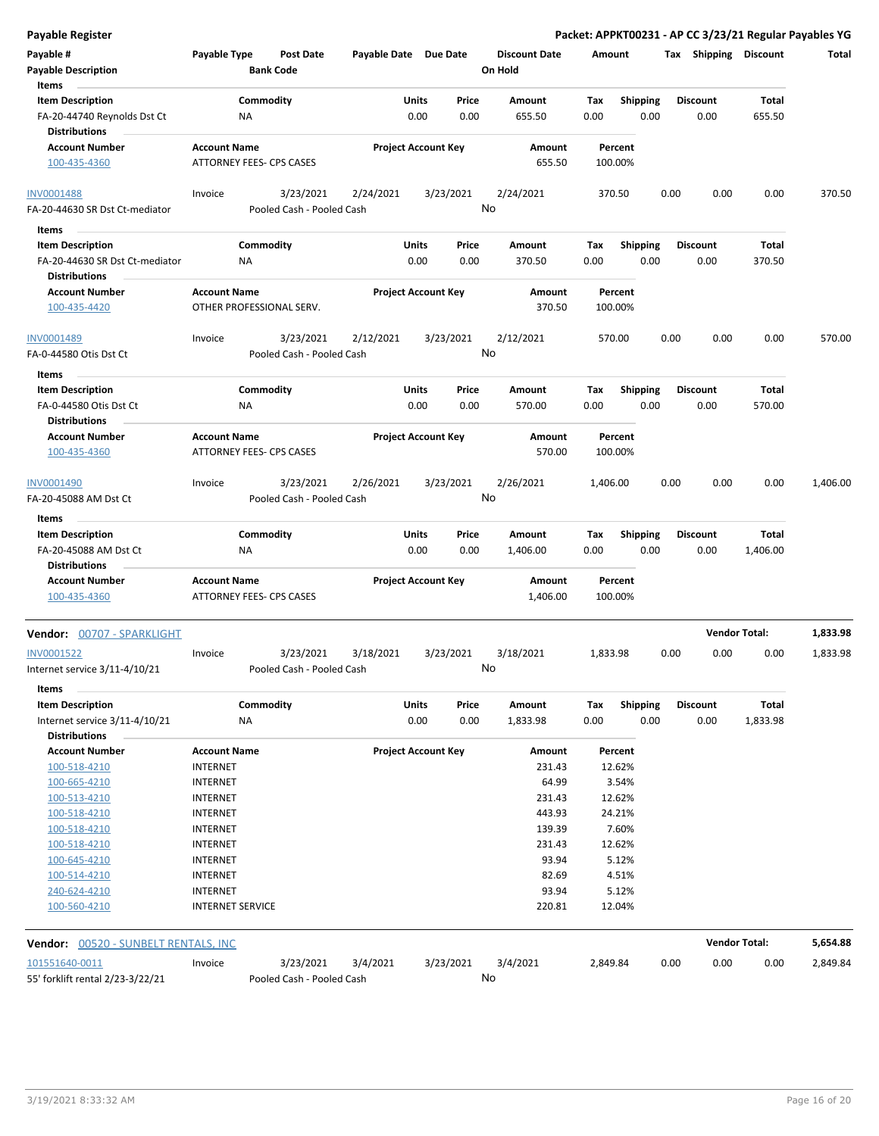| <b>Payable Register</b>                     |                                 |                           |                            |       |           |                      |          |                 |      |                       |              | Packet: APPKT00231 - AP CC 3/23/21 Regular Payables YG |
|---------------------------------------------|---------------------------------|---------------------------|----------------------------|-------|-----------|----------------------|----------|-----------------|------|-----------------------|--------------|--------------------------------------------------------|
| Payable #                                   | Payable Type                    | <b>Post Date</b>          | Payable Date Due Date      |       |           | <b>Discount Date</b> | Amount   |                 |      | Tax Shipping Discount |              | Total                                                  |
| <b>Payable Description</b>                  |                                 | <b>Bank Code</b>          |                            |       |           | On Hold              |          |                 |      |                       |              |                                                        |
| Items                                       |                                 |                           |                            |       |           |                      |          |                 |      |                       |              |                                                        |
| <b>Item Description</b>                     |                                 | Commodity                 |                            | Units | Price     | Amount               | Tax      | <b>Shipping</b> |      | <b>Discount</b>       | <b>Total</b> |                                                        |
| FA-20-44740 Reynolds Dst Ct                 | NA                              |                           |                            | 0.00  | 0.00      | 655.50               | 0.00     | 0.00            |      | 0.00                  | 655.50       |                                                        |
| <b>Distributions</b>                        |                                 |                           |                            |       |           |                      |          |                 |      |                       |              |                                                        |
| <b>Account Number</b>                       | <b>Account Name</b>             |                           | <b>Project Account Key</b> |       |           | Amount               |          | Percent         |      |                       |              |                                                        |
| 100-435-4360                                | ATTORNEY FEES- CPS CASES        |                           |                            |       |           | 655.50               |          | 100.00%         |      |                       |              |                                                        |
| <b>INV0001488</b>                           | Invoice                         | 3/23/2021                 | 2/24/2021                  |       | 3/23/2021 | 2/24/2021            | 370.50   |                 | 0.00 | 0.00                  | 0.00         | 370.50                                                 |
| FA-20-44630 SR Dst Ct-mediator              |                                 | Pooled Cash - Pooled Cash |                            |       | No        |                      |          |                 |      |                       |              |                                                        |
| Items                                       |                                 |                           |                            |       |           |                      |          |                 |      |                       |              |                                                        |
| <b>Item Description</b>                     |                                 | Commodity                 |                            | Units | Price     | Amount               |          |                 |      | <b>Discount</b>       | Total        |                                                        |
|                                             |                                 |                           |                            |       |           |                      | Tax      | <b>Shipping</b> |      |                       |              |                                                        |
| FA-20-44630 SR Dst Ct-mediator              | NA                              |                           |                            | 0.00  | 0.00      | 370.50               | 0.00     | 0.00            |      | 0.00                  | 370.50       |                                                        |
| <b>Distributions</b>                        |                                 |                           |                            |       |           |                      |          |                 |      |                       |              |                                                        |
| <b>Account Number</b>                       | <b>Account Name</b>             |                           | <b>Project Account Key</b> |       |           | Amount               |          | Percent         |      |                       |              |                                                        |
| 100-435-4420                                | OTHER PROFESSIONAL SERV.        |                           |                            |       |           | 370.50               | 100.00%  |                 |      |                       |              |                                                        |
| INV0001489                                  | Invoice                         | 3/23/2021                 | 2/12/2021                  |       | 3/23/2021 | 2/12/2021            | 570.00   |                 | 0.00 | 0.00                  | 0.00         | 570.00                                                 |
| FA-0-44580 Otis Dst Ct                      |                                 | Pooled Cash - Pooled Cash |                            |       | No        |                      |          |                 |      |                       |              |                                                        |
| Items                                       |                                 |                           |                            |       |           |                      |          |                 |      |                       |              |                                                        |
| <b>Item Description</b>                     |                                 | Commodity                 |                            | Units | Price     | Amount               | Tax      | <b>Shipping</b> |      | <b>Discount</b>       | <b>Total</b> |                                                        |
| FA-0-44580 Otis Dst Ct                      | NA                              |                           |                            | 0.00  | 0.00      | 570.00               | 0.00     | 0.00            |      | 0.00                  | 570.00       |                                                        |
| <b>Distributions</b>                        |                                 |                           |                            |       |           |                      |          |                 |      |                       |              |                                                        |
|                                             |                                 |                           |                            |       |           |                      |          |                 |      |                       |              |                                                        |
| <b>Account Number</b>                       | <b>Account Name</b>             |                           | <b>Project Account Key</b> |       |           | Amount               |          | Percent         |      |                       |              |                                                        |
| 100-435-4360                                | ATTORNEY FEES- CPS CASES        |                           |                            |       |           | 570.00               | 100.00%  |                 |      |                       |              |                                                        |
|                                             |                                 |                           |                            |       |           |                      |          |                 |      |                       |              |                                                        |
| INV0001490                                  | Invoice                         | 3/23/2021                 | 2/26/2021                  |       | 3/23/2021 | 2/26/2021            | 1,406.00 |                 | 0.00 | 0.00                  | 0.00         | 1,406.00                                               |
| FA-20-45088 AM Dst Ct                       |                                 | Pooled Cash - Pooled Cash |                            |       | No        |                      |          |                 |      |                       |              |                                                        |
| Items                                       |                                 |                           |                            |       |           |                      |          |                 |      |                       |              |                                                        |
| <b>Item Description</b>                     |                                 | Commodity                 |                            | Units | Price     | Amount               | Tax      | <b>Shipping</b> |      | <b>Discount</b>       | Total        |                                                        |
| FA-20-45088 AM Dst Ct                       | NA                              |                           |                            | 0.00  | 0.00      | 1,406.00             | 0.00     | 0.00            |      | 0.00                  | 1,406.00     |                                                        |
| <b>Distributions</b>                        |                                 |                           |                            |       |           |                      |          |                 |      |                       |              |                                                        |
| <b>Account Number</b>                       | <b>Account Name</b>             |                           | <b>Project Account Key</b> |       |           | Amount               |          | Percent         |      |                       |              |                                                        |
| 100-435-4360                                | <b>ATTORNEY FEES- CPS CASES</b> |                           |                            |       |           | 1,406.00             | 100.00%  |                 |      |                       |              |                                                        |
| Vendor: 00707 - SPARKLIGHT                  |                                 |                           |                            |       |           |                      |          |                 |      | <b>Vendor Total:</b>  |              | 1,833.98                                               |
|                                             |                                 |                           |                            |       |           |                      |          |                 |      |                       |              |                                                        |
| INV0001522                                  | Invoice                         | 3/23/2021                 | 3/18/2021                  |       | 3/23/2021 | 3/18/2021            | 1,833.98 |                 | 0.00 | 0.00                  | 0.00         | 1,833.98                                               |
| Internet service 3/11-4/10/21               |                                 | Pooled Cash - Pooled Cash |                            |       | No        |                      |          |                 |      |                       |              |                                                        |
| Items                                       |                                 |                           |                            |       |           |                      |          |                 |      |                       |              |                                                        |
| <b>Item Description</b>                     |                                 | Commodity                 |                            | Units | Price     | Amount               | Tax      | <b>Shipping</b> |      | <b>Discount</b>       | Total        |                                                        |
| Internet service 3/11-4/10/21               | NA                              |                           |                            | 0.00  | 0.00      | 1,833.98             | 0.00     | 0.00            |      | 0.00                  | 1,833.98     |                                                        |
| <b>Distributions</b>                        |                                 |                           |                            |       |           |                      |          |                 |      |                       |              |                                                        |
| <b>Account Number</b>                       | <b>Account Name</b>             |                           | <b>Project Account Key</b> |       |           | Amount               |          | Percent         |      |                       |              |                                                        |
| 100-518-4210                                | <b>INTERNET</b>                 |                           |                            |       |           | 231.43               |          | 12.62%          |      |                       |              |                                                        |
| 100-665-4210                                | <b>INTERNET</b>                 |                           |                            |       |           | 64.99                |          | 3.54%           |      |                       |              |                                                        |
| 100-513-4210                                | <b>INTERNET</b>                 |                           |                            |       |           | 231.43               |          | 12.62%          |      |                       |              |                                                        |
| 100-518-4210                                | <b>INTERNET</b>                 |                           |                            |       |           | 443.93               |          | 24.21%          |      |                       |              |                                                        |
| 100-518-4210                                | <b>INTERNET</b>                 |                           |                            |       |           | 139.39               |          | 7.60%           |      |                       |              |                                                        |
| 100-518-4210                                | <b>INTERNET</b>                 |                           |                            |       |           | 231.43               |          | 12.62%          |      |                       |              |                                                        |
| 100-645-4210                                | <b>INTERNET</b>                 |                           |                            |       |           | 93.94                |          | 5.12%           |      |                       |              |                                                        |
| 100-514-4210                                |                                 |                           |                            |       |           | 82.69                |          | 4.51%           |      |                       |              |                                                        |
|                                             | <b>INTERNET</b>                 |                           |                            |       |           |                      |          |                 |      |                       |              |                                                        |
| 240-624-4210                                | <b>INTERNET</b>                 |                           |                            |       |           | 93.94                |          | 5.12%           |      |                       |              |                                                        |
| 100-560-4210                                | <b>INTERNET SERVICE</b>         |                           |                            |       |           | 220.81               |          | 12.04%          |      |                       |              |                                                        |
| <b>Vendor: 00520 - SUNBELT RENTALS, INC</b> |                                 |                           |                            |       |           |                      |          |                 |      | <b>Vendor Total:</b>  |              | 5,654.88                                               |
| 101551640-0011                              | Invoice                         | 3/23/2021                 | 3/4/2021                   |       | 3/23/2021 | 3/4/2021             | 2,849.84 |                 | 0.00 | 0.00                  | 0.00         | 2,849.84                                               |
| 55' forklift rental 2/23-3/22/21            |                                 | Pooled Cash - Pooled Cash |                            |       | No        |                      |          |                 |      |                       |              |                                                        |
|                                             |                                 |                           |                            |       |           |                      |          |                 |      |                       |              |                                                        |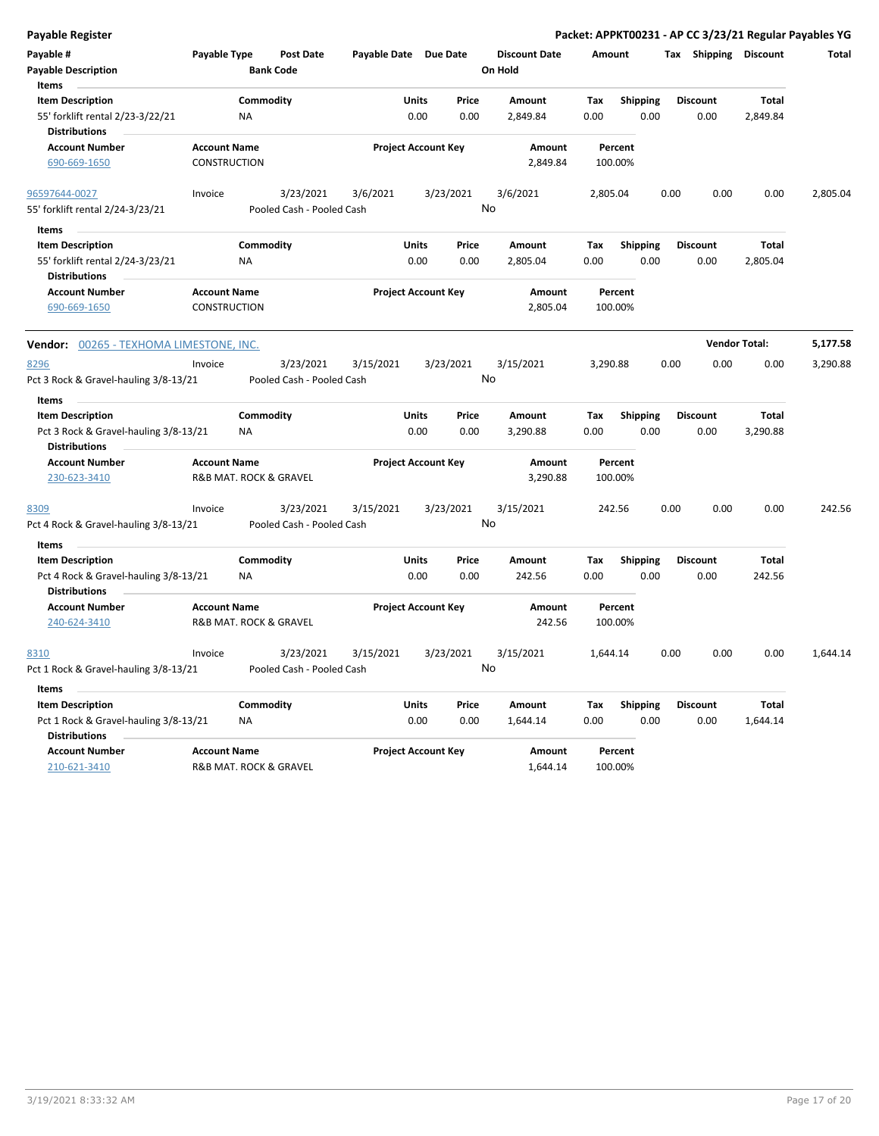| <b>Payable Register</b>                                                                           |                                               |                        |                                        |                       |               |                            |                                 |             |                    |                         |      |                         |                      | Packet: APPKT00231 - AP CC 3/23/21 Regular Payables YG |
|---------------------------------------------------------------------------------------------------|-----------------------------------------------|------------------------|----------------------------------------|-----------------------|---------------|----------------------------|---------------------------------|-------------|--------------------|-------------------------|------|-------------------------|----------------------|--------------------------------------------------------|
| Payable #<br><b>Payable Description</b><br>Items                                                  | Payable Type                                  |                        | <b>Post Date</b><br><b>Bank Code</b>   | Payable Date Due Date |               |                            | <b>Discount Date</b><br>On Hold |             | Amount             |                         |      | Tax Shipping Discount   |                      | Total                                                  |
| <b>Item Description</b><br>55' forklift rental 2/23-3/22/21<br><b>Distributions</b>               |                                               | Commodity<br><b>NA</b> |                                        |                       | Units<br>0.00 | Price<br>0.00              | Amount<br>2,849.84              | Tax<br>0.00 |                    | <b>Shipping</b><br>0.00 |      | <b>Discount</b><br>0.00 | Total<br>2,849.84    |                                                        |
| <b>Account Number</b><br>690-669-1650                                                             | <b>Account Name</b><br>CONSTRUCTION           |                        |                                        |                       |               | <b>Project Account Key</b> | Amount<br>2,849.84              |             | Percent<br>100.00% |                         |      |                         |                      |                                                        |
| 96597644-0027<br>55' forklift rental 2/24-3/23/21                                                 | Invoice                                       |                        | 3/23/2021<br>Pooled Cash - Pooled Cash | 3/6/2021              |               | 3/23/2021                  | 3/6/2021<br>No                  |             | 2,805.04           |                         | 0.00 | 0.00                    | 0.00                 | 2,805.04                                               |
| Items<br><b>Item Description</b><br>55' forklift rental 2/24-3/23/21<br><b>Distributions</b>      |                                               | Commodity<br>ΝA        |                                        |                       | Units<br>0.00 | Price<br>0.00              | Amount<br>2,805.04              | Tax<br>0.00 |                    | <b>Shipping</b><br>0.00 |      | <b>Discount</b><br>0.00 | Total<br>2,805.04    |                                                        |
| <b>Account Number</b><br>690-669-1650                                                             | <b>Account Name</b><br>CONSTRUCTION           |                        |                                        |                       |               | <b>Project Account Key</b> | Amount<br>2,805.04              |             | Percent<br>100.00% |                         |      |                         |                      |                                                        |
| <b>Vendor: 00265 - TEXHOMA LIMESTONE, INC.</b>                                                    |                                               |                        |                                        |                       |               |                            |                                 |             |                    |                         |      |                         | <b>Vendor Total:</b> | 5,177.58                                               |
| 8296<br>Pct 3 Rock & Gravel-hauling 3/8-13/21                                                     | Invoice                                       |                        | 3/23/2021<br>Pooled Cash - Pooled Cash | 3/15/2021             |               | 3/23/2021                  | 3/15/2021<br>No                 |             | 3,290.88           |                         | 0.00 | 0.00                    | 0.00                 | 3,290.88                                               |
| Items<br><b>Item Description</b><br>Pct 3 Rock & Gravel-hauling 3/8-13/21<br><b>Distributions</b> |                                               | Commodity<br>ΝA        |                                        |                       | Units<br>0.00 | Price<br>0.00              | Amount<br>3,290.88              | Tax<br>0.00 |                    | <b>Shipping</b><br>0.00 |      | <b>Discount</b><br>0.00 | Total<br>3,290.88    |                                                        |
| <b>Account Number</b><br>230-623-3410                                                             | <b>Account Name</b><br>R&B MAT. ROCK & GRAVEL |                        |                                        |                       |               | <b>Project Account Key</b> | Amount<br>3,290.88              |             | Percent<br>100.00% |                         |      |                         |                      |                                                        |
| 8309<br>Pct 4 Rock & Gravel-hauling 3/8-13/21                                                     | Invoice                                       |                        | 3/23/2021<br>Pooled Cash - Pooled Cash | 3/15/2021             |               | 3/23/2021                  | 3/15/2021<br>No                 |             | 242.56             |                         | 0.00 | 0.00                    | 0.00                 | 242.56                                                 |
| Items<br><b>Item Description</b>                                                                  |                                               | Commodity              |                                        |                       | Units         | Price                      | Amount                          | Tax         |                    | <b>Shipping</b>         |      | <b>Discount</b>         | Total                |                                                        |
| Pct 4 Rock & Gravel-hauling 3/8-13/21<br><b>Distributions</b>                                     |                                               | ΝA                     |                                        |                       | 0.00          | 0.00                       | 242.56                          | 0.00        |                    | 0.00                    |      | 0.00                    | 242.56               |                                                        |
| <b>Account Number</b><br>240-624-3410                                                             | <b>Account Name</b><br>R&B MAT. ROCK & GRAVEL |                        |                                        |                       |               | <b>Project Account Key</b> | Amount<br>242.56                |             | Percent<br>100.00% |                         |      |                         |                      |                                                        |
| 8310<br>Pct 1 Rock & Gravel-hauling 3/8-13/21                                                     | Invoice                                       |                        | 3/23/2021<br>Pooled Cash - Pooled Cash | 3/15/2021             |               | 3/23/2021                  | 3/15/2021<br>No                 |             | 1,644.14           |                         | 0.00 | 0.00                    | 0.00                 | 1,644.14                                               |
| Items                                                                                             |                                               |                        |                                        |                       |               |                            |                                 |             |                    |                         |      |                         |                      |                                                        |
| <b>Item Description</b><br>Pct 1 Rock & Gravel-hauling 3/8-13/21<br><b>Distributions</b>          |                                               | Commodity<br>ΝA        |                                        |                       | Units<br>0.00 | Price<br>0.00              | Amount<br>1,644.14              | Tax<br>0.00 |                    | <b>Shipping</b><br>0.00 |      | Discount<br>0.00        | Total<br>1,644.14    |                                                        |
| <b>Account Number</b><br>210-621-3410                                                             | <b>Account Name</b><br>R&B MAT. ROCK & GRAVEL |                        |                                        |                       |               | <b>Project Account Key</b> | Amount<br>1,644.14              |             | Percent<br>100.00% |                         |      |                         |                      |                                                        |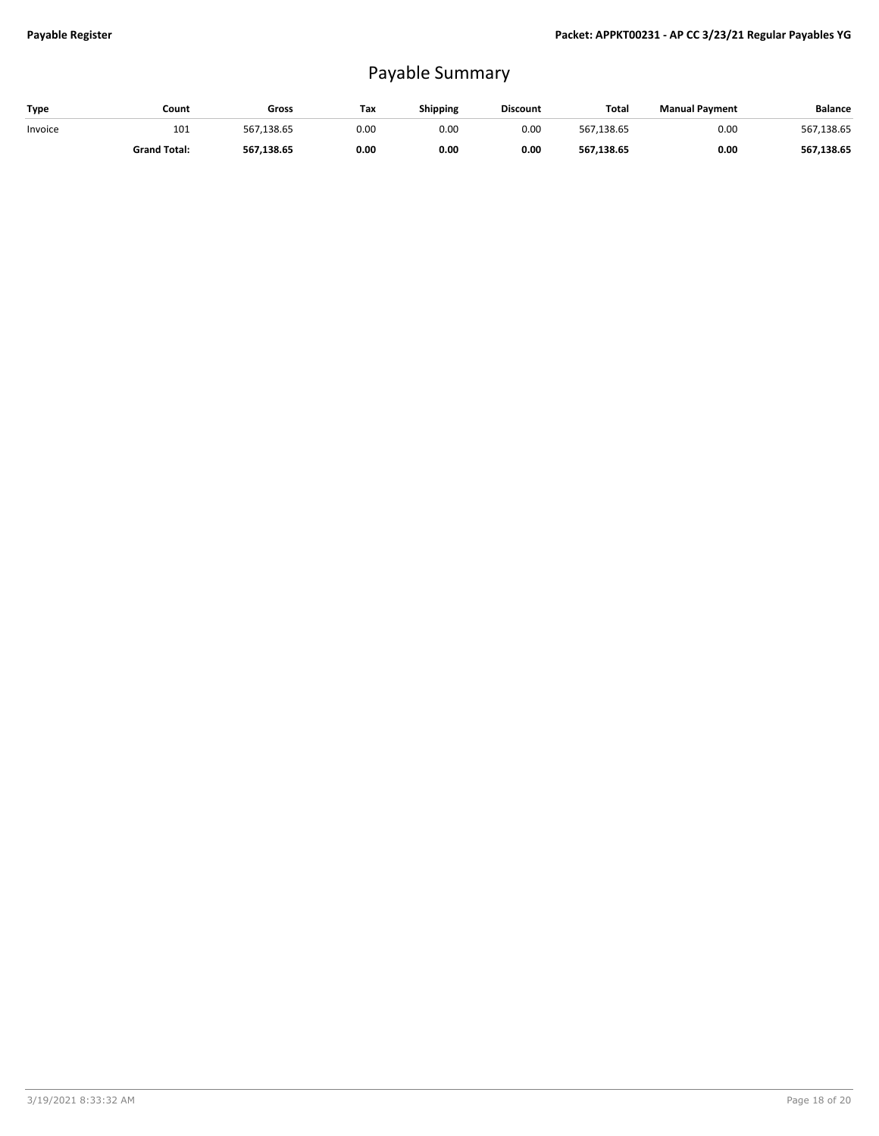## Payable Summary

| Type    | Count               | Gross      | Tax  | <b>Shipping</b> | <b>Discount</b> | <b>Total</b> | <b>Manual Payment</b> | <b>Balance</b> |
|---------|---------------------|------------|------|-----------------|-----------------|--------------|-----------------------|----------------|
| Invoice | 101                 | 567,138.65 | 0.00 | 0.00            | 0.00            | 567.138.65   | 0.00                  | 567,138.65     |
|         | <b>Grand Total:</b> | 567.138.65 | 0.00 | 0.00            | 0.00            | 567,138.65   | 0.00                  | 567,138.65     |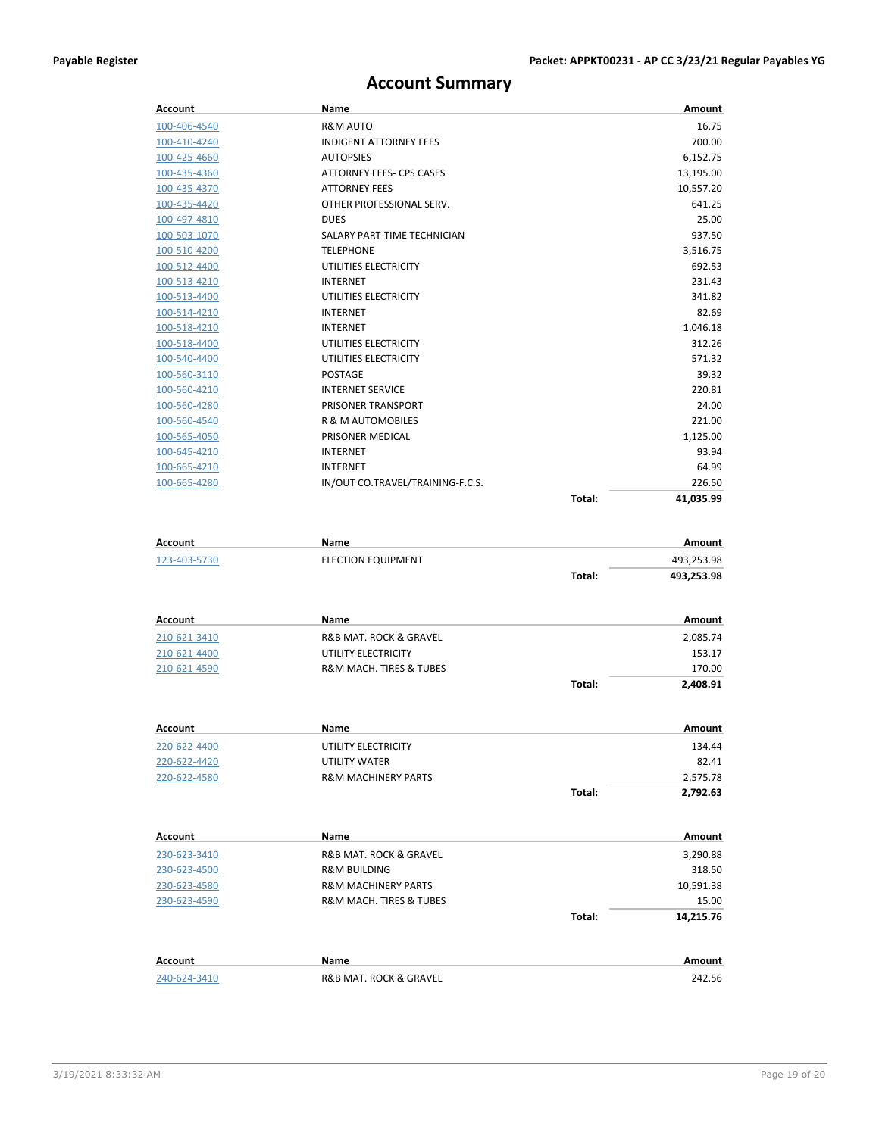## **Account Summary**

| <b>Account</b>      | Name                             |        | Amount     |
|---------------------|----------------------------------|--------|------------|
| 100-406-4540        | <b>R&amp;M AUTO</b>              |        | 16.75      |
| 100-410-4240        | <b>INDIGENT ATTORNEY FEES</b>    |        | 700.00     |
| 100-425-4660        | <b>AUTOPSIES</b>                 |        | 6,152.75   |
| 100-435-4360        | ATTORNEY FEES- CPS CASES         |        | 13,195.00  |
| 100-435-4370        | <b>ATTORNEY FEES</b>             |        | 10,557.20  |
| 100-435-4420        | OTHER PROFESSIONAL SERV.         |        | 641.25     |
| 100-497-4810        | <b>DUES</b>                      |        | 25.00      |
| 100-503-1070        | SALARY PART-TIME TECHNICIAN      |        | 937.50     |
| 100-510-4200        | <b>TELEPHONE</b>                 |        | 3,516.75   |
| 100-512-4400        | UTILITIES ELECTRICITY            |        | 692.53     |
| <u>100-513-4210</u> | <b>INTERNET</b>                  |        | 231.43     |
| 100-513-4400        | UTILITIES ELECTRICITY            |        | 341.82     |
| 100-514-4210        | <b>INTERNET</b>                  |        | 82.69      |
| 100-518-4210        | <b>INTERNET</b>                  |        | 1,046.18   |
| 100-518-4400        | UTILITIES ELECTRICITY            |        | 312.26     |
| 100-540-4400        | UTILITIES ELECTRICITY            |        | 571.32     |
| 100-560-3110        | <b>POSTAGE</b>                   |        | 39.32      |
| 100-560-4210        | <b>INTERNET SERVICE</b>          |        | 220.81     |
| 100-560-4280        | PRISONER TRANSPORT               |        | 24.00      |
| 100-560-4540        | R & M AUTOMOBILES                |        | 221.00     |
| <u>100-565-4050</u> | PRISONER MEDICAL                 |        | 1,125.00   |
| 100-645-4210        | INTERNET                         |        | 93.94      |
| 100-665-4210        | <b>INTERNET</b>                  |        | 64.99      |
| 100-665-4280        | IN/OUT CO.TRAVEL/TRAINING-F.C.S. |        | 226.50     |
|                     |                                  | Total: | 41,035.99  |
| <b>Account</b>      | Name                             |        | Amount     |
|                     |                                  |        |            |
| 123-403-5730        | <b>ELECTION EQUIPMENT</b>        |        | 493,253.98 |
|                     |                                  | Total: | 493,253.98 |
| <b>Account</b>      | Name                             |        | Amount     |
| 210-621-3410        | R&B MAT. ROCK & GRAVEL           |        | 2,085.74   |
| 210-621-4400        | UTILITY ELECTRICITY              |        | 153.17     |
| 210-621-4590        | R&M MACH. TIRES & TUBES          |        | 170.00     |
|                     |                                  | Total: | 2,408.91   |
|                     |                                  |        |            |
| <b>Account</b>      | Name                             |        | Amount     |
| 220-622-4400        | UTILITY ELECTRICITY              |        | 134.44     |
| 220-622-4420        | UTILITY WATER                    |        | 82.41      |
| 220-622-4580        | <b>R&amp;M MACHINERY PARTS</b>   |        | 2,575.78   |
|                     |                                  | Total: | 2,792.63   |
|                     |                                  |        |            |
| Account             | <b>Name</b>                      |        | Amount     |
| 230-623-3410        | R&B MAT. ROCK & GRAVEL           |        | 3,290.88   |
| 230-623-4500        | R&M BUILDING                     |        | 318.50     |
| 230-623-4580        | <b>R&amp;M MACHINERY PARTS</b>   |        | 10,591.38  |
| 230-623-4590        | R&M MACH. TIRES & TUBES          |        | 15.00      |
|                     |                                  | Total: | 14,215.76  |
|                     |                                  |        |            |
| <b>Account</b>      | Name                             |        | Amount     |
| 240-624-3410        | R&B MAT. ROCK & GRAVEL           |        | 242.56     |